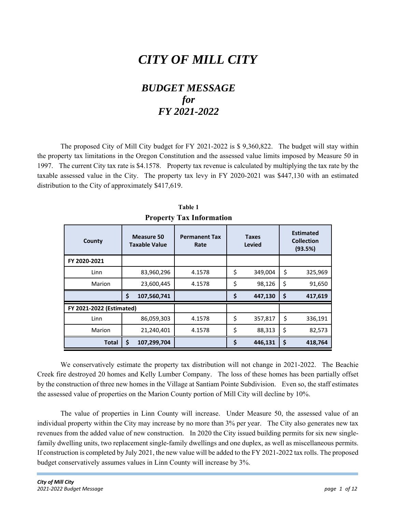## *CITY OF MILL CITY*

## *BUDGET MESSAGE for FY 2021-2022*

The proposed City of Mill City budget for FY 2021-2022 is \$ 9,360,822. The budget will stay within the property tax limitations in the Oregon Constitution and the assessed value limits imposed by Measure 50 in 1997. The current City tax rate is \$4.1578. Property tax revenue is calculated by multiplying the tax rate by the taxable assessed value in the City. The property tax levy in FY 2020-2021 was \$447,130 with an estimated distribution to the City of approximately \$417,619.

| County                          |    | Measure 50<br><b>Taxable Value</b> | <b>Permanent Tax</b><br>Rate | <b>Taxes</b><br><b>Levied</b> |         |    | <b>Estimated</b><br><b>Collection</b><br>(93.5%) |
|---------------------------------|----|------------------------------------|------------------------------|-------------------------------|---------|----|--------------------------------------------------|
| FY 2020-2021                    |    |                                    |                              |                               |         |    |                                                  |
| Linn                            |    | 83,960,296                         | 4.1578                       | \$                            | 349,004 | \$ | 325,969                                          |
| Marion                          |    | 23,600,445                         | 4.1578                       | \$                            | 98,126  | \$ | 91,650                                           |
|                                 | Ś  | 107,560,741                        |                              | \$                            | 447,130 | \$ | 417,619                                          |
| <b>FY 2021-2022 (Estimated)</b> |    |                                    |                              |                               |         |    |                                                  |
| Linn                            |    | 86,059,303                         | 4.1578                       | \$                            | 357,817 | \$ | 336,191                                          |
| Marion                          |    | 21,240,401                         | 4.1578                       | \$                            | 88,313  | \$ | 82,573                                           |
| <b>Total</b>                    | \$ | 107,299,704                        |                              | \$                            | 446,131 | \$ | 418,764                                          |

**Table 1 Property Tax Information** 

We conservatively estimate the property tax distribution will not change in 2021-2022. The Beachie Creek fire destroyed 20 homes and Kelly Lumber Company. The loss of these homes has been partially offset by the construction of three new homes in the Village at Santiam Pointe Subdivision. Even so, the staff estimates the assessed value of properties on the Marion County portion of Mill City will decline by 10%.

The value of properties in Linn County will increase. Under Measure 50, the assessed value of an individual property within the City may increase by no more than 3% per year. The City also generates new tax revenues from the added value of new construction. In 2020 the City issued building permits for six new singlefamily dwelling units, two replacement single-family dwellings and one duplex, as well as miscellaneous permits. If construction is completed by July 2021, the new value will be added to the FY 2021-2022 tax rolls. The proposed budget conservatively assumes values in Linn County will increase by 3%.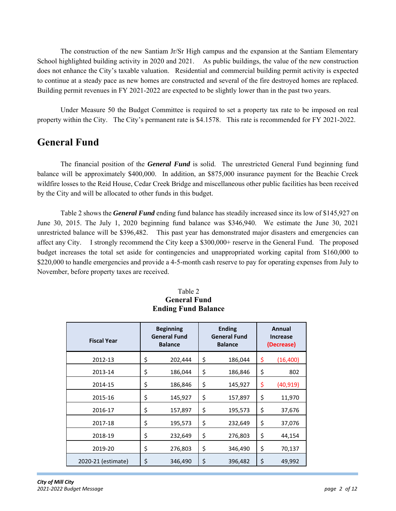The construction of the new Santiam Jr/Sr High campus and the expansion at the Santiam Elementary School highlighted building activity in 2020 and 2021. As public buildings, the value of the new construction does not enhance the City's taxable valuation. Residential and commercial building permit activity is expected to continue at a steady pace as new homes are constructed and several of the fire destroyed homes are replaced. Building permit revenues in FY 2021-2022 are expected to be slightly lower than in the past two years.

Under Measure 50 the Budget Committee is required to set a property tax rate to be imposed on real property within the City. The City's permanent rate is \$4.1578. This rate is recommended for FY 2021-2022.

## **General Fund**

The financial position of the *General Fund* is solid. The unrestricted General Fund beginning fund balance will be approximately \$400,000. In addition, an \$875,000 insurance payment for the Beachie Creek wildfire losses to the Reid House, Cedar Creek Bridge and miscellaneous other public facilities has been received by the City and will be allocated to other funds in this budget.

Table 2 shows the *General Fund* ending fund balance has steadily increased since its low of \$145,927 on June 30, 2015. The July 1, 2020 beginning fund balance was \$346,940. We estimate the June 30, 2021 unrestricted balance will be \$396,482. This past year has demonstrated major disasters and emergencies can affect any City. I strongly recommend the City keep a \$300,000+ reserve in the General Fund. The proposed budget increases the total set aside for contingencies and unappropriated working capital from \$160,000 to \$220,000 to handle emergencies and provide a 4-5-month cash reserve to pay for operating expenses from July to November, before property taxes are received.

| <b>Fiscal Year</b> | <b>Beginning</b><br><b>General Fund</b><br><b>Balance</b> |         |    | <b>Ending</b><br><b>General Fund</b><br><b>Balance</b> | Annual<br><b>Increase</b><br>(Decrease) |           |  |
|--------------------|-----------------------------------------------------------|---------|----|--------------------------------------------------------|-----------------------------------------|-----------|--|
| 2012-13            | \$                                                        | 202,444 | \$ | 186,044                                                | \$                                      | (16, 400) |  |
| 2013-14            | \$                                                        | 186,044 | \$ | 186,846                                                | \$                                      | 802       |  |
| 2014-15            | \$                                                        | 186,846 | \$ | 145,927                                                | \$                                      | (40, 919) |  |
| 2015-16            | \$                                                        | 145,927 | \$ | 157,897                                                | \$                                      | 11,970    |  |
| 2016-17            | \$                                                        | 157,897 | \$ | 195,573                                                | \$                                      | 37,676    |  |
| 2017-18            | \$                                                        | 195,573 | \$ | 232,649                                                | \$                                      | 37,076    |  |
| 2018-19            | \$                                                        | 232,649 | \$ | 276,803                                                | \$                                      | 44,154    |  |
| 2019-20            | \$                                                        | 276,803 | \$ | 346,490                                                | \$                                      | 70,137    |  |
| 2020-21 (estimate) | \$                                                        | 346,490 | \$ | 396,482                                                | \$                                      | 49,992    |  |

## Table 2 **General Fund Ending Fund Balance**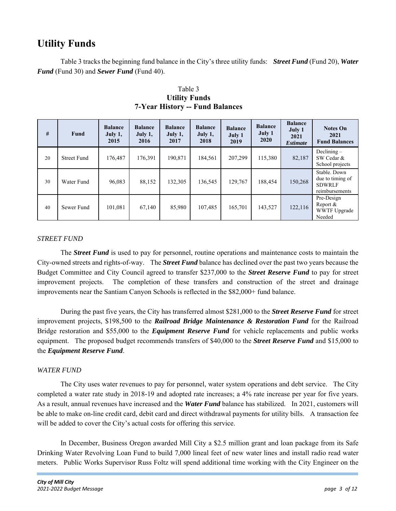## **Utility Funds**

Table 3 tracks the beginning fund balance in the City's three utility funds: *Street Fund* (Fund 20), *Water Fund* (Fund 30) and *Sewer Fund* (Fund 40).

| #  | <b>Fund</b>        | <b>Balance</b><br>July 1,<br>2015 | <b>Balance</b><br>July 1,<br>2016 | <b>Balance</b><br>July 1,<br>2017 | <b>Balance</b><br>July $1,$<br>2018 | <b>Balance</b><br>July 1<br>2019 | <b>Balance</b><br>July 1<br>2020 | <b>Balance</b><br>July 1<br>2021<br><b>Estimate</b> | <b>Notes On</b><br>2021<br><b>Fund Balances</b>                     |
|----|--------------------|-----------------------------------|-----------------------------------|-----------------------------------|-------------------------------------|----------------------------------|----------------------------------|-----------------------------------------------------|---------------------------------------------------------------------|
| 20 | <b>Street Fund</b> | 176.487                           | 176.391                           | 190.871                           | 184,561                             | 207,299                          | 115,380                          | 82,187                                              | $Declining -$<br>SW Cedar &<br>School projects                      |
| 30 | Water Fund         | 96,083                            | 88,152                            | 132,305                           | 136,545                             | 129,767                          | 188,454                          | 150,268                                             | Stable. Down<br>due to timing of<br><b>SDWRLF</b><br>reimbursements |
| 40 | Sewer Fund         | 101,081                           | 67,140                            | 85,980                            | 107,485                             | 165,701                          | 143,527                          | 122,116                                             | Pre-Design<br>Report $&$<br><b>WWTF Upgrade</b><br>Needed           |

 Table 3 **Utility Funds 7-Year History -- Fund Balances** 

## *STREET FUND*

The *Street Fund* is used to pay for personnel, routine operations and maintenance costs to maintain the City-owned streets and rights-of-way. The *Street Fund* balance has declined over the past two years because the Budget Committee and City Council agreed to transfer \$237,000 to the *Street Reserve Fund* to pay for street improvement projects. The completion of these transfers and construction of the street and drainage improvements near the Santiam Canyon Schools is reflected in the \$82,000+ fund balance.

During the past five years, the City has transferred almost \$281,000 to the *Street Reserve Fund* for street improvement projects, \$198,500 to the *Railroad Bridge Maintenance & Restoration Fund* for the Railroad Bridge restoration and \$55,000 to the *Equipment Reserve Fund* for vehicle replacements and public works equipment. The proposed budget recommends transfers of \$40,000 to the *Street Reserve Fund* and \$15,000 to the *Equipment Reserve Fund*.

### *WATER FUND*

The City uses water revenues to pay for personnel, water system operations and debt service. The City completed a water rate study in 2018-19 and adopted rate increases; a 4% rate increase per year for five years. As a result, annual revenues have increased and the *Water Fund* balance has stabilized. In 2021, customers will be able to make on-line credit card, debit card and direct withdrawal payments for utility bills. A transaction fee will be added to cover the City's actual costs for offering this service.

In December, Business Oregon awarded Mill City a \$2.5 million grant and loan package from its Safe Drinking Water Revolving Loan Fund to build 7,000 lineal feet of new water lines and install radio read water meters. Public Works Supervisor Russ Foltz will spend additional time working with the City Engineer on the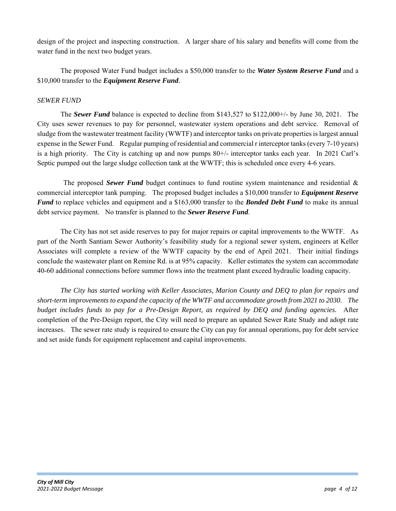design of the project and inspecting construction. A larger share of his salary and benefits will come from the water fund in the next two budget years.

The proposed Water Fund budget includes a \$50,000 transfer to the *Water System Reserve Fund* and a \$10,000 transfer to the *Equipment Reserve Fund*.

## *SEWER FUND*

The *Sewer Fund* balance is expected to decline from \$143,527 to \$122,000+/- by June 30, 2021. The City uses sewer revenues to pay for personnel, wastewater system operations and debt service. Removal of sludge from the wastewater treatment facility (WWTF) and interceptor tanks on private properties is largest annual expense in the Sewer Fund. Regular pumping of residential and commercial r interceptor tanks (every 7-10 years) is a high priority. The City is catching up and now pumps 80+/- interceptor tanks each year. In 2021 Carl's Septic pumped out the large sludge collection tank at the WWTF; this is scheduled once every 4-6 years.

 The proposed *Sewer Fund* budget continues to fund routine system maintenance and residential & commercial interceptor tank pumping. The proposed budget includes a \$10,000 transfer to *Equipment Reserve Fund* to replace vehicles and equipment and a \$163,000 transfer to the *Bonded Debt Fund* to make its annual debt service payment. No transfer is planned to the *Sewer Reserve Fund*.

The City has not set aside reserves to pay for major repairs or capital improvements to the WWTF. As part of the North Santiam Sewer Authority's feasibility study for a regional sewer system, engineers at Keller Associates will complete a review of the WWTF capacity by the end of April 2021. Their initial findings conclude the wastewater plant on Remine Rd. is at 95% capacity. Keller estimates the system can accommodate 40-60 additional connections before summer flows into the treatment plant exceed hydraulic loading capacity.

*The City has started working with Keller Associates, Marion County and DEQ to plan for repairs and short-term improvements to expand the capacity of the WWTF and accommodate growth from 2021 to 2030. The budget includes funds to pay for a Pre-Design Report, as required by DEQ and funding agencies.* After completion of the Pre-Design report, the City will need to prepare an updated Sewer Rate Study and adopt rate increases. The sewer rate study is required to ensure the City can pay for annual operations, pay for debt service and set aside funds for equipment replacement and capital improvements.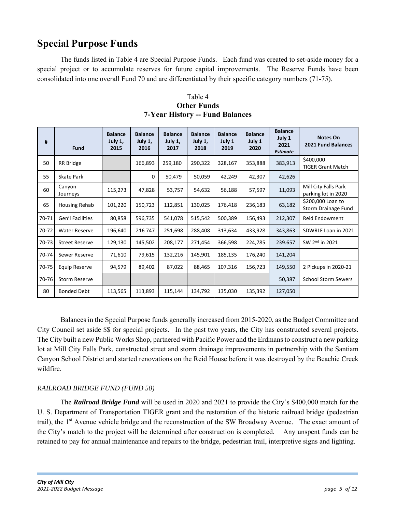## **Special Purpose Funds**

The funds listed in Table 4 are Special Purpose Funds. Each fund was created to set-aside money for a special project or to accumulate reserves for future capital improvements. The Reserve Funds have been consolidated into one overall Fund 70 and are differentiated by their specific category numbers (71-75).

| #     | <b>Fund</b>           | <b>Balance</b><br>July 1,<br>2015 | <b>Balance</b><br>July 1,<br>2016 | <b>Balance</b><br>July 1,<br>2017 | <b>Balance</b><br>July 1,<br>2018 | <b>Balance</b><br>July 1<br>2019 | <b>Balance</b><br>July 1<br>2020 | <b>Balance</b><br>July 1<br>2021<br><b>Estimate</b> | <b>Notes On</b><br>2021 Fund Balances       |
|-------|-----------------------|-----------------------------------|-----------------------------------|-----------------------------------|-----------------------------------|----------------------------------|----------------------------------|-----------------------------------------------------|---------------------------------------------|
| 50    | RR Bridge             |                                   | 166,893                           | 259,180                           | 290,322                           | 328,167                          | 353,888                          | 383,913                                             | \$400,000<br><b>TIGER Grant Match</b>       |
| 55    | Skate Park            |                                   | 0                                 | 50,479                            | 50,059                            | 42,249                           | 42,307                           | 42,626                                              |                                             |
| 60    | Canyon<br>Journeys    | 115,273                           | 47,828                            | 53,757                            | 54,632                            | 56,188                           | 57,597                           | 11,093                                              | Mill City Falls Park<br>parking lot in 2020 |
| 65    | Housing Rehab         | 101,220                           | 150,723                           | 112,851                           | 130,025                           | 176,418                          | 236,183                          | 63,182                                              | \$200,000 Loan to<br>Storm Drainage Fund    |
| 70-71 | Gen'l Facilities      | 80,858                            | 596,735                           | 541,078                           | 515,542                           | 500,389                          | 156,493                          | 212,307                                             | Reid Endowment                              |
| 70-72 | <b>Water Reserve</b>  | 196,640                           | 216 747                           | 251,698                           | 288,408                           | 313,634                          | 433,928                          | 343,863                                             | SDWRLF Loan in 2021                         |
| 70-73 | <b>Street Reserve</b> | 129,130                           | 145,502                           | 208,177                           | 271,454                           | 366,598                          | 224,785                          | 239.657                                             | SW 2 <sup>nd</sup> in 2021                  |
| 70-74 | Sewer Reserve         | 71,610                            | 79,615                            | 132,216                           | 145,901                           | 185,135                          | 176,240                          | 141,204                                             |                                             |
| 70-75 | <b>Equip Reserve</b>  | 94,579                            | 89,402                            | 87,022                            | 88,465                            | 107,316                          | 156,723                          | 149,550                                             | 2 Pickups in 2020-21                        |
| 70-76 | <b>Storm Reserve</b>  |                                   |                                   |                                   |                                   |                                  |                                  | 50,387                                              | <b>School Storm Sewers</b>                  |
| 80    | <b>Bonded Debt</b>    | 113,565                           | 113,893                           | 115,144                           | 134,792                           | 135,030                          | 135,392                          | 127,050                                             |                                             |

Table 4 **Other Funds 7-Year History -- Fund Balances** 

Balances in the Special Purpose funds generally increased from 2015-2020, as the Budget Committee and City Council set aside \$\$ for special projects. In the past two years, the City has constructed several projects. The City built a new Public Works Shop, partnered with Pacific Power and the Erdmans to construct a new parking lot at Mill City Falls Park, constructed street and storm drainage improvements in partnership with the Santiam Canyon School District and started renovations on the Reid House before it was destroyed by the Beachie Creek wildfire.

## *RAILROAD BRIDGE FUND (FUND 50)*

The *Railroad Bridge Fund* will be used in 2020 and 2021 to provide the City's \$400,000 match for the U. S. Department of Transportation TIGER grant and the restoration of the historic railroad bridge (pedestrian trail), the 1<sup>st</sup> Avenue vehicle bridge and the reconstruction of the SW Broadway Avenue. The exact amount of the City's match to the project will be determined after construction is completed. Any unspent funds can be retained to pay for annual maintenance and repairs to the bridge, pedestrian trail, interpretive signs and lighting.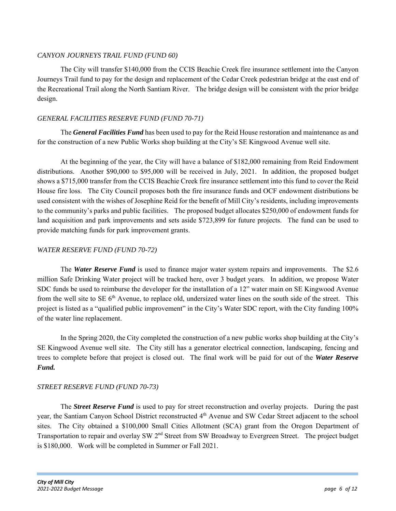## *CANYON JOURNEYS TRAIL FUND (FUND 60)*

The City will transfer \$140,000 from the CCIS Beachie Creek fire insurance settlement into the Canyon Journeys Trail fund to pay for the design and replacement of the Cedar Creek pedestrian bridge at the east end of the Recreational Trail along the North Santiam River. The bridge design will be consistent with the prior bridge design.

## *GENERAL FACILITIES RESERVE FUND (FUND 70-71)*

The *General Facilities Fund* has been used to pay for the Reid House restoration and maintenance as and for the construction of a new Public Works shop building at the City's SE Kingwood Avenue well site.

At the beginning of the year, the City will have a balance of \$182,000 remaining from Reid Endowment distributions. Another \$90,000 to \$95,000 will be received in July, 2021. In addition, the proposed budget shows a \$715,000 transfer from the CCIS Beachie Creek fire insurance settlement into this fund to cover the Reid House fire loss. The City Council proposes both the fire insurance funds and OCF endowment distributions be used consistent with the wishes of Josephine Reid for the benefit of Mill City's residents, including improvements to the community's parks and public facilities. The proposed budget allocates \$250,000 of endowment funds for land acquisition and park improvements and sets aside \$723,899 for future projects. The fund can be used to provide matching funds for park improvement grants.

## *WATER RESERVE FUND (FUND 70-72)*

The *Water Reserve Fund* is used to finance major water system repairs and improvements. The \$2.6 million Safe Drinking Water project will be tracked here, over 3 budget years. In addition, we propose Water SDC funds be used to reimburse the developer for the installation of a 12" water main on SE Kingwood Avenue from the well site to SE  $6<sup>th</sup>$  Avenue, to replace old, undersized water lines on the south side of the street. This project is listed as a "qualified public improvement" in the City's Water SDC report, with the City funding 100% of the water line replacement.

In the Spring 2020, the City completed the construction of a new public works shop building at the City's SE Kingwood Avenue well site. The City still has a generator electrical connection, landscaping, fencing and trees to complete before that project is closed out. The final work will be paid for out of the *Water Reserve Fund.*

## *STREET RESERVE FUND (FUND 70-73)*

The *Street Reserve Fund* is used to pay for street reconstruction and overlay projects. During the past year, the Santiam Canyon School District reconstructed 4<sup>th</sup> Avenue and SW Cedar Street adjacent to the school sites. The City obtained a \$100,000 Small Cities Allotment (SCA) grant from the Oregon Department of Transportation to repair and overlay SW 2<sup>nd</sup> Street from SW Broadway to Evergreen Street. The project budget is \$180,000. Work will be completed in Summer or Fall 2021.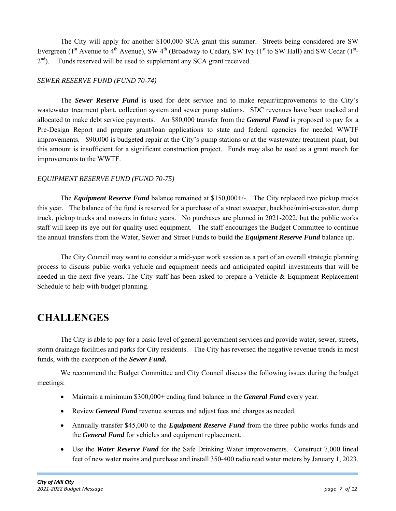The City will apply for another \$100,000 SCA grant this summer. Streets being considered are SW Evergreen ( $1<sup>st</sup>$  Avenue to  $4<sup>th</sup>$  Avenue), SW  $4<sup>th</sup>$  (Broadway to Cedar), SW Ivy ( $1<sup>st</sup>$  to SW Hall) and SW Cedar ( $1<sup>st</sup>$ - $2<sup>nd</sup>$ ). Funds reserved will be used to supplement any SCA grant received.

## *SEWER RESERVE FUND (FUND 70-74)*

The *Sewer Reserve Fund* is used for debt service and to make repair/improvements to the City's wastewater treatment plant, collection system and sewer pump stations. SDC revenues have been tracked and allocated to make debt service payments. An \$80,000 transfer from the *General Fund* is proposed to pay for a Pre-Design Report and prepare grant/loan applications to state and federal agencies for needed WWTF improvements. \$90,000 is budgeted repair at the City's pump stations or at the wastewater treatment plant, but this amount is insufficient for a significant construction project. Funds may also be used as a grant match for improvements to the WWTF.

### *EQUIPMENT RESERVE FUND (FUND 70-75)*

The *Equipment Reserve Fund* balance remained at \$150,000+/-. The City replaced two pickup trucks this year. The balance of the fund is reserved for a purchase of a street sweeper, backhoe/mini-excavator, dump truck, pickup trucks and mowers in future years. No purchases are planned in 2021-2022, but the public works staff will keep its eye out for quality used equipment. The staff encourages the Budget Committee to continue the annual transfers from the Water, Sewer and Street Funds to build the *Equipment Reserve Fund* balance up.

The City Council may want to consider a mid-year work session as a part of an overall strategic planning process to discuss public works vehicle and equipment needs and anticipated capital investments that will be needed in the next five years. The City staff has been asked to prepare a Vehicle & Equipment Replacement Schedule to help with budget planning.

## **CHALLENGES**

The City is able to pay for a basic level of general government services and provide water, sewer, streets, storm drainage facilities and parks for City residents. The City has reversed the negative revenue trends in most funds, with the exception of the *Sewer Fund.*

We recommend the Budget Committee and City Council discuss the following issues during the budget meetings:

- Maintain a minimum \$300,000+ ending fund balance in the *General Fund* every year.
- Review *General Fund* revenue sources and adjust fees and charges as needed.
- Annually transfer \$45,000 to the *Equipment Reserve Fund* from the three public works funds and the *General Fund* for vehicles and equipment replacement.
- Use the *Water Reserve Fund* for the Safe Drinking Water improvements. Construct 7,000 lineal feet of new water mains and purchase and install 350-400 radio read water meters by January 1, 2023.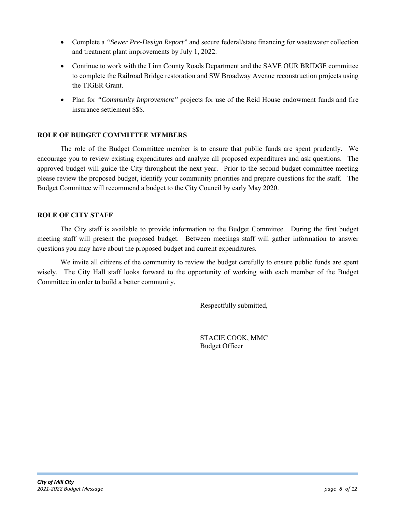- Complete a *"Sewer Pre-Design Report"* and secure federal/state financing for wastewater collection and treatment plant improvements by July 1, 2022.
- Continue to work with the Linn County Roads Department and the SAVE OUR BRIDGE committee to complete the Railroad Bridge restoration and SW Broadway Avenue reconstruction projects using the TIGER Grant.
- Plan for *"Community Improvement"* projects for use of the Reid House endowment funds and fire insurance settlement \$\$\$.

## **ROLE OF BUDGET COMMITTEE MEMBERS**

The role of the Budget Committee member is to ensure that public funds are spent prudently. We encourage you to review existing expenditures and analyze all proposed expenditures and ask questions. The approved budget will guide the City throughout the next year. Prior to the second budget committee meeting please review the proposed budget, identify your community priorities and prepare questions for the staff. The Budget Committee will recommend a budget to the City Council by early May 2020.

### **ROLE OF CITY STAFF**

The City staff is available to provide information to the Budget Committee. During the first budget meeting staff will present the proposed budget. Between meetings staff will gather information to answer questions you may have about the proposed budget and current expenditures.

We invite all citizens of the community to review the budget carefully to ensure public funds are spent wisely. The City Hall staff looks forward to the opportunity of working with each member of the Budget Committee in order to build a better community.

Respectfully submitted,

STACIE COOK, MMC Budget Officer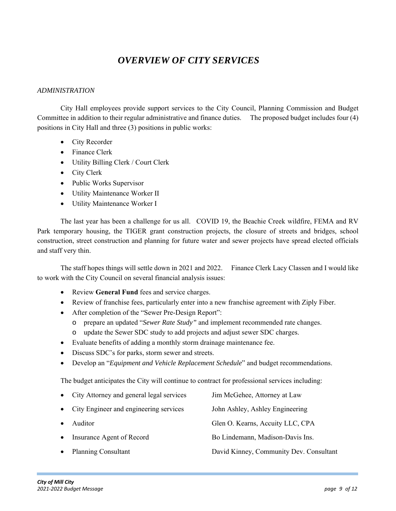## *OVERVIEW OF CITY SERVICES*

### *ADMINISTRATION*

City Hall employees provide support services to the City Council, Planning Commission and Budget Committee in addition to their regular administrative and finance duties. The proposed budget includes four (4) positions in City Hall and three (3) positions in public works:

- City Recorder
- Finance Clerk
- Utility Billing Clerk / Court Clerk
- City Clerk
- Public Works Supervisor
- Utility Maintenance Worker II
- Utility Maintenance Worker I

 The last year has been a challenge for us all. COVID 19, the Beachie Creek wildfire, FEMA and RV Park temporary housing, the TIGER grant construction projects, the closure of streets and bridges, school construction, street construction and planning for future water and sewer projects have spread elected officials and staff very thin.

 The staff hopes things will settle down in 2021 and 2022. Finance Clerk Lacy Classen and I would like to work with the City Council on several financial analysis issues:

- Review **General Fund** fees and service charges.
- Review of franchise fees, particularly enter into a new franchise agreement with Ziply Fiber.
- After completion of the "Sewer Pre-Design Report":
	- o prepare an updated "*Sewer Rate Study"* and implement recommended rate changes.
	- o update the Sewer SDC study to add projects and adjust sewer SDC charges.
- Evaluate benefits of adding a monthly storm drainage maintenance fee.
- Discuss SDC's for parks, storm sewer and streets.
- Develop an "*Equipment and Vehicle Replacement Schedule*" and budget recommendations.

The budget anticipates the City will continue to contract for professional services including:

|           | • City Attorney and general legal services | Jim McGehee, Attorney at Law            |
|-----------|--------------------------------------------|-----------------------------------------|
|           | • City Engineer and engineering services   | John Ashley, Ashley Engineering         |
|           | Auditor                                    | Glen O. Kearns, Accuity LLC, CPA        |
| $\bullet$ | Insurance Agent of Record                  | Bo Lindemann, Madison-Davis Ins.        |
|           | • Planning Consultant                      | David Kinney, Community Dev. Consultant |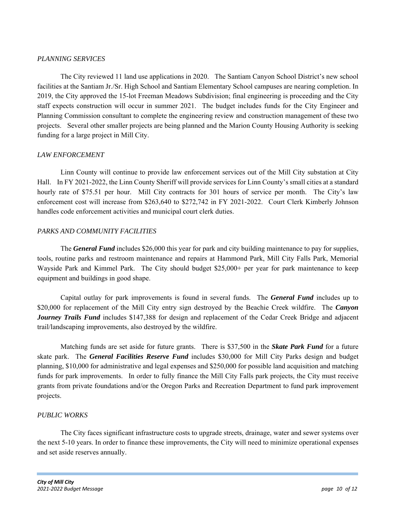### *PLANNING SERVICES*

The City reviewed 11 land use applications in 2020. The Santiam Canyon School District's new school facilities at the Santiam Jr./Sr. High School and Santiam Elementary School campuses are nearing completion. In 2019, the City approved the 15-lot Freeman Meadows Subdivision; final engineering is proceeding and the City staff expects construction will occur in summer 2021. The budget includes funds for the City Engineer and Planning Commission consultant to complete the engineering review and construction management of these two projects. Several other smaller projects are being planned and the Marion County Housing Authority is seeking funding for a large project in Mill City.

### *LAW ENFORCEMENT*

Linn County will continue to provide law enforcement services out of the Mill City substation at City Hall. In FY 2021-2022, the Linn County Sheriff will provide services for Linn County's small cities at a standard hourly rate of \$75.51 per hour. Mill City contracts for 301 hours of service per month. The City's law enforcement cost will increase from \$263,640 to \$272,742 in FY 2021-2022. Court Clerk Kimberly Johnson handles code enforcement activities and municipal court clerk duties.

## *PARKS AND COMMUNITY FACILITIES*

The *General Fund* includes \$26,000 this year for park and city building maintenance to pay for supplies, tools, routine parks and restroom maintenance and repairs at Hammond Park, Mill City Falls Park, Memorial Wayside Park and Kimmel Park. The City should budget \$25,000+ per year for park maintenance to keep equipment and buildings in good shape.

Capital outlay for park improvements is found in several funds. The *General Fund* includes up to \$20,000 for replacement of the Mill City entry sign destroyed by the Beachie Creek wildfire. The *Canyon Journey Trails Fund* includes \$147,388 for design and replacement of the Cedar Creek Bridge and adjacent trail/landscaping improvements, also destroyed by the wildfire.

Matching funds are set aside for future grants. There is \$37,500 in the *Skate Park Fund* for a future skate park. The *General Facilities Reserve Fund* includes \$30,000 for Mill City Parks design and budget planning, \$10,000 for administrative and legal expenses and \$250,000 for possible land acquisition and matching funds for park improvements. In order to fully finance the Mill City Falls park projects, the City must receive grants from private foundations and/or the Oregon Parks and Recreation Department to fund park improvement projects.

### *PUBLIC WORKS*

The City faces significant infrastructure costs to upgrade streets, drainage, water and sewer systems over the next 5-10 years. In order to finance these improvements, the City will need to minimize operational expenses and set aside reserves annually.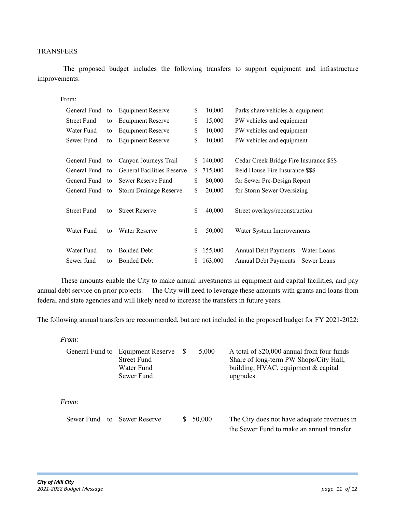### TRANSFERS

 The proposed budget includes the following transfers to support equipment and infrastructure improvements:

From:

| General Fund       | to | <b>Equipment Reserve</b>          | \$ | 10,000  | Parks share vehicles & equipment         |
|--------------------|----|-----------------------------------|----|---------|------------------------------------------|
| <b>Street Fund</b> | to | Equipment Reserve                 | \$ | 15,000  | PW vehicles and equipment                |
| Water Fund         | to | Equipment Reserve                 | \$ | 10,000  | PW vehicles and equipment                |
| Sewer Fund         | to | Equipment Reserve                 | \$ | 10,000  | PW vehicles and equipment                |
|                    |    |                                   |    |         |                                          |
| General Fund to    |    | Canyon Journeys Trail             | \$ | 140,000 | Cedar Creek Bridge Fire Insurance \$\$\$ |
| General Fund to    |    | <b>General Facilities Reserve</b> | S. | 715,000 | Reid House Fire Insurance \$\$\$         |
| General Fund to    |    | Sewer Reserve Fund                | \$ | 80,000  | for Sewer Pre-Design Report              |
| General Fund to    |    | <b>Storm Drainage Reserve</b>     | \$ | 20,000  | for Storm Sewer Oversizing               |
|                    |    |                                   |    |         |                                          |
| <b>Street Fund</b> | to | <b>Street Reserve</b>             | \$ | 40,000  | Street overlays/reconstruction           |
|                    |    |                                   |    |         |                                          |
| Water Fund         | to | <b>Water Reserve</b>              | \$ | 50,000  | Water System Improvements                |
|                    |    |                                   |    |         |                                          |
| Water Fund         | to | <b>Bonded Debt</b>                | \$ | 155,000 | Annual Debt Payments - Water Loans       |
| Sewer fund         | to | <b>Bonded Debt</b>                | S  | 163,000 | Annual Debt Payments – Sewer Loans       |

These amounts enable the City to make annual investments in equipment and capital facilities, and pay annual debt service on prior projects. The City will need to leverage these amounts with grants and loans from federal and state agencies and will likely need to increase the transfers in future years.

The following annual transfers are recommended, but are not included in the proposed budget for FY 2021-2022:

| From:           |                                                                     |              |        |                                                                                                                                          |
|-----------------|---------------------------------------------------------------------|--------------|--------|------------------------------------------------------------------------------------------------------------------------------------------|
| General Fund to | <b>Equipment Reserve</b><br>Street Fund<br>Water Fund<br>Sewer Fund | <sup>S</sup> | 5,000  | A total of \$20,000 annual from four funds<br>Share of long-term PW Shops/City Hall,<br>building, HVAC, equipment & capital<br>upgrades. |
| From:           |                                                                     |              |        |                                                                                                                                          |
| Sewer Fund      | to Sewer Reserve                                                    |              | 50,000 | The City does not have adequate revenues in<br>the Sewer Fund to make an annual transfer.                                                |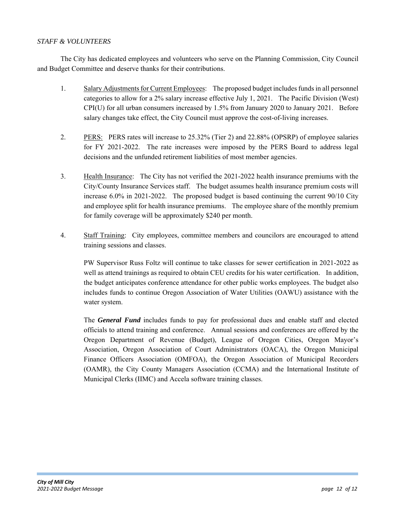## *STAFF & VOLUNTEERS*

The City has dedicated employees and volunteers who serve on the Planning Commission, City Council and Budget Committee and deserve thanks for their contributions.

- 1. Salary Adjustments for Current Employees: The proposed budget includes funds in all personnel categories to allow for a 2% salary increase effective July 1, 2021. The Pacific Division (West) CPI(U) for all urban consumers increased by 1.5% from January 2020 to January 2021. Before salary changes take effect, the City Council must approve the cost-of-living increases.
- 2. PERS: PERS rates will increase to 25.32% (Tier 2) and 22.88% (OPSRP) of employee salaries for FY 2021-2022. The rate increases were imposed by the PERS Board to address legal decisions and the unfunded retirement liabilities of most member agencies.
- 3. Health Insurance: The City has not verified the 2021-2022 health insurance premiums with the City/County Insurance Services staff. The budget assumes health insurance premium costs will increase 6.0% in 2021-2022. The proposed budget is based continuing the current 90/10 City and employee split for health insurance premiums. The employee share of the monthly premium for family coverage will be approximately \$240 per month.
- 4. Staff Training: City employees, committee members and councilors are encouraged to attend training sessions and classes.

 PW Supervisor Russ Foltz will continue to take classes for sewer certification in 2021-2022 as well as attend trainings as required to obtain CEU credits for his water certification. In addition, the budget anticipates conference attendance for other public works employees. The budget also includes funds to continue Oregon Association of Water Utilities (OAWU) assistance with the water system.

 The *General Fund* includes funds to pay for professional dues and enable staff and elected officials to attend training and conference. Annual sessions and conferences are offered by the Oregon Department of Revenue (Budget), League of Oregon Cities, Oregon Mayor's Association, Oregon Association of Court Administrators (OACA), the Oregon Municipal Finance Officers Association (OMFOA), the Oregon Association of Municipal Recorders (OAMR), the City County Managers Association (CCMA) and the International Institute of Municipal Clerks (IIMC) and Accela software training classes.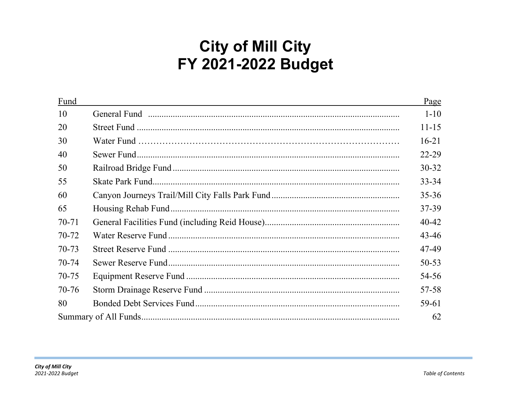# **City of Mill City** FY 2021-2022 Budget

| Fund      | Page      |
|-----------|-----------|
| 10        | $1 - 10$  |
| 20        | $11 - 15$ |
| 30        | $16 - 21$ |
| 40        | $22 - 29$ |
| 50        | $30 - 32$ |
| 55        | $33 - 34$ |
| 60        | $35 - 36$ |
| 65        | 37-39     |
| $70 - 71$ | $40 - 42$ |
| 70-72     | 43-46     |
| $70 - 73$ | 47-49     |
| 70-74     | $50 - 53$ |
| 70-75     | 54-56     |
| $70 - 76$ | 57-58     |
| 80        | 59-61     |
|           | 62        |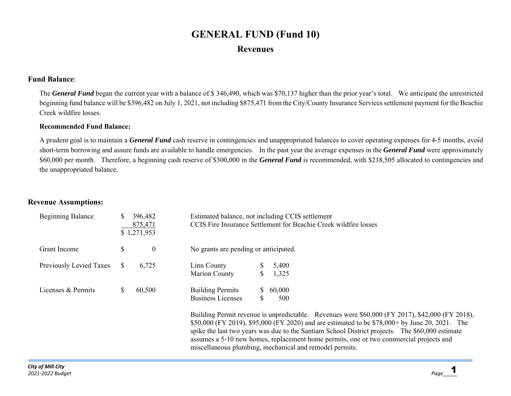## **GENERAL FUND (Fund 10) Revenues**

## **Fund Balance**:

The *General Fund* began the current year with a balance of \$ 346,490, which was \$70,137 higher than the prior year's total. We anticipate the unrestricted beginning fund balance will be \$396,482 on July 1, 2021, not including \$875,471 from the City/County Insurance Services settlement payment for the Beachie Creek wildfire losses.

### **Recommended Fund Balance:**

A prudent goal is to maintain a *General Fund* cash reserve in contingencies and unappropriated balances to cover operating expenses for 4-5 months, avoid short-term borrowing and assure funds are available to handle emergencies. In the past year the average expenses in the *General Fund* were approximately \$60,000 per month. Therefore, a beginning cash reserve of \$300,000 in the *General Fund* is recommended, with \$218,505 allocated to contingencies and the unappropriated balance.

miscellaneous plumbing, mechanical and remodel permits.

## **Revenue Assumptions:**

| <b>Beginning Balance</b> |    | 396,482<br>875,471<br>\$1,271,953 | Estimated balance, not including CCIS settlement |    |        | CCIS Fire Insurance Settlement for Beachie Creek wildfire losses                                                                                                                                                                                                                                                                                                                               |
|--------------------------|----|-----------------------------------|--------------------------------------------------|----|--------|------------------------------------------------------------------------------------------------------------------------------------------------------------------------------------------------------------------------------------------------------------------------------------------------------------------------------------------------------------------------------------------------|
| Grant Income             | \$ | $\overline{0}$                    | No grants are pending or anticipated.            |    |        |                                                                                                                                                                                                                                                                                                                                                                                                |
| Previously Levied Taxes  | S. | 6,725                             | Linn County                                      |    | 5,400  |                                                                                                                                                                                                                                                                                                                                                                                                |
|                          |    |                                   | Marion County                                    |    | 1,325  |                                                                                                                                                                                                                                                                                                                                                                                                |
| Licenses & Permits       |    | 60,500                            | <b>Building Permits</b>                          | S. | 60,000 |                                                                                                                                                                                                                                                                                                                                                                                                |
|                          |    |                                   | <b>Business Licenses</b>                         |    | 500    |                                                                                                                                                                                                                                                                                                                                                                                                |
|                          |    |                                   |                                                  |    |        | Building Permit revenue is unpredictable. Revenues were \$60,000 (FY 2017), \$42,000 (FY 2018),<br>\$50,000 (FY 2019), \$95,000 (FY 2020) and are estimated to be \$78,000+ by June 20, 2021. The<br>spike the last two years was due to the Santiam School District projects. The \$60,000 estimate<br>assumes a 5-10 new homes, replacement home permits, one or two commercial projects and |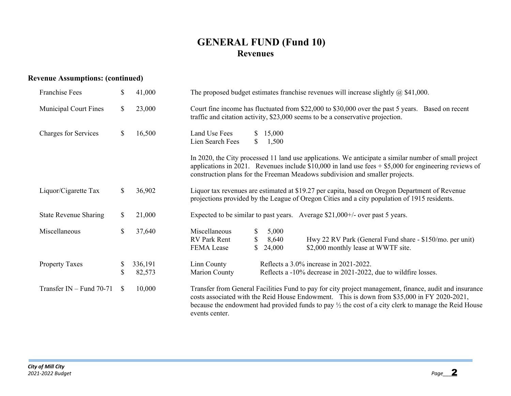## **GENERAL FUND (Fund 10) Revenues**

## **Revenue Assumptions: (continued)**

| <b>Franchise Fees</b>        | \$           | 41,000            | The proposed budget estimates franchise revenues will increase slightly $\omega$ \$41,000.                                                                                                                                                                                                                                                 |  |  |  |  |
|------------------------------|--------------|-------------------|--------------------------------------------------------------------------------------------------------------------------------------------------------------------------------------------------------------------------------------------------------------------------------------------------------------------------------------------|--|--|--|--|
| <b>Municipal Court Fines</b> | $\mathbb{S}$ | 23,000            | Court fine income has fluctuated from \$22,000 to \$30,000 over the past 5 years. Based on recent<br>traffic and citation activity, \$23,000 seems to be a conservative projection.                                                                                                                                                        |  |  |  |  |
| Charges for Services         | \$           | 16,500            | Land Use Fees<br>15,000<br>S.<br>Lien Search Fees<br>1,500<br><sup>\$</sup>                                                                                                                                                                                                                                                                |  |  |  |  |
|                              |              |                   | In 2020, the City processed 11 land use applications. We anticipate a similar number of small project<br>applications in 2021. Revenues include \$10,000 in land use fees $+$ \$5,000 for engineering reviews of<br>construction plans for the Freeman Meadows subdivision and smaller projects.                                           |  |  |  |  |
| Liquor/Cigarette Tax         | $\mathbb{S}$ | 36,902            | Liquor tax revenues are estimated at \$19.27 per capita, based on Oregon Department of Revenue<br>projections provided by the League of Oregon Cities and a city population of 1915 residents.                                                                                                                                             |  |  |  |  |
| <b>State Revenue Sharing</b> | \$           | 21,000            | Expected to be similar to past years. Average $$21,000+/-$ over past 5 years.                                                                                                                                                                                                                                                              |  |  |  |  |
| Miscellaneous                | $\mathbb{S}$ | 37,640            | Miscellaneous<br>\$<br>5,000<br><b>RV</b> Park Rent<br>Hwy 22 RV Park (General Fund share - \$150/mo. per unit)<br>\$<br>8,640<br>\$<br>\$2,000 monthly lease at WWTF site.<br>FEMA Lease<br>24,000                                                                                                                                        |  |  |  |  |
| <b>Property Taxes</b>        | \$<br>\$     | 336,191<br>82,573 | Reflects a 3.0% increase in 2021-2022.<br>Linn County<br>Reflects a -10% decrease in 2021-2022, due to wildfire losses.<br>Marion County                                                                                                                                                                                                   |  |  |  |  |
| Transfer IN $-$ Fund 70-71   | <sup>S</sup> | 10,000            | Transfer from General Facilities Fund to pay for city project management, finance, audit and insurance<br>costs associated with the Reid House Endowment. This is down from \$35,000 in FY 2020-2021,<br>because the endowment had provided funds to pay $\frac{1}{2}$ the cost of a city clerk to manage the Reid House<br>events center. |  |  |  |  |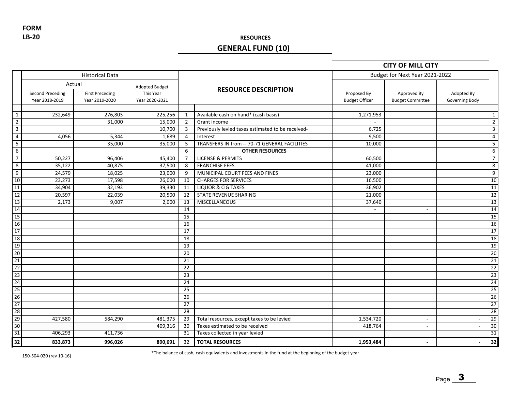**LB‐20 FORM**

## **RESOURCES**

## **GENERAL FUND (10)**

### **CITY OF MILL CITY**

|                         |                                                     | <b>Historical Data</b>                   |                                                      |                |                                                   |                                      | Budget for Next Year 2021-2022         |                              |                 |
|-------------------------|-----------------------------------------------------|------------------------------------------|------------------------------------------------------|----------------|---------------------------------------------------|--------------------------------------|----------------------------------------|------------------------------|-----------------|
|                         | Actual<br><b>Second Preceding</b><br>Year 2018-2019 | <b>First Preceding</b><br>Year 2019-2020 | <b>Adopted Budget</b><br>This Year<br>Year 2020-2021 |                | <b>RESOURCE DESCRIPTION</b>                       | Proposed By<br><b>Budget Officer</b> | Approved By<br><b>Budget Committee</b> | Adopted By<br>Governing Body |                 |
|                         |                                                     |                                          |                                                      |                |                                                   |                                      |                                        |                              |                 |
| $\mathbf{1}$            | 232,649                                             | 276,803                                  | 225,256                                              | 1              | Available cash on hand* (cash basis)              | 1,271,953                            |                                        |                              | 1               |
| $\overline{2}$          |                                                     | 31,000                                   | 15,000                                               | $\overline{2}$ | Grant income                                      |                                      |                                        |                              | $\overline{2}$  |
| $\mathbf{3}$            |                                                     |                                          | 10,700                                               | 3              | Previously levied taxes estimated to be received- | 6,725                                |                                        |                              | $\overline{3}$  |
| $\overline{4}$          | 4,056                                               | 5,344                                    | 1,689                                                | 4              | Interest                                          | 9,500                                |                                        |                              | $\overline{4}$  |
| $\overline{\mathbf{5}}$ |                                                     | 35,000                                   | 35,000                                               | 5              | TRANSFERS IN from -- 70-71 GENERAL FACILITIES     | 10,000                               |                                        |                              | 5               |
| 6                       |                                                     |                                          |                                                      | 6              | <b>OTHER RESOURCES</b>                            |                                      |                                        |                              | 6               |
| $\overline{7}$          | 50,227                                              | 96,406                                   | 45,400                                               | 7              | <b>LICENSE &amp; PERMITS</b>                      | 60,500                               |                                        |                              | $\overline{7}$  |
| 8                       | 35,122                                              | 40,875                                   | 37,500                                               | 8              | <b>FRANCHISE FEES</b>                             | 41,000                               |                                        |                              | 8               |
| 9                       | 24,579                                              | 18,025                                   | 23,000                                               | 9              | MUNICIPAL COURT FEES AND FINES                    | 23,000                               |                                        |                              | 9               |
| 10                      | 23,273                                              | 17,598                                   | 26,000                                               | 10             | <b>CHARGES FOR SERVICES</b>                       | 16,500                               |                                        |                              | 10              |
| 11                      | 34,904                                              | 32,193                                   | 39,330                                               | 11             | <b>LIQUOR &amp; CIG TAXES</b>                     | 36,902                               |                                        |                              | 11              |
| 12                      | 20,597                                              | 22,039                                   | 20,500                                               | 12             | <b>STATE REVENUE SHARING</b>                      | 21,000                               |                                        |                              | 12              |
| 13                      | 2,173                                               | 9,007                                    | 2,000                                                | 13             | MISCELLANEOUS                                     | 37,640                               |                                        |                              | 13              |
| 14                      |                                                     |                                          |                                                      | 14             |                                                   |                                      | $\sim$                                 |                              | 14              |
| 15                      |                                                     |                                          |                                                      | 15             |                                                   |                                      |                                        |                              | 15              |
| 16                      |                                                     |                                          |                                                      | 16             |                                                   |                                      |                                        |                              | 16              |
| 17                      |                                                     |                                          |                                                      | 17             |                                                   |                                      |                                        |                              | 17              |
| 18                      |                                                     |                                          |                                                      | 18             |                                                   |                                      |                                        |                              | 18              |
| 19                      |                                                     |                                          |                                                      | 19             |                                                   |                                      |                                        |                              | 19              |
| 20                      |                                                     |                                          |                                                      | 20             |                                                   |                                      |                                        |                              | $\overline{20}$ |
| 21                      |                                                     |                                          |                                                      | 21             |                                                   |                                      |                                        |                              | 21              |
| 22                      |                                                     |                                          |                                                      | 22             |                                                   |                                      |                                        |                              | 22              |
| 23                      |                                                     |                                          |                                                      | 23             |                                                   |                                      |                                        |                              | 23              |
| 24                      |                                                     |                                          |                                                      | 24             |                                                   |                                      |                                        |                              | 24              |
| 25                      |                                                     |                                          |                                                      | 25             |                                                   |                                      |                                        |                              | 25              |
| 26                      |                                                     |                                          |                                                      | 26             |                                                   |                                      |                                        |                              | 26              |
| 27                      |                                                     |                                          |                                                      | 27             |                                                   |                                      |                                        |                              | 27              |
| 28                      |                                                     |                                          |                                                      | 28             |                                                   |                                      |                                        |                              | 28              |
| 29                      | 427,580                                             | 584,290                                  | 481,375                                              | 29             | Total resources, except taxes to be levied        | 1,534,720                            | $\sim$                                 | $\sim$                       | 29              |
| 30                      |                                                     |                                          | 409,316                                              | 30             | Taxes estimated to be received                    | 418,764                              | $\sim$                                 |                              | 30              |
| 31                      | 406,293                                             | 411,736                                  |                                                      | 31             | Taxes collected in year levied                    |                                      |                                        |                              | 31              |
| 32                      | 833,873                                             | 996,026                                  | 890,691                                              | 32             | <b>TOTAL RESOURCES</b>                            | 1,953,484                            |                                        |                              | 32              |

150‐504‐020 (rev 10‐16) \*The balance of cash, cash equivalents and investments in the fund at the beginning of the budget year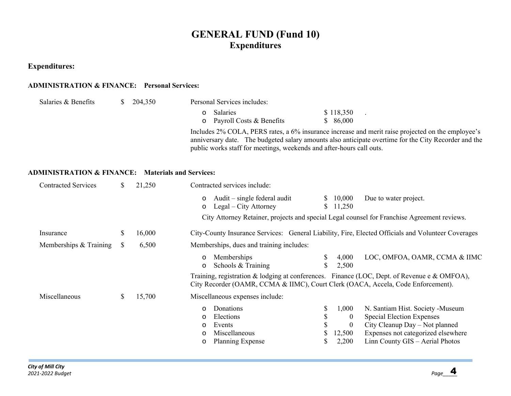## **GENERAL FUND (Fund 10) Expenditures**

## **Expenditures:**

### **ADMINISTRATION & FINANCE: Personal Services:**

| Salaries & Benefits | S. | 204,350 | Personal Services includes:                                          |                                                                                                                                                                                                           |
|---------------------|----|---------|----------------------------------------------------------------------|-----------------------------------------------------------------------------------------------------------------------------------------------------------------------------------------------------------|
|                     |    |         | <b>Salaries</b>                                                      | \$118,350                                                                                                                                                                                                 |
|                     |    |         | $\circ$ Payroll Costs & Benefits                                     | \$86,000                                                                                                                                                                                                  |
|                     |    |         | public works staff for meetings, weekends and after-hours call outs. | Includes 2% COLA, PERS rates, a 6% insurance increase and merit raise projected on the employee's<br>anniversary date. The budgeted salary amounts also anticipate overtime for the City Recorder and the |

### **ADMINISTRATION & FINANCE: Materials and Services:**

| <b>Contracted Services</b> | \$<br>21,250 | Contracted services include:                                                                                                                                                                                                                                                                                                                                                        |
|----------------------------|--------------|-------------------------------------------------------------------------------------------------------------------------------------------------------------------------------------------------------------------------------------------------------------------------------------------------------------------------------------------------------------------------------------|
|                            |              | Audit – single federal audit<br>Due to water project.<br>10,000<br>S.<br>$\circ$<br>Legal – City Attorney<br>11,250<br>$\mathbb{S}$<br>$\circ$                                                                                                                                                                                                                                      |
|                            |              | City Attorney Retainer, projects and special Legal counsel for Franchise Agreement reviews.                                                                                                                                                                                                                                                                                         |
| Insurance                  | \$<br>16,000 | City-County Insurance Services: General Liability, Fire, Elected Officials and Volunteer Coverages                                                                                                                                                                                                                                                                                  |
| Memberships & Training     | \$<br>6,500  | Memberships, dues and training includes:                                                                                                                                                                                                                                                                                                                                            |
|                            |              | LOC, OMFOA, OAMR, CCMA & IIMC<br>Memberships<br>\$<br>4,000<br>$\circ$<br>Schools & Training<br>2,500<br>$\circ$                                                                                                                                                                                                                                                                    |
|                            |              | Training, registration & lodging at conferences. Finance (LOC, Dept. of Revenue e & OMFOA),<br>City Recorder (OAMR, CCMA & IIMC), Court Clerk (OACA, Accela, Code Enforcement).                                                                                                                                                                                                     |
| Miscellaneous              | \$<br>15,700 | Miscellaneous expenses include:                                                                                                                                                                                                                                                                                                                                                     |
|                            |              | \$<br>1,000<br>Donations<br>N. Santiam Hist. Society - Museum<br>$\circ$<br>\$<br>Special Election Expenses<br>Elections<br>$\theta$<br>$\circ$<br>$\mathbb{S}$<br>City Cleanup Day – Not planned<br>Events<br>$\theta$<br>$\circ$<br>Expenses not categorized elsewhere<br>Miscellaneous<br>12,500<br>$\circ$<br>2,200<br>Linn County GIS – Aerial Photos<br>Planning Expense<br>O |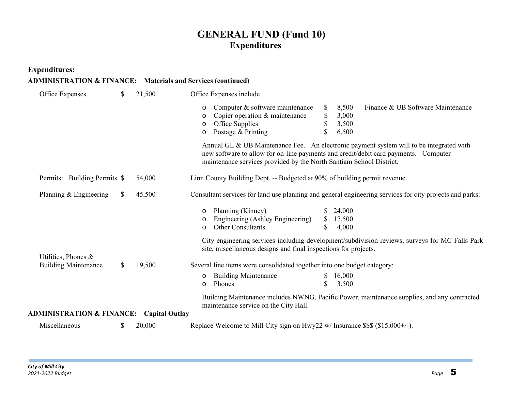## **GENERAL FUND (Fund 10) Expenditures**

**Expenditures:**

| <b>ADMINISTRATION &amp; FINANCE:</b> Materials and Services (continued) |  |  |
|-------------------------------------------------------------------------|--|--|
|                                                                         |  |  |

| Office Expenses                                     | \$<br>21,500 | Office Expenses include                                                                                                                                                                                                                                 |
|-----------------------------------------------------|--------------|---------------------------------------------------------------------------------------------------------------------------------------------------------------------------------------------------------------------------------------------------------|
|                                                     |              | Computer & software maintenance<br>8,500<br>Finance & UB Software Maintenance<br>\$<br>$\circ$<br>\$<br>Copier operation & maintenance<br>3,000<br>$\circ$<br>\$<br>Office Supplies<br>3,500<br>$\circ$<br>\$<br>Postage & Printing<br>6,500<br>$\circ$ |
|                                                     |              | Annual GL & UB Maintenance Fee. An electronic payment system will to be integrated with<br>new software to allow for on-line payments and credit/debit card payments. Computer<br>maintenance services provided by the North Santiam School District.   |
| Permits: Building Permits \$                        | 54,000       | Linn County Building Dept. -- Budgeted at 90% of building permit revenue.                                                                                                                                                                               |
| Planning & Engineering                              | \$<br>45,500 | Consultant services for land use planning and general engineering services for city projects and parks:                                                                                                                                                 |
|                                                     |              | Planning (Kinney)<br>24,000<br>$\circ$<br>Engineering (Ashley Engineering)<br>\$<br>17,500<br>$\circ$<br>Other Consultants<br>\$<br>4,000<br>$\circ$<br>City engineering services including development/subdivision reviews, surveys for MC Falls Park  |
| Utilities, Phones &                                 |              | site, miscellaneous designs and final inspections for projects.                                                                                                                                                                                         |
| <b>Building Maintenance</b>                         | \$<br>19,500 | Several line items were consolidated together into one budget category:                                                                                                                                                                                 |
|                                                     |              | <b>Building Maintenance</b><br>16,000<br>$\circ$<br>Phones<br>\$<br>3,500<br>$\circ$                                                                                                                                                                    |
|                                                     |              | Building Maintenance includes NWNG, Pacific Power, maintenance supplies, and any contracted<br>maintenance service on the City Hall.                                                                                                                    |
| <b>ADMINISTRATION &amp; FINANCE:</b> Capital Outlay |              |                                                                                                                                                                                                                                                         |
| Miscellaneous                                       | \$<br>20,000 | Replace Welcome to Mill City sign on Hwy22 w/ Insurance \$\$\$ (\$15,000+/-).                                                                                                                                                                           |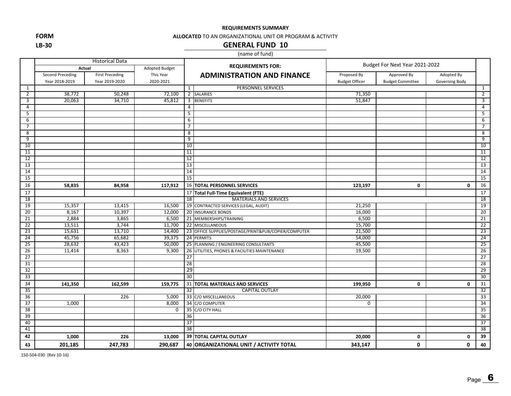**FORMLB‐30**

#### **ALLOCATED** TO AN ORGANIZATIONAL UNIT OR PROGRAM & ACTIVITY

### **GENERAL FUND 10**

#### (name of fund)

|                 |                  | <b>Historical Data</b> |                |                          |                                                      | Budget For Next Year 2021-2022 |                         |                |                 |
|-----------------|------------------|------------------------|----------------|--------------------------|------------------------------------------------------|--------------------------------|-------------------------|----------------|-----------------|
|                 | Actual           |                        | Adopted Budget | <b>REQUIREMENTS FOR:</b> |                                                      |                                |                         |                |                 |
|                 | Second Preceding | <b>First Preceding</b> | This Year      |                          | <b>ADMINISTRATION AND FINANCE</b>                    | Proposed By                    | Approved By             | Adopted By     |                 |
|                 | Year 2018-2019   | Year 2019-2020         | 2020-2021      |                          |                                                      | <b>Budget Officer</b>          | <b>Budget Committee</b> | Governing Body |                 |
| 1               |                  |                        |                | $\mathbf{1}$             | PERSONNEL SERVICES                                   |                                |                         |                | $\mathbf{1}$    |
| 2               | 38,772           | 50,248                 | 72,100         |                          | 2 SALARIES                                           | 71,350                         |                         |                | $\overline{2}$  |
| 3               | 20,063           | 34,710                 | 45,812         | 3                        | <b>BENEFITS</b>                                      | 51,847                         |                         |                | 3               |
| 4               |                  |                        |                | $\overline{4}$           |                                                      |                                |                         |                | 4               |
| 5               |                  |                        |                | 5                        |                                                      |                                |                         |                | 5               |
| 6               |                  |                        |                | 6                        |                                                      |                                |                         |                | 6               |
| 7               |                  |                        |                | 7                        |                                                      |                                |                         |                | 7               |
| 8               |                  |                        |                | 8                        |                                                      |                                |                         |                | 8               |
| 9               |                  |                        |                | 9                        |                                                      |                                |                         |                | 9               |
| 10              |                  |                        |                | 10                       |                                                      |                                |                         |                | 10              |
| 11              |                  |                        |                | 11                       |                                                      |                                |                         |                | 11              |
| $\overline{12}$ |                  |                        |                | 12                       |                                                      |                                |                         |                | 12              |
| 13              |                  |                        |                | 13                       |                                                      |                                |                         |                | 13              |
| 14              |                  |                        |                | 14                       |                                                      |                                |                         |                | 14              |
| 15              |                  |                        |                | 15                       |                                                      |                                |                         |                | 15              |
| 16              | 58,835           | 84,958                 | 117,912        |                          | <b>16 TOTAL PERSONNEL SERVICES</b>                   | 123,197                        | 0                       | $\mathbf{0}$   | 16              |
| 17              |                  |                        |                |                          | 17 Total Full-Time Equivalent (FTE)                  |                                |                         |                | 17              |
| 18              |                  |                        |                | 18                       | <b>MATERIALS AND SERVICES</b>                        |                                |                         |                | 18              |
| 19              | 15,357           | 13,415                 | 16,500         |                          | 19 CONTRACTED SERVICES (LEGAL, AUDIT)                | 21,250                         |                         |                | 19              |
| $\overline{20}$ | 8,167            | 10,397                 | 12,000         |                          | 20 INSURANCE BONDS                                   | 16,000                         |                         |                | $\overline{20}$ |
| 21              | 2,884            | 3,865                  | 6,500          |                          | 21 MEMBERSHIPS/TRAINING                              | 6,500                          |                         |                | 21              |
| $\overline{22}$ | 13,511           | 3,744                  | 11,700         |                          | 22 MISCELLANEOUS                                     | 15,700                         |                         |                | 22              |
| $\overline{23}$ | 15,631           | 13,710                 | 14,400         |                          | 23 OFFICE SUPPLIES/POSTAGE/PRINT&PUB/COPIER/COMPUTER | 21,500                         |                         |                | $\overline{23}$ |
| 24              | 45,756           | 65,682                 | 39,375         |                          | 24 PERMITS                                           | 54,000                         |                         |                | 24              |
| $\overline{25}$ | 28,632           | 43,423                 | 50,000         |                          | 25 PLANNING / ENGINEERING CONSULTANTS                | 45,500                         |                         |                | 25              |
| 26              | 11,414           | 8,363                  | 9,300          | 26                       | UTILITIES, PHONES & FACILITIES MAINTENANCE           | 19,500                         |                         |                | 26              |
| 27              |                  |                        |                | 27                       |                                                      |                                |                         |                | 27              |
| 31              |                  |                        |                | 28                       |                                                      |                                |                         |                | 28              |
| 32              |                  |                        |                | 29                       |                                                      |                                |                         |                | 29              |
| 33              |                  |                        |                | 30                       |                                                      |                                |                         |                | 30              |
| 34              | 141,350          | 162,599                | 159,775        |                          | 31 TOTAL MATERIALS AND SERVICES                      | 199,950                        | 0                       | 0              | 31              |
| 35              |                  |                        |                | 32                       | <b>CAPITAL OUTLAY</b>                                |                                |                         |                | 32              |
| 36              |                  | 226                    | 5,000          |                          | 33 C/O MISCELLANEOUS                                 | 20,000                         |                         |                | 33              |
| 37              | 1,000            |                        | 8,000          |                          | 34 C/O COMPUTER                                      | $\mathbf 0$                    |                         |                | 34              |
| $\overline{38}$ |                  |                        | $\overline{0}$ |                          | 35 C/O CITY HALL                                     |                                |                         |                | 35              |
| 39              |                  |                        |                | 36                       |                                                      |                                |                         |                | 36              |
| 40              |                  |                        |                | 37                       |                                                      |                                |                         |                | $\overline{37}$ |
| 41              |                  |                        |                | 38                       |                                                      |                                |                         |                | 38              |
| 42              | 1,000            | 226                    | 13,000         |                          | <b>39 TOTAL CAPITAL OUTLAY</b>                       | 20,000                         | 0                       | 0              | 39              |
| 43              | 201,185          | 247,783                | 290,687        |                          | 40 ORGANIZATIONAL UNIT / ACTIVITY TOTAL              | 343,147                        | 0                       | $\mathbf{0}$   | 40              |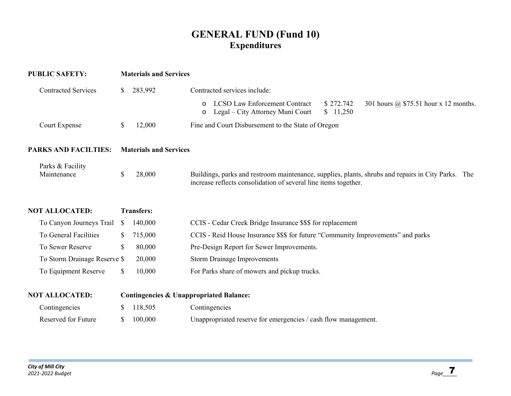## **GENERAL FUND (Fund 10) Expenditures**

| <b>PUBLIC SAFETY:</b>           |              | <b>Materials and Services</b> |                                                                                                                                                                       |  |  |  |  |
|---------------------------------|--------------|-------------------------------|-----------------------------------------------------------------------------------------------------------------------------------------------------------------------|--|--|--|--|
| <b>Contracted Services</b>      | \$           | 283,992                       | Contracted services include:                                                                                                                                          |  |  |  |  |
|                                 |              |                               | <b>LCSO Law Enforcement Contract</b><br>\$272.742<br>301 hours @ \$75.51 hour x 12 months.<br>$\circ$<br>Legal – City Attorney Muni Court<br>\$11,250<br>O            |  |  |  |  |
| Court Expense                   | \$           | 12,000                        | Fine and Court Disbursement to the State of Oregon                                                                                                                    |  |  |  |  |
| <b>PARKS AND FACILTIES:</b>     |              | <b>Materials and Services</b> |                                                                                                                                                                       |  |  |  |  |
| Parks & Facility<br>Maintenance | \$           | 28,000                        | Buildings, parks and restroom maintenance, supplies, plants, shrubs and repairs in City Parks. The<br>increase reflects consolidation of several line items together. |  |  |  |  |
| <b>NOT ALLOCATED:</b>           |              | <b>Transfers:</b>             |                                                                                                                                                                       |  |  |  |  |
| To Canyon Journeys Trail        | <sup>S</sup> | 140,000                       | CCIS - Cedar Creek Bridge Insurance \$\$\$ for replacement                                                                                                            |  |  |  |  |
| To General Facilities           |              | 715,000                       | CCIS - Reid House Insurance \$\$\$ for future "Community Improvements" and parks                                                                                      |  |  |  |  |
| To Sewer Reserve                | \$           | 80,000                        | Pre-Design Report for Sewer Improvements.                                                                                                                             |  |  |  |  |
| To Storm Drainage Reserve \$    |              | 20,000                        | <b>Storm Drainage Improvements</b>                                                                                                                                    |  |  |  |  |
| To Equipment Reserve            | \$           | 10,000                        | For Parks share of mowers and pickup trucks.                                                                                                                          |  |  |  |  |
| <b>NOT ALLOCATED:</b>           |              |                               | <b>Contingencies &amp; Unappropriated Balance:</b>                                                                                                                    |  |  |  |  |
| Contingencies                   |              | 118,505                       | Contingencies                                                                                                                                                         |  |  |  |  |
| Reserved for Future             | \$           | 100,000                       | Unappropriated reserve for emergencies / cash flow management.                                                                                                        |  |  |  |  |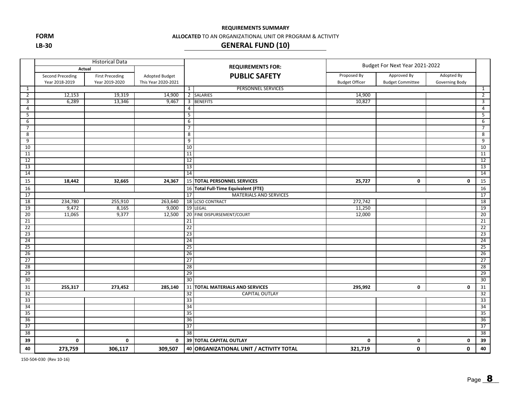**FORM LB‐30**

#### **ALLOCATED** TO AN ORGANIZATIONAL UNIT OR PROGRAM & ACTIVITY

## **GENERAL FUND (10)**

|                 | <b>Historical Data</b>  |                        |                     |                          |                                         | Budget For Next Year 2021-2022 |                         |                |                 |
|-----------------|-------------------------|------------------------|---------------------|--------------------------|-----------------------------------------|--------------------------------|-------------------------|----------------|-----------------|
|                 |                         | Actual                 |                     | <b>REQUIREMENTS FOR:</b> |                                         |                                |                         |                |                 |
|                 | <b>Second Preceding</b> | <b>First Preceding</b> | Adopted Budget      |                          | <b>PUBLIC SAFETY</b>                    | Proposed By                    | Approved By             | Adopted By     |                 |
|                 | Year 2018-2019          | Year 2019-2020         | This Year 2020-2021 |                          |                                         | <b>Budget Officer</b>          | <b>Budget Committee</b> | Governing Body |                 |
| $\mathbf{1}$    |                         |                        |                     | $\mathbf{1}$             | <b>PERSONNEL SERVICES</b>               |                                |                         |                | $\mathbf{1}$    |
| $\overline{2}$  | 12,153                  | 19,319                 | 14,900              |                          | 2 SALARIES                              | 14,900                         |                         |                | $\overline{2}$  |
| 3               | 6,289                   | 13,346                 | 9,467               | 3                        | <b>BENEFITS</b>                         | 10,827                         |                         |                | 3               |
| $\overline{4}$  |                         |                        |                     | 4                        |                                         |                                |                         |                | $\overline{4}$  |
| 5               |                         |                        |                     | 5                        |                                         |                                |                         |                | $\overline{5}$  |
| 6               |                         |                        |                     | 6                        |                                         |                                |                         |                | 6               |
| 7               |                         |                        |                     | $\overline{7}$           |                                         |                                |                         |                | 7               |
| 8               |                         |                        |                     | 8                        |                                         |                                |                         |                | $\infty$        |
| 9               |                         |                        |                     | 9                        |                                         |                                |                         |                | 9               |
| 10              |                         |                        |                     | 10                       |                                         |                                |                         |                | 10              |
| 11              |                         |                        |                     | 11                       |                                         |                                |                         |                | 11              |
| 12              |                         |                        |                     | 12                       |                                         |                                |                         |                | 12              |
| $\overline{13}$ |                         |                        |                     | 13                       |                                         |                                |                         |                | 13              |
| 14              |                         |                        |                     | 14                       |                                         |                                |                         |                | 14              |
| 15              | 18,442                  | 32,665                 | 24,367              |                          | 15 TOTAL PERSONNEL SERVICES             | 25,727                         | 0                       | 0              | 15              |
| 16              |                         |                        |                     |                          | 16 Total Full-Time Equivalent (FTE)     |                                |                         |                | 16              |
| 17              |                         |                        |                     | 17                       | <b>MATERIALS AND SERVICES</b>           |                                |                         |                | 17              |
| $\overline{18}$ | 234,780                 | 255,910                | 263,640             |                          | 18 LCSO CONTRACT                        | 272,742                        |                         |                | $\overline{18}$ |
| 19              | 9,472                   | 8,165                  | 9,000               |                          | 19 LEGAL                                | 11,250                         |                         |                | 19              |
| 20              | 11,065                  | 9,377                  | 12,500              |                          | 20 FINE DISPURSEMENT/COURT              | 12,000                         |                         |                | 20              |
| 21              |                         |                        |                     | 21                       |                                         |                                |                         |                | $\overline{21}$ |
| $\overline{22}$ |                         |                        |                     | 22                       |                                         |                                |                         |                | 22              |
| 23              |                         |                        |                     | 23                       |                                         |                                |                         |                | 23              |
| $\overline{24}$ |                         |                        |                     | 24                       |                                         |                                |                         |                | 24              |
| $\overline{25}$ |                         |                        |                     | 25                       |                                         |                                |                         |                | 25              |
| 26              |                         |                        |                     | 26                       |                                         |                                |                         |                | 26              |
| 27              |                         |                        |                     | 27                       |                                         |                                |                         |                | 27              |
| $\overline{28}$ |                         |                        |                     | 28                       |                                         |                                |                         |                | 28              |
| 29              |                         |                        |                     | 29                       |                                         |                                |                         |                | 29              |
| 30              |                         |                        |                     | 30                       |                                         |                                |                         |                | 30              |
| 31              | 255,317                 | 273,452                | 285,140             | 31                       | <b>TOTAL MATERIALS AND SERVICES</b>     | 295,992                        | 0                       | $\mathbf 0$    | 31              |
| 32              |                         |                        |                     | 32                       | <b>CAPITAL OUTLAY</b>                   |                                |                         |                | 32              |
| 33              |                         |                        |                     | 33                       |                                         |                                |                         |                | 33              |
| 34              |                         |                        |                     | 34                       |                                         |                                |                         |                | 34              |
| 35              |                         |                        |                     | 35                       |                                         |                                |                         |                | 35              |
| 36              |                         |                        |                     | 36                       |                                         |                                |                         |                | 36              |
| 37              |                         |                        |                     | 37                       |                                         |                                |                         |                | 37              |
| 38              |                         |                        |                     | 38                       |                                         |                                |                         |                | 38              |
| 39              | $\mathbf 0$             | 0                      | 0                   |                          | 39 TOTAL CAPITAL OUTLAY                 | 0                              | 0                       | 0              | 39              |
| 40              | 273,759                 | 306,117                | 309,507             |                          | 40 ORGANIZATIONAL UNIT / ACTIVITY TOTAL | 321,719                        | $\mathbf 0$             | 0              | 40              |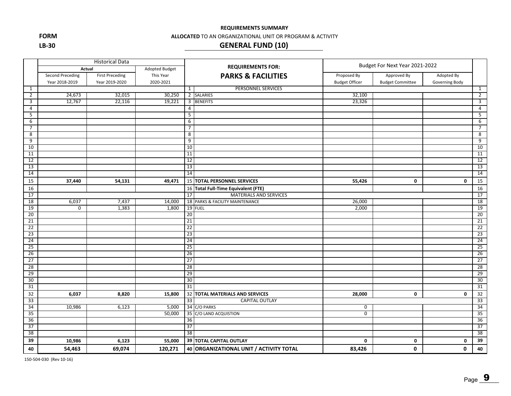**FORM**

**LB‐30**

#### **ALLOCATED** TO AN ORGANIZATIONAL UNIT OR PROGRAM & ACTIVITY

## **GENERAL FUND (10)**

|                 |                         | <b>Historical Data</b> |                |                 |                                         | Budget For Next Year 2021-2022 |                         |                |                 |
|-----------------|-------------------------|------------------------|----------------|-----------------|-----------------------------------------|--------------------------------|-------------------------|----------------|-----------------|
|                 | Actual                  |                        | Adopted Budget |                 | <b>REQUIREMENTS FOR:</b>                |                                |                         |                |                 |
|                 | <b>Second Preceding</b> | <b>First Preceding</b> | This Year      |                 | <b>PARKS &amp; FACILITIES</b>           | Proposed By                    | Approved By             | Adopted By     |                 |
|                 | Year 2018-2019          | Year 2019-2020         | 2020-2021      |                 |                                         | <b>Budget Officer</b>          | <b>Budget Committee</b> | Governing Body |                 |
| $\mathbf{1}$    |                         |                        |                | $\mathbf{1}$    | PERSONNEL SERVICES                      |                                |                         |                | $\mathbf{1}$    |
| $\overline{2}$  | 24,673                  | 32,015                 | 30,250         |                 | 2 SALARIES                              | 32,100                         |                         |                | $\overline{2}$  |
| 3               | 12,767                  | 22,116                 | 19,221         | 3               | <b>BENEFITS</b>                         | 23,326                         |                         |                | 3               |
| 4               |                         |                        |                | 4               |                                         |                                |                         |                | $\overline{4}$  |
| 5               |                         |                        |                | -5              |                                         |                                |                         |                | 5               |
| 6               |                         |                        |                | 6               |                                         |                                |                         |                | 6               |
| $\overline{7}$  |                         |                        |                | $\overline{7}$  |                                         |                                |                         |                | $\overline{7}$  |
| 8               |                         |                        |                | 8               |                                         |                                |                         |                | 8               |
| 9               |                         |                        |                | 9               |                                         |                                |                         |                | $\overline{9}$  |
| 10              |                         |                        |                | 10              |                                         |                                |                         |                | 10              |
| 11              |                         |                        |                | 11              |                                         |                                |                         |                | 11              |
| 12              |                         |                        |                | 12              |                                         |                                |                         |                | 12              |
| 13              |                         |                        |                | 13              |                                         |                                |                         |                | 13              |
| 14              |                         |                        |                | 14              |                                         |                                |                         |                | 14              |
| 15              | 37,440                  | 54,131                 | 49,471         |                 | 15 TOTAL PERSONNEL SERVICES             | 55,426                         | 0                       | $\mathbf 0$    | 15              |
| 16              |                         |                        |                |                 | 16 Total Full-Time Equivalent (FTE)     |                                |                         |                | 16              |
| 17              |                         |                        |                | 17              | MATERIALS AND SERVICES                  |                                |                         |                | 17              |
| $\overline{18}$ | 6,037                   | 7,437                  | 14,000         |                 | 18 PARKS & FACILITY MAINTENANCE         | 26,000                         |                         |                | 18              |
| 19              | $\overline{0}$          | 1,383                  | 1,800          |                 | 19 FUEL                                 | 2,000                          |                         |                | 19              |
| 20              |                         |                        |                | $\overline{20}$ |                                         |                                |                         |                | $\overline{20}$ |
| $\overline{21}$ |                         |                        |                | 21              |                                         |                                |                         |                | 21              |
| 22              |                         |                        |                | 22              |                                         |                                |                         |                | 22              |
| 23              |                         |                        |                | 23              |                                         |                                |                         |                | 23              |
| $\overline{24}$ |                         |                        |                | $\overline{24}$ |                                         |                                |                         |                | $\overline{24}$ |
| 25              |                         |                        |                | $\overline{25}$ |                                         |                                |                         |                | 25              |
| 26              |                         |                        |                | 26              |                                         |                                |                         |                | 26              |
| 27              |                         |                        |                | 27              |                                         |                                |                         |                | 27              |
| 28              |                         |                        |                | 28              |                                         |                                |                         |                | 28              |
| 29              |                         |                        |                | 29              |                                         |                                |                         |                | $\overline{29}$ |
| 30              |                         |                        |                | 30              |                                         |                                |                         |                | 30              |
| 31              |                         |                        |                | 31              |                                         |                                |                         |                | 31              |
| 32              | 6,037                   | 8,820                  | 15,800         |                 | 32 TOTAL MATERIALS AND SERVICES         | 28,000                         | 0                       | $\mathbf 0$    | 32              |
| 33              |                         |                        |                | 33              | <b>CAPITAL OUTLAY</b>                   |                                |                         |                | 33              |
| 34              | 10,986                  | 6,123                  | 5,000          |                 | 34 C/O PARKS                            | 0                              |                         |                | 34              |
| 35              |                         |                        | 50,000         |                 | 35 C/O LAND ACQUISTION                  | $\overline{0}$                 |                         |                | 35              |
| 36              |                         |                        |                | 36              |                                         |                                |                         |                | 36              |
| 37              |                         |                        |                | 37              |                                         |                                |                         |                | 37              |
| 38              |                         |                        |                | 38              |                                         |                                |                         |                | 38              |
| 39              | 10,986                  | 6,123                  | 55,000         |                 | 39 TOTAL CAPITAL OUTLAY                 | $\mathbf 0$                    | 0                       | 0              | 39              |
| 40              | 54,463                  | 69,074                 | 120,271        |                 | 40 ORGANIZATIONAL UNIT / ACTIVITY TOTAL | 83,426                         | 0                       | $\mathbf{0}$   | 40              |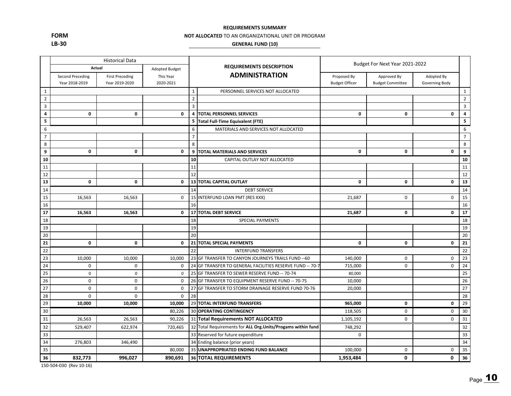**FORMLB‐30**

#### **NOT ALLOCATED** TO AN ORGANIZATIONAL UNIT OR PROGRAM

#### **GENERAL FUND (10)**

|                |                                    | <b>Historical Data</b>                   |                        |                |                                                              | Budget For Next Year 2021-2022       |                                        |                              |                         |
|----------------|------------------------------------|------------------------------------------|------------------------|----------------|--------------------------------------------------------------|--------------------------------------|----------------------------------------|------------------------------|-------------------------|
|                | Actual                             |                                          | Adopted Budget         |                | <b>REQUIREMENTS DESCRIPTION</b>                              |                                      |                                        |                              |                         |
|                | Second Preceding<br>Year 2018-2019 | <b>First Preceding</b><br>Year 2019-2020 | This Year<br>2020-2021 |                | <b>ADMINISTRATION</b>                                        | Proposed By<br><b>Budget Officer</b> | Approved By<br><b>Budget Committee</b> | Adopted By<br>Governing Body |                         |
| $\mathbf{1}$   |                                    |                                          |                        | $\mathbf 1$    | PERSONNEL SERVICES NOT ALLOCATED                             |                                      |                                        |                              | $\mathbf{1}$            |
| $\overline{2}$ |                                    |                                          |                        | $\overline{2}$ |                                                              |                                      |                                        |                              | $\overline{2}$          |
| $\overline{3}$ |                                    |                                          |                        | $\overline{3}$ |                                                              |                                      |                                        |                              | $\overline{3}$          |
| 4              | $\mathbf 0$                        | $\mathbf 0$                              | $\mathbf 0$            | $\overline{4}$ | <b>TOTAL PERSONNEL SERVICES</b>                              | 0                                    | $\mathbf 0$                            | $\mathbf{0}$                 | $\overline{\mathbf{4}}$ |
| 5              |                                    |                                          |                        | 5              | Total Full-Time Equivalent (FTE)                             |                                      |                                        |                              | 5                       |
| 6              |                                    |                                          |                        | 6              | MATERIALS AND SERVICES NOT ALLOCATED                         |                                      |                                        |                              | 6                       |
| $\overline{7}$ |                                    |                                          |                        | $\overline{7}$ |                                                              |                                      |                                        |                              | $\overline{7}$          |
| 8              |                                    |                                          |                        | 8              |                                                              |                                      |                                        |                              | 8                       |
| 9              | $\mathbf 0$                        | $\mathbf 0$                              | $\mathbf 0$            | 9              | <b>TOTAL MATERIALS AND SERVICES</b>                          | $\mathbf 0$                          | $\mathbf 0$                            | $\mathbf 0$                  | 9                       |
| 10             |                                    |                                          |                        | 10             | CAPITAL OUTLAY NOT ALLOCATED                                 |                                      |                                        |                              | 10                      |
| 11             |                                    |                                          |                        | 11             |                                                              |                                      |                                        |                              | 11                      |
| 12             |                                    |                                          |                        | 12             |                                                              |                                      |                                        |                              | 12                      |
| 13             | $\mathbf{0}$                       | $\mathbf{0}$                             | $\mathbf{0}$           |                | <b>13 TOTAL CAPITAL OUTLAY</b>                               | $\mathbf{0}$                         | 0                                      | $\mathbf{0}$                 | 13                      |
| 14             |                                    |                                          |                        | 14             | <b>DEBT SERVICE</b>                                          |                                      |                                        |                              | 14                      |
| 15             | 16,563                             | 16,563                                   | $\mathbf 0$            | 15             | INTERFUND LOAN PMT (RES XXX)                                 | 21,687                               | 0                                      | $\pmb{0}$                    | 15                      |
| 16             |                                    |                                          |                        | 16             |                                                              |                                      |                                        |                              | 16                      |
| 17             | 16,563                             | 16,563                                   | $\mathbf 0$            |                | 17 TOTAL DEBT SERVICE                                        | 21,687                               | $\mathbf 0$                            | $\mathbf 0$                  | 17                      |
| 18             |                                    |                                          |                        | 18             | SPECIAL PAYMENTS                                             |                                      |                                        |                              | 18                      |
| 19             |                                    |                                          |                        | 19             |                                                              |                                      |                                        |                              | 19                      |
| 20             |                                    |                                          |                        | 20             |                                                              |                                      |                                        |                              | 20                      |
| 21             | $\mathbf{0}$                       | 0                                        | 0                      |                | 21 TOTAL SPECIAL PAYMENTS                                    | 0                                    | 0                                      | 0                            | 21                      |
| 22             |                                    |                                          |                        | 22             | <b>INTERFUND TRANSFERS</b>                                   |                                      |                                        |                              | 22                      |
| 23             | 10,000                             | 10,000                                   | 10,000                 |                | 23 GF TRANSFER TO CANYON JOURNEYS TRAILS FUND -- 60          | 140,000                              | $\mathbf 0$                            | 0                            | 23                      |
| 24             | $\mathbf 0$                        | $\mathbf 0$                              | $\mathbf 0$            |                | 24 GF TRANSFER TO GENERAL FACILITIES RESERVE FUND -- 70-7    | 715,000                              | $\mathbf 0$                            | $\mathbf 0$                  | 24                      |
| 25             | $\mathbf 0$                        | $\mathsf{O}$                             | $\mathbf 0$            |                | 25 GF TRANSFER TO SEWER RESERVE FUND -- 70-74                | 80,000                               |                                        |                              | 25                      |
| 26             | $\mathbf 0$                        | $\mathbf 0$                              | $\mathbf 0$            |                | 26 GF TRANSFER TO EQUIPMENT RESERVE FUND -- 70-75            | 10,000                               |                                        |                              | 26                      |
| 27             | $\mathsf 0$                        | $\mathsf 0$                              | $\mathsf 0$            |                | 27 GF TRANSFER TO STORM DRAINAGE RESERVE FUND 70-76          | 20,000                               |                                        |                              | 27                      |
| 28             | $\mathbf 0$                        | $\mathbf 0$                              | $\mathbf 0$            | 28             |                                                              |                                      |                                        |                              | 28                      |
| 29             | 10,000                             | 10,000                                   | 10,000                 |                | 29 TOTAL INTERFUND TRANSFERS                                 | 965,000                              | $\mathbf 0$                            | $\mathbf 0$                  | 29                      |
| 30             |                                    |                                          | 80,226                 |                | <b>30 OPERATING CONTINGENCY</b>                              | 118,505                              | 0                                      | 0                            | 30                      |
| 31             | 26,563                             | 26,563                                   | 90,226                 |                | 31 Total Requirements NOT ALLOCATED                          | 1,105,192                            | $\mathbf 0$                            | 0                            | 31                      |
| 32             | 529,407                            | 622,974                                  | 720,465                |                | 32 Total Requirements for ALL Org. Units/Progams within fund | 748,292                              |                                        |                              | 32                      |
| 33             |                                    |                                          |                        |                | 33 Reserved for future expenditure                           | $\mathbf 0$                          |                                        |                              | 33                      |
| 34             | 276,803                            | 346,490                                  |                        |                | 34 Ending balance (prior years)                              |                                      |                                        |                              | 34                      |
| 35             |                                    |                                          | 80,000                 |                | 35 UNAPPROPRIATED ENDING FUND BALANCE                        | 100,000                              | $\mathbf 0$                            | $\mathbf 0$                  | 35                      |
| 36             | 832,773                            | 996,027                                  | 890,691                |                | <b>36 TOTAL REQUIREMENTS</b>                                 | 1,953,484                            | 0                                      | $\mathbf 0$                  | 36                      |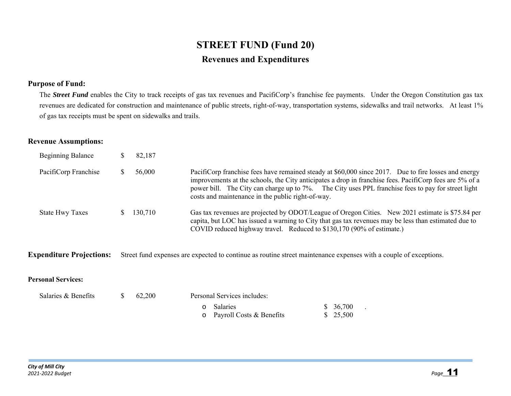## **STREET FUND (Fund 20) Revenues and Expenditures**

## **Purpose of Fund:**

The **Street Fund** enables the City to track receipts of gas tax revenues and PacifiCorp's franchise fee payments. Under the Oregon Constitution gas tax revenues are dedicated for construction and maintenance of public streets, right-of-way, transportation systems, sidewalks and trail networks. At least 1% of gas tax receipts must be spent on sidewalks and trails.

## **Revenue Assumptions:**

| <b>Beginning Balance</b> | 82,187  |                                                                                                                                                                                                                                                                                                                                                                            |
|--------------------------|---------|----------------------------------------------------------------------------------------------------------------------------------------------------------------------------------------------------------------------------------------------------------------------------------------------------------------------------------------------------------------------------|
| PacifiCorp Franchise     | 56,000  | PacifiCorp franchise fees have remained steady at \$60,000 since 2017. Due to fire losses and energy<br>improvements at the schools, the City anticipates a drop in franchise fees. PacifiCorp fees are 5% of a<br>power bill. The City can charge up to 7%. The City uses PPL franchise fees to pay for street light<br>costs and maintenance in the public right-of-way. |
| <b>State Hwy Taxes</b>   | 130,710 | Gas tax revenues are projected by ODOT/League of Oregon Cities. New 2021 estimate is \$75.84 per<br>capita, but LOC has issued a warning to City that gas tax revenues may be less than estimated due to<br>COVID reduced highway travel. Reduced to \$130,170 (90% of estimate.)                                                                                          |

**Expenditure Projections:** Street fund expenses are expected to continue as routine street maintenance expenses with a couple of exceptions.

### **Personal Services:**

| Salaries & Benefits | 62.200 | Personal Services includes:                    |                       |
|---------------------|--------|------------------------------------------------|-----------------------|
|                     |        | o Salaries<br>$\circ$ Payroll Costs & Benefits | \$ 36,700<br>\$25,500 |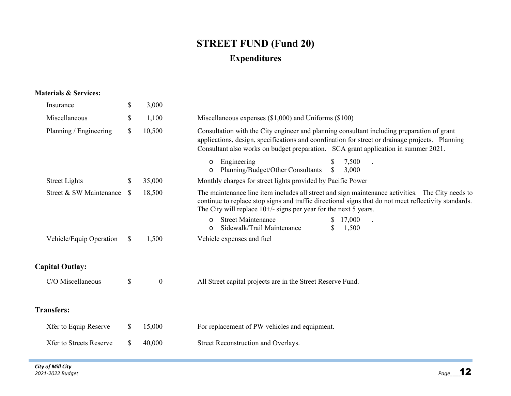## **STREET FUND (Fund 20) Expenditures**

### **Materials & Services:**

| Insurance                      | \$       | 3,000            |                                                                                                                                                                                                                                                                                     |
|--------------------------------|----------|------------------|-------------------------------------------------------------------------------------------------------------------------------------------------------------------------------------------------------------------------------------------------------------------------------------|
| Miscellaneous                  | \$       | 1,100            | Miscellaneous expenses $(\$1,000)$ and Uniforms $(\$100)$                                                                                                                                                                                                                           |
| Planning / Engineering         | \$       | 10,500           | Consultation with the City engineer and planning consultant including preparation of grant<br>applications, design, specifications and coordination for street or drainage projects. Planning<br>Consultant also works on budget preparation. SCA grant application in summer 2021. |
|                                |          |                  | Engineering<br>7,500<br>$\circ$<br>Planning/Budget/Other Consultants<br>$\mathbb{S}$<br>3,000<br>$\circ$                                                                                                                                                                            |
| <b>Street Lights</b>           | \$       | 35,000           | Monthly charges for street lights provided by Pacific Power                                                                                                                                                                                                                         |
| Street & SW Maintenance        | <b>S</b> | 18,500           | The maintenance line item includes all street and sign maintenance activities. The City needs to<br>continue to replace stop signs and traffic directional signs that do not meet reflectivity standards.<br>The City will replace $10^{+/}$ - signs per year for the next 5 years. |
|                                |          |                  | <b>Street Maintenance</b><br>17,000<br>S.<br>$\Omega$<br>Sidewalk/Trail Maintenance<br>\$<br>1,500<br>$\circ$                                                                                                                                                                       |
| Vehicle/Equip Operation        | \$       | 1,500            | Vehicle expenses and fuel                                                                                                                                                                                                                                                           |
| <b>Capital Outlay:</b>         |          |                  |                                                                                                                                                                                                                                                                                     |
| C/O Miscellaneous              | \$       | $\boldsymbol{0}$ | All Street capital projects are in the Street Reserve Fund.                                                                                                                                                                                                                         |
| <b>Transfers:</b>              |          |                  |                                                                                                                                                                                                                                                                                     |
| Xfer to Equip Reserve          | \$       | 15,000           | For replacement of PW vehicles and equipment.                                                                                                                                                                                                                                       |
| <b>Xfer to Streets Reserve</b> | \$       | 40,000           | Street Reconstruction and Overlays.                                                                                                                                                                                                                                                 |
|                                |          |                  |                                                                                                                                                                                                                                                                                     |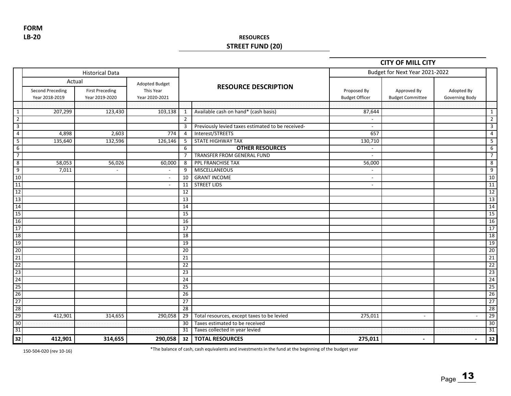**LB‐20 FORM**

## **RESOURCES STREET FUND (20)**

### **CITY OF MILL CITY**

|                 |                                           | <b>Historical Data</b>                             |                                               |                 |                                                   | Budget for Next Year 2021-2022       |                                        |                              |                 |
|-----------------|-------------------------------------------|----------------------------------------------------|-----------------------------------------------|-----------------|---------------------------------------------------|--------------------------------------|----------------------------------------|------------------------------|-----------------|
|                 | <b>Second Preceding</b><br>Year 2018-2019 | Actual<br><b>First Preceding</b><br>Year 2019-2020 | Adopted Budget<br>This Year<br>Year 2020-2021 |                 | <b>RESOURCE DESCRIPTION</b>                       | Proposed By<br><b>Budget Officer</b> | Approved By<br><b>Budget Committee</b> | Adopted By<br>Governing Body |                 |
|                 |                                           |                                                    |                                               |                 |                                                   |                                      |                                        |                              |                 |
| $\mathbf{1}$    | 207,299                                   | 123,430                                            | 103,138                                       | 1               | Available cash on hand* (cash basis)              | 87,644                               |                                        |                              | $\mathbf{1}$    |
| $\overline{2}$  |                                           |                                                    |                                               | $\overline{2}$  |                                                   | $\overline{\phantom{a}}$             |                                        |                              | $\overline{2}$  |
| $\overline{3}$  |                                           |                                                    |                                               | 3               | Previously levied taxes estimated to be received- | $\overline{\phantom{a}}$             |                                        |                              | $\overline{3}$  |
| $\overline{4}$  | 4,898                                     | 2,603                                              | 774                                           | $\overline{a}$  | Interest/STREETS                                  | 657                                  |                                        |                              | $\overline{4}$  |
| $5\overline{)}$ | 135,640                                   | 132,596                                            | 126,146                                       | 5               | STATE HIGHWAY TAX                                 | 130,710                              |                                        |                              | 5               |
| $6\overline{6}$ |                                           |                                                    |                                               | 6               | <b>OTHER RESOURCES</b>                            | $\blacksquare$                       |                                        |                              | 6               |
| $\overline{7}$  |                                           |                                                    |                                               | $\overline{7}$  | TRANSFER FROM GENERAL FUND                        | $\sim$                               |                                        |                              | $\overline{7}$  |
| $\overline{8}$  | 58,053                                    | 56,026                                             | 60,000                                        | 8               | PPL FRANCHISE TAX                                 | 56,000                               |                                        |                              | $\overline{8}$  |
| 9               | 7,011                                     | $\sim$                                             | $\sim$                                        | 9               | <b>MISCELLANEOUS</b>                              | $\sim$                               |                                        |                              | 9               |
| $10$            |                                           |                                                    | $\sim$                                        | 10              | <b>GRANT INCOME</b>                               | $\overline{\phantom{a}}$             |                                        |                              | 10              |
| 11              |                                           |                                                    | $\sim$                                        | 11              | <b>STREET LIDS</b>                                | $\sim$                               |                                        |                              | 11              |
| 12              |                                           |                                                    |                                               | 12              |                                                   |                                      |                                        |                              | 12              |
| 13              |                                           |                                                    |                                               | 13              |                                                   |                                      |                                        |                              | 13              |
| 14              |                                           |                                                    |                                               | $\overline{14}$ |                                                   |                                      |                                        |                              | 14              |
| 15              |                                           |                                                    |                                               | 15              |                                                   |                                      |                                        |                              | 15              |
| 16              |                                           |                                                    |                                               | 16              |                                                   |                                      |                                        |                              | 16              |
| 17              |                                           |                                                    |                                               | 17              |                                                   |                                      |                                        |                              | $\overline{17}$ |
| 18              |                                           |                                                    |                                               | 18              |                                                   |                                      |                                        |                              | 18              |
| 19              |                                           |                                                    |                                               | 19              |                                                   |                                      |                                        |                              | 19              |
| 20              |                                           |                                                    |                                               | 20              |                                                   |                                      |                                        |                              | 20              |
| 21              |                                           |                                                    |                                               | 21              |                                                   |                                      |                                        |                              | 21              |
| $\overline{22}$ |                                           |                                                    |                                               | 22              |                                                   |                                      |                                        |                              | 22              |
| 23              |                                           |                                                    |                                               | 23              |                                                   |                                      |                                        |                              | $\overline{23}$ |
| 24              |                                           |                                                    |                                               | 24              |                                                   |                                      |                                        |                              | 24              |
| 25              |                                           |                                                    |                                               | 25              |                                                   |                                      |                                        |                              | $\overline{25}$ |
| 26              |                                           |                                                    |                                               | 26              |                                                   |                                      |                                        |                              | 26              |
| 27              |                                           |                                                    |                                               | 27              |                                                   |                                      |                                        |                              | 27              |
| 28              |                                           |                                                    |                                               | $\overline{28}$ |                                                   |                                      |                                        |                              | 28              |
| 29              | 412,901                                   | 314,655                                            | 290,058                                       | 29              | Total resources, except taxes to be levied        | 275,011                              | $\blacksquare$                         |                              | $\overline{29}$ |
| 30              |                                           |                                                    |                                               | $\overline{30}$ | Taxes estimated to be received                    |                                      |                                        |                              | 30              |
| 31              |                                           |                                                    |                                               | 31              | Taxes collected in year levied                    |                                      |                                        |                              | 31              |
| 32              | 412,901                                   | 314,655                                            | 290,058                                       | 32              | <b>TOTAL RESOURCES</b>                            | 275,011                              | $\overline{\phantom{a}}$               | $\overline{\phantom{a}}$     | 32              |

150‐504‐020 (rev 10‐16) \*The balance of cash, cash equivalents and investments in the fund at the beginning of the budget year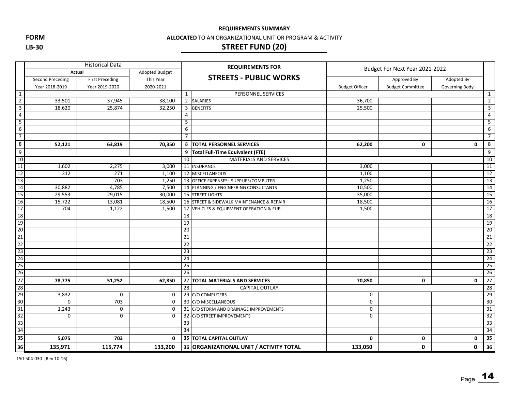**FORM**

#### **LB‐30**

#### **ALLOCATED** TO AN ORGANIZATIONAL UNIT OR PROGRAM & ACTIVITY

## **STREET FUND (20)**

|                                         |                         | <b>Historical Data</b> |                       |                 | <b>REQUIREMENTS FOR</b>                   | Budget For Next Year 2021-2022 |                         |                |                 |  |
|-----------------------------------------|-------------------------|------------------------|-----------------------|-----------------|-------------------------------------------|--------------------------------|-------------------------|----------------|-----------------|--|
|                                         |                         | Actual                 | <b>Adopted Budget</b> |                 |                                           |                                |                         |                |                 |  |
|                                         | <b>Second Preceding</b> | <b>First Preceding</b> | This Year             |                 | <b>STREETS - PUBLIC WORKS</b>             |                                | Approved By             | Adopted By     |                 |  |
|                                         | Year 2018-2019          | Year 2019-2020         | 2020-2021             |                 |                                           | <b>Budget Officer</b>          | <b>Budget Committee</b> | Governing Body |                 |  |
| $\overline{1}$                          |                         |                        |                       | 1               | <b>PERSONNEL SERVICES</b>                 |                                |                         |                | 1               |  |
| $\overline{2}$                          | 33,501                  | 37,945                 | 38,100                |                 | 2 SALARIES                                | 36,700                         |                         |                | $\overline{2}$  |  |
| $\overline{\mathbf{3}}$                 | 18,620                  | 25,874                 | 32,250                | 3               | <b>BENEFITS</b>                           | 25,500                         |                         |                | 3               |  |
| $\overline{4}$                          |                         |                        |                       | 4               |                                           |                                |                         |                | 4               |  |
| 5                                       |                         |                        |                       | 5               |                                           |                                |                         |                | 5               |  |
| 6                                       |                         |                        |                       | 6               |                                           |                                |                         |                | 6               |  |
| $\overline{7}$                          |                         |                        |                       | $\overline{7}$  |                                           |                                |                         |                | $\overline{7}$  |  |
| 8                                       | 52,121                  | 63,819                 | 70,350                |                 | 8  TOTAL PERSONNEL SERVICES               | 62,200                         | $\mathbf 0$             | 0              | 8               |  |
| 9                                       |                         |                        |                       | 9               | Total Full-Time Equivalent (FTE)          |                                |                         |                | 9               |  |
| $\frac{10}{11}$                         |                         |                        |                       | 10              | MATERIALS AND SERVICES                    |                                |                         |                | 10              |  |
|                                         | 1,602                   | 2,275                  | 3,000                 |                 | 11 INSURANCE                              | 3,000                          |                         |                | 11              |  |
| $\frac{12}{13}$                         | 312                     | 271                    | 1,100                 |                 | 12 MISCELLANEOUS                          | 1,100                          |                         |                | 12              |  |
|                                         |                         | 703                    | 1,250                 |                 | 13 OFFICE EXPENSES: SUPPLIES/COMPUTER     | 1,250                          |                         |                | 13              |  |
| 14                                      | 30,882                  | 4,785                  | 7,500                 |                 | 14 PLANNING / ENGINEERING CONSULTANTS     | 10,500                         |                         |                | 14              |  |
| 15                                      | 29,553                  | 29,015                 | 30,000                |                 | 15 STREET LIGHTS                          | 35,000                         |                         |                | 15              |  |
| $\frac{16}{17}$                         | 15,722                  | 13,081                 | 18,500                |                 | 16 STREET & SIDEWALK MAINTENANCE & REPAIR | 18,500                         |                         |                | 16              |  |
|                                         | 704                     | 1,122                  | 1,500                 |                 | 17 VEHICLES & EQUIPMENT OPERATION & FUEL  | 1,500                          |                         |                | 17              |  |
| 18                                      |                         |                        |                       | 18              |                                           |                                |                         |                | 18              |  |
| $\frac{19}{20}$                         |                         |                        |                       | 19              |                                           |                                |                         |                | 19              |  |
|                                         |                         |                        |                       | 20              |                                           |                                |                         |                | 20              |  |
| $\overline{21}$                         |                         |                        |                       | 21              |                                           |                                |                         |                | $\overline{21}$ |  |
| $\overline{22}$                         |                         |                        |                       | 22              |                                           |                                |                         |                | 22              |  |
|                                         |                         |                        |                       | 23              |                                           |                                |                         |                | 23              |  |
|                                         |                         |                        |                       | 24              |                                           |                                |                         |                | 24              |  |
| $\frac{23}{24}$<br>$\frac{25}{26}$      |                         |                        |                       | 25              |                                           |                                |                         |                | $\overline{25}$ |  |
|                                         |                         |                        |                       | $\overline{26}$ |                                           |                                |                         |                | 26              |  |
| $\begin{array}{c} 27 \\ 28 \end{array}$ | 78,775                  | 51,252                 | 62,850                |                 | 27 TOTAL MATERIALS AND SERVICES           | 70,850                         | 0                       | 0              | 27              |  |
|                                         |                         |                        |                       | 28              | <b>CAPITAL OUTLAY</b>                     |                                |                         |                | 28              |  |
| 29                                      | 3,832                   | $\mathbf 0$            | $\mathbf 0$           |                 | 29 C/O COMPUTERS                          | 0                              |                         |                | 29              |  |
| 30                                      | $\Omega$                | 703                    | 0                     |                 | 30 C/O MISCELLANEOUS                      | 0                              |                         |                | 30              |  |
| $\frac{31}{32}$                         | 1,243                   | 0                      | 0                     |                 | 31 C/O STORM AND DRAINAGE IMPROVEMENTS    | 0                              |                         |                | $\overline{31}$ |  |
|                                         | $\mathbf 0$             | 0                      | $\mathbf 0$           |                 | 32 C/O STREET IMPROVEMENTS                | 0                              |                         |                | 32              |  |
| 33                                      |                         |                        |                       | $\overline{33}$ |                                           |                                |                         |                | 33              |  |
| 34                                      |                         |                        |                       | $\overline{34}$ |                                           |                                |                         |                | 34              |  |
| 35                                      | 5,075                   | 703                    | $\mathbf{0}$          |                 | <b>35 TOTAL CAPITAL OUTLAY</b>            | 0                              | 0                       | 0              | 35              |  |
| 36                                      | 135,971                 | 115,774                | 133,200               |                 | 36 ORGANIZATIONAL UNIT / ACTIVITY TOTAL   | 133,050                        | 0                       | 0              | 36              |  |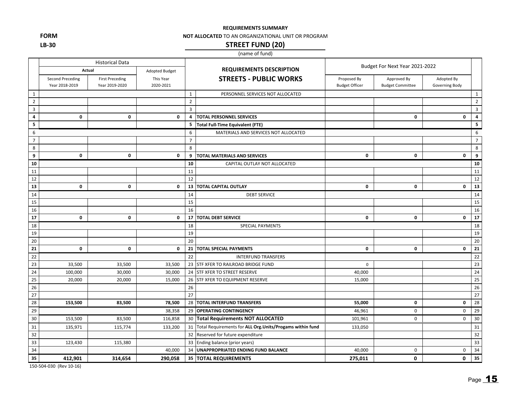**FORM LB‐30**

#### **NOT ALLOCATED** TO AN ORGANIZATIONAL UNIT OR PROGRAM

## **STREET FUND (20)**

### (name of fund)

|                 |                                    | <b>Historical Data</b>                   |                        |                |                                                              | Budget For Next Year 2021-2022       |                                        |                              |                         |
|-----------------|------------------------------------|------------------------------------------|------------------------|----------------|--------------------------------------------------------------|--------------------------------------|----------------------------------------|------------------------------|-------------------------|
|                 | Actual                             |                                          | Adopted Budget         |                | <b>REQUIREMENTS DESCRIPTION</b>                              |                                      |                                        |                              |                         |
|                 | Second Preceding<br>Year 2018-2019 | <b>First Preceding</b><br>Year 2019-2020 | This Year<br>2020-2021 |                | <b>STREETS - PUBLIC WORKS</b>                                | Proposed By<br><b>Budget Officer</b> | Approved By<br><b>Budget Committee</b> | Adopted By<br>Governing Body |                         |
| $\mathbf{1}$    |                                    |                                          |                        | $\mathbf{1}$   | PERSONNEL SERVICES NOT ALLOCATED                             |                                      |                                        |                              | $\mathbf 1$             |
| $\overline{2}$  |                                    |                                          |                        | $\sqrt{2}$     |                                                              |                                      |                                        |                              | $\overline{2}$          |
| 3               |                                    |                                          |                        | $\overline{3}$ |                                                              |                                      |                                        |                              | $\mathbf{3}$            |
| 4               | $\mathbf 0$                        | 0                                        | $\mathbf 0$            | 4              | <b>TOTAL PERSONNEL SERVICES</b>                              |                                      | $\mathbf 0$                            | $\mathbf 0$                  | $\overline{\mathbf{4}}$ |
| 5               |                                    |                                          |                        | 5              | <b>Total Full-Time Equivalent (FTE)</b>                      |                                      |                                        |                              | 5                       |
| 6               |                                    |                                          |                        | 6              | MATERIALS AND SERVICES NOT ALLOCATED                         |                                      |                                        |                              | 6                       |
| $\overline{7}$  |                                    |                                          |                        | $\overline{7}$ |                                                              |                                      |                                        |                              | $\overline{7}$          |
| 8               |                                    |                                          |                        | 8              |                                                              |                                      |                                        |                              | 8                       |
| 9               | $\mathbf 0$                        | 0                                        | $\mathbf 0$            | 9              | TOTAL MATERIALS AND SERVICES                                 | $\mathbf 0$                          | $\mathbf 0$                            | $\mathbf 0$                  | 9                       |
| 10              |                                    |                                          |                        | 10             | CAPITAL OUTLAY NOT ALLOCATED                                 |                                      |                                        |                              | 10                      |
| 11              |                                    |                                          |                        | 11             |                                                              |                                      |                                        |                              | 11                      |
| 12              |                                    |                                          |                        | 12             |                                                              |                                      |                                        |                              | 12                      |
| 13              | $\mathbf{0}$                       | 0                                        | $\mathbf{0}$           | 13             | TOTAL CAPITAL OUTLAY                                         | $\mathbf{0}$                         | $\mathbf{0}$                           | 0                            | $\overline{13}$         |
| 14              |                                    |                                          |                        | 14             | <b>DEBT SERVICE</b>                                          |                                      |                                        |                              | 14                      |
| 15              |                                    |                                          |                        | 15             |                                                              |                                      |                                        |                              | 15                      |
| 16              |                                    |                                          |                        | 16             |                                                              |                                      |                                        |                              | 16                      |
| 17              | $\mathbf{0}$                       | 0                                        | $\mathbf{0}$           | 17             | <b>TOTAL DEBT SERVICE</b>                                    | $\mathbf{0}$                         | $\mathbf 0$                            | $\mathbf 0$                  | 17                      |
| 18              |                                    |                                          |                        | 18             | <b>SPECIAL PAYMENTS</b>                                      |                                      |                                        |                              | 18                      |
| 19              |                                    |                                          |                        | 19             |                                                              |                                      |                                        |                              | 19                      |
| 20              |                                    |                                          |                        | 20             |                                                              |                                      |                                        |                              | 20                      |
| 21              | $\mathbf 0$                        | $\mathbf 0$                              | $\mathbf{0}$           | 21             | <b>TOTAL SPECIAL PAYMENTS</b>                                | $\mathbf{0}$                         | 0                                      | $\mathbf 0$                  | 21                      |
| 22              |                                    |                                          |                        | 22             | <b>INTERFUND TRANSFERS</b>                                   |                                      |                                        |                              | 22                      |
| 23              | 33,500                             | 33,500                                   | 33,500                 | 23             | STF XFER TO RAILROAD BRIDGE FUND                             | $\mathbf 0$                          |                                        |                              | 23                      |
| 24              | 100,000                            | 30,000                                   | 30,000                 | 24             | <b>STF XFER TO STREET RESERVE</b>                            | 40,000                               |                                        |                              | 24                      |
| 25              | 20,000                             | 20,000                                   | 15,000                 | 26             | STF XFER TO EQUIPMENT RESERVE                                | 15,000                               |                                        |                              | 25                      |
| 26              |                                    |                                          |                        | 26             |                                                              |                                      |                                        |                              | 26                      |
| $\overline{27}$ |                                    |                                          |                        | 27             |                                                              |                                      |                                        |                              | 27                      |
| 28              | 153,500                            | 83,500                                   | 78,500                 | 28             | <b>TOTAL INTERFUND TRANSFERS</b>                             | 55,000                               | $\mathbf 0$                            | $\mathbf 0$                  | 28                      |
| 29              |                                    |                                          | 38,358                 |                | 29 OPERATING CONTINGENCY                                     | 46,961                               | 0                                      | 0                            | 29                      |
| 30              | 153,500                            | 83,500                                   | 116,858                |                | 30 Total Requirements NOT ALLOCATED                          | 101,961                              | $\mathbf 0$                            | 0                            | 30                      |
| 31              | 135,971                            | 115,774                                  | 133,200                |                | 31 Total Requirements for ALL Org. Units/Progams within fund | 133,050                              |                                        |                              | 31                      |
| 32              |                                    |                                          |                        | 32             | Reserved for future expenditure                              |                                      |                                        |                              | 32                      |
| 33              | 123,430                            | 115,380                                  |                        |                | 33 Ending balance (prior years)                              |                                      |                                        |                              | 33                      |
| 34              |                                    |                                          | 40,000                 | 34             | UNAPPROPRIATED ENDING FUND BALANCE                           | 40,000                               | $\mathbf 0$                            | 0                            | 34                      |
| 35              | 412,901                            | 314,654                                  | 290,058                |                | 35 TOTAL REQUIREMENTS                                        | 275,011                              | 0                                      | 0                            | 35                      |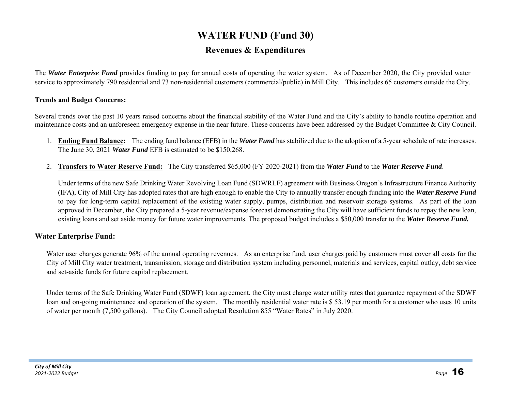## **WATER FUND (Fund 30) Revenues & Expenditures**

The *Water Enterprise Fund* provides funding to pay for annual costs of operating the water system. As of December 2020, the City provided water service to approximately 790 residential and 73 non-residential customers (commercial/public) in Mill City. This includes 65 customers outside the City.

### **Trends and Budget Concerns:**

Several trends over the past 10 years raised concerns about the financial stability of the Water Fund and the City's ability to handle routine operation and maintenance costs and an unforeseen emergency expense in the near future. These concerns have been addressed by the Budget Committee & City Council.

- 1. **Ending Fund Balance:** The ending fund balance (EFB) in the *Water Fund* has stabilized due to the adoption of a 5-year schedule of rate increases. The June 30, 2021 *Water Fund* EFB is estimated to be \$150,268.
- 2. **Transfers to Water Reserve Fund:** The City transferred \$65,000 (FY 2020-2021) from the *Water Fund* to the *Water Reserve Fund*.

Under terms of the new Safe Drinking Water Revolving Loan Fund (SDWRLF) agreement with Business Oregon's Infrastructure Finance Authority (IFA), City of Mill City has adopted rates that are high enough to enable the City to annually transfer enough funding into the *Water Reserve Fund* to pay for long-term capital replacement of the existing water supply, pumps, distribution and reservoir storage systems. As part of the loan approved in December, the City prepared a 5-year revenue/expense forecast demonstrating the City will have sufficient funds to repay the new loan, existing loans and set aside money for future water improvements. The proposed budget includes a \$50,000 transfer to the *Water Reserve Fund.*

## **Water Enterprise Fund:**

Water user charges generate 96% of the annual operating revenues. As an enterprise fund, user charges paid by customers must cover all costs for the City of Mill City water treatment, transmission, storage and distribution system including personnel, materials and services, capital outlay, debt service and set-aside funds for future capital replacement.

Under terms of the Safe Drinking Water Fund (SDWF) loan agreement, the City must charge water utility rates that guarantee repayment of the SDWF loan and on-going maintenance and operation of the system. The monthly residential water rate is \$53.19 per month for a customer who uses 10 units of water per month (7,500 gallons). The City Council adopted Resolution 855 "Water Rates" in July 2020.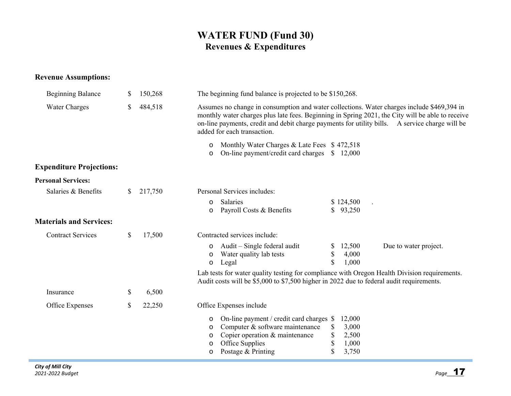## **WATER FUND (Fund 30) Revenues & Expenditures**

## **Revenue Assumptions:**

| <b>Beginning Balance</b>        | S  | 150,268 | The beginning fund balance is projected to be \$150,268.                                                                                                                                                                                                                                                                        |
|---------------------------------|----|---------|---------------------------------------------------------------------------------------------------------------------------------------------------------------------------------------------------------------------------------------------------------------------------------------------------------------------------------|
| <b>Water Charges</b>            | \$ | 484,518 | Assumes no change in consumption and water collections. Water charges include \$469,394 in<br>monthly water charges plus late fees. Beginning in Spring 2021, the City will be able to receive<br>on-line payments, credit and debit charge payments for utility bills. A service charge will be<br>added for each transaction. |
|                                 |    |         | Monthly Water Charges & Late Fees \$472,518<br>$\circ$<br>On-line payment/credit card charges<br>\$12,000<br>$\circ$                                                                                                                                                                                                            |
| <b>Expenditure Projections:</b> |    |         |                                                                                                                                                                                                                                                                                                                                 |
| <b>Personal Services:</b>       |    |         |                                                                                                                                                                                                                                                                                                                                 |
| Salaries & Benefits             | S. | 217,750 | Personal Services includes:<br>Salaries<br>\$124,500<br>$\circ$<br>Payroll Costs & Benefits<br>\$93,250<br>$\circ$                                                                                                                                                                                                              |
| <b>Materials and Services:</b>  |    |         |                                                                                                                                                                                                                                                                                                                                 |
| <b>Contract Services</b>        | \$ | 17,500  | Contracted services include:                                                                                                                                                                                                                                                                                                    |
|                                 |    |         | Audit – Single federal audit<br>12,500<br>Due to water project.<br>$\circ$<br>\$<br>4,000<br>Water quality lab tests<br>$\circ$<br>\$<br>1,000<br>Legal<br>$\circ$                                                                                                                                                              |
|                                 |    |         | Lab tests for water quality testing for compliance with Oregon Health Division requirements.<br>Audit costs will be \$5,000 to \$7,500 higher in 2022 due to federal audit requirements.                                                                                                                                        |
| Insurance                       | \$ | 6,500   |                                                                                                                                                                                                                                                                                                                                 |
| Office Expenses                 | \$ | 22,250  | Office Expenses include                                                                                                                                                                                                                                                                                                         |
|                                 |    |         | On-line payment / credit card charges \$<br>12,000<br>O<br>Computer & software maintenance<br>3,000<br>\$<br>O<br>\$<br>Copier operation & maintenance<br>2,500<br>O<br>Office Supplies<br>\$<br>1,000<br>O<br>\$<br>Postage & Printing<br>3,750<br>O                                                                           |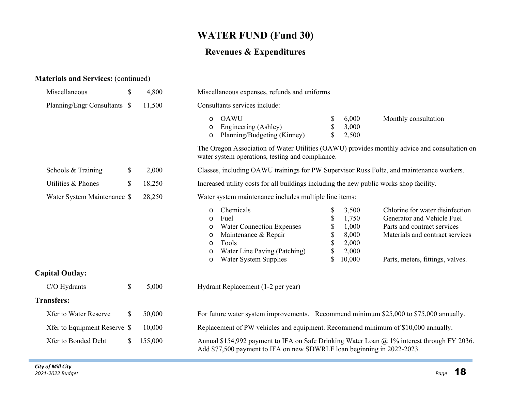## **WATER FUND (Fund 30)**

## **Revenues & Expenditures**

## **Materials and Services:** (continued)

| Miscellaneous                | \$ | 4,800   | Miscellaneous expenses, refunds and uniforms                                                                                                                                                                                                                                                                                                                                                                                                                                                            |  |  |  |  |  |  |
|------------------------------|----|---------|---------------------------------------------------------------------------------------------------------------------------------------------------------------------------------------------------------------------------------------------------------------------------------------------------------------------------------------------------------------------------------------------------------------------------------------------------------------------------------------------------------|--|--|--|--|--|--|
| Planning/Engr Consultants \$ |    | 11,500  | Consultants services include:                                                                                                                                                                                                                                                                                                                                                                                                                                                                           |  |  |  |  |  |  |
|                              |    |         | <b>OAWU</b><br>6,000<br>Monthly consultation<br>\$<br>$\circ$<br>3,000<br>Engineering (Ashley)<br>\$<br>$\circ$<br>Planning/Budgeting (Kinney)<br>2,500<br>$\circ$                                                                                                                                                                                                                                                                                                                                      |  |  |  |  |  |  |
|                              |    |         | The Oregon Association of Water Utilities (OAWU) provides monthly advice and consultation on<br>water system operations, testing and compliance.                                                                                                                                                                                                                                                                                                                                                        |  |  |  |  |  |  |
| Schools & Training           | \$ | 2,000   | Classes, including OAWU trainings for PW Supervisor Russ Foltz, and maintenance workers.                                                                                                                                                                                                                                                                                                                                                                                                                |  |  |  |  |  |  |
| Utilities & Phones           | \$ | 18,250  | Increased utility costs for all buildings including the new public works shop facility.                                                                                                                                                                                                                                                                                                                                                                                                                 |  |  |  |  |  |  |
| Water System Maintenance \$  |    | 28,250  | Water system maintenance includes multiple line items:                                                                                                                                                                                                                                                                                                                                                                                                                                                  |  |  |  |  |  |  |
|                              |    |         | Chemicals<br>Chlorine for water disinfection<br>\$<br>3,500<br>$\circ$<br>Fuel<br>\$<br>1,750<br>Generator and Vehicle Fuel<br>$\circ$<br>\$<br>1,000<br><b>Water Connection Expenses</b><br>Parts and contract services<br>$\circ$<br>\$<br>8,000<br>Materials and contract services<br>Maintenance & Repair<br>$\circ$<br>\$<br>2,000<br>Tools<br>$\circ$<br>\$<br>Water Line Paving (Patching)<br>2,000<br>$\circ$<br>\$<br>10,000<br>Water System Supplies<br>Parts, meters, fittings, valves.<br>O |  |  |  |  |  |  |
| <b>Capital Outlay:</b>       |    |         |                                                                                                                                                                                                                                                                                                                                                                                                                                                                                                         |  |  |  |  |  |  |
| C/O Hydrants                 | \$ | 5,000   | Hydrant Replacement (1-2 per year)                                                                                                                                                                                                                                                                                                                                                                                                                                                                      |  |  |  |  |  |  |
| <b>Transfers:</b>            |    |         |                                                                                                                                                                                                                                                                                                                                                                                                                                                                                                         |  |  |  |  |  |  |
| <b>Xfer to Water Reserve</b> | \$ | 50,000  | For future water system improvements. Recommend minimum \$25,000 to \$75,000 annually.                                                                                                                                                                                                                                                                                                                                                                                                                  |  |  |  |  |  |  |
| Xfer to Equipment Reserve \$ |    | 10,000  | Replacement of PW vehicles and equipment. Recommend minimum of \$10,000 annually.                                                                                                                                                                                                                                                                                                                                                                                                                       |  |  |  |  |  |  |
| Xfer to Bonded Debt          | S. | 155,000 | Annual \$154,992 payment to IFA on Safe Drinking Water Loan $\omega$ 1% interest through FY 2036.<br>Add \$77,500 payment to IFA on new SDWRLF loan beginning in 2022-2023.                                                                                                                                                                                                                                                                                                                             |  |  |  |  |  |  |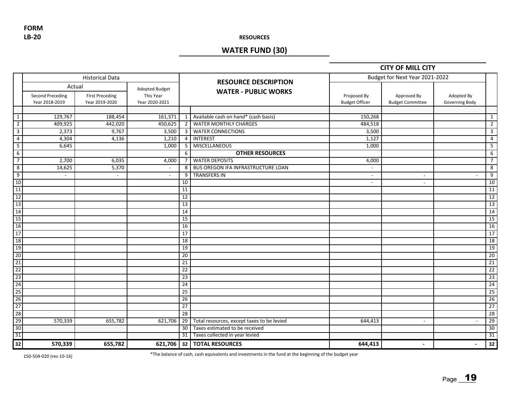**LB‐20 FORM**

#### **RESOURCES**

## **WATER FUND (30)**

### **CITY OF MILL CITY**

|                |                                              | <b>Historical Data</b>                   |                                               |                 |                                                            | Budget for Next Year 2021-2022       |                                        |                              |                 |
|----------------|----------------------------------------------|------------------------------------------|-----------------------------------------------|-----------------|------------------------------------------------------------|--------------------------------------|----------------------------------------|------------------------------|-----------------|
|                | Actual<br>Second Preceding<br>Year 2018-2019 | <b>First Preceding</b><br>Year 2019-2020 | Adopted Budget<br>This Year<br>Year 2020-2021 |                 | <b>RESOURCE DESCRIPTION</b><br><b>WATER - PUBLIC WORKS</b> | Proposed By<br><b>Budget Officer</b> | Approved By<br><b>Budget Committee</b> | Adopted By<br>Governing Body |                 |
|                |                                              |                                          |                                               |                 |                                                            |                                      |                                        |                              |                 |
| $\mathbf{1}$   | 129,767                                      | 188,454                                  | 161,371                                       | 1               | Available cash on hand* (cash basis)                       | 150,268                              |                                        |                              | $\mathbf{1}$    |
| $\overline{2}$ | 409,925                                      | 442,020                                  | 450,625                                       | $\overline{2}$  | <b>WATER MONTHLY CHARGES</b>                               | 484,518                              |                                        |                              | $\overline{2}$  |
| $\overline{3}$ | 2,373                                        | 9,767                                    | 3,500                                         | $\mathbf{3}$    | <b>WATER CONNECTIONS</b>                                   | 3,500                                |                                        |                              | 3               |
| $\overline{4}$ | 4,304                                        | 4,136                                    | 1,210                                         | $\overline{4}$  | <b>INTEREST</b>                                            | 1,127                                |                                        |                              | $\overline{4}$  |
| 5              | 6,645                                        |                                          | 1,000                                         | 5               | MISCELLANEOUS                                              | 1,000                                |                                        |                              | 5               |
| $6\overline{}$ |                                              |                                          |                                               | 6               | <b>OTHER RESOURCES</b>                                     |                                      |                                        |                              | 6               |
| $\overline{7}$ | 2,700                                        | 6,035                                    | 4,000                                         | $\overline{7}$  | <b>WATER DEPOSITS</b>                                      | 4,000                                |                                        |                              | $\overline{7}$  |
| 8              | 14,625                                       | 5,370                                    | $\sim$                                        |                 | 8 BUS OREGON IFA INFRASTRUCTURE LOAN                       | $\overline{\phantom{a}}$             |                                        |                              | 8               |
| $\overline{9}$ | $\blacksquare$                               | $\sim$                                   | $\mathcal{L}_{\mathcal{A}}$                   | 9               | <b>TRANSFERS IN</b>                                        | $\blacksquare$                       | $\blacksquare$                         | $\overline{\phantom{a}}$     | 9               |
| 10             |                                              |                                          |                                               | 10              |                                                            | $\overline{\phantom{a}}$             | $\overline{\phantom{a}}$               |                              | 10              |
| 11             |                                              |                                          |                                               | 11              |                                                            |                                      |                                        |                              | 11              |
| 12             |                                              |                                          |                                               | 12              |                                                            |                                      |                                        |                              | 12              |
| 13             |                                              |                                          |                                               | 13              |                                                            |                                      |                                        |                              | 13              |
| 14             |                                              |                                          |                                               | 14              |                                                            |                                      |                                        |                              | 14              |
| 15             |                                              |                                          |                                               | 15              |                                                            |                                      |                                        |                              | 15              |
| 16             |                                              |                                          |                                               | 16              |                                                            |                                      |                                        |                              | 16              |
| 17             |                                              |                                          |                                               | 17              |                                                            |                                      |                                        |                              | 17              |
| 18             |                                              |                                          |                                               | 18              |                                                            |                                      |                                        |                              | $\overline{18}$ |
| 19             |                                              |                                          |                                               | 19              |                                                            |                                      |                                        |                              | 19              |
| 20             |                                              |                                          |                                               | $\overline{20}$ |                                                            |                                      |                                        |                              | 20              |
| 21             |                                              |                                          |                                               | 21              |                                                            |                                      |                                        |                              | 21              |
| 22             |                                              |                                          |                                               | $\overline{22}$ |                                                            |                                      |                                        |                              | $\overline{22}$ |
| 23             |                                              |                                          |                                               | 23              |                                                            |                                      |                                        |                              | 23              |
| 24             |                                              |                                          |                                               | $\overline{24}$ |                                                            |                                      |                                        |                              | $\overline{24}$ |
| 25             |                                              |                                          |                                               | 25              |                                                            |                                      |                                        |                              | 25              |
| 26             |                                              |                                          |                                               | 26              |                                                            |                                      |                                        |                              | 26              |
| 27             |                                              |                                          |                                               | 27              |                                                            |                                      |                                        |                              | $\overline{27}$ |
| 28             |                                              |                                          |                                               | $\overline{28}$ |                                                            |                                      |                                        |                              | 28              |
| 29             | 570,339                                      | 655,782                                  | 621,706                                       | 29              | Total resources, except taxes to be levied                 | 644,413                              | $\sim$                                 | $\sim$                       | 29              |
| 30             |                                              |                                          |                                               | 30              | Taxes estimated to be received                             |                                      |                                        |                              | 30              |
| 31             |                                              |                                          |                                               | 31              | Taxes collected in year levied                             |                                      |                                        |                              | 31              |
| 32             | 570,339                                      | 655,782                                  |                                               |                 | 621,706 32   TOTAL RESOURCES                               | 644,413                              | $\overline{\phantom{a}}$               | $\blacksquare$               | 32              |

150‐504‐020 (rev 10‐16) \*The balance of cash, cash equivalents and investments in the fund at the beginning of the budget year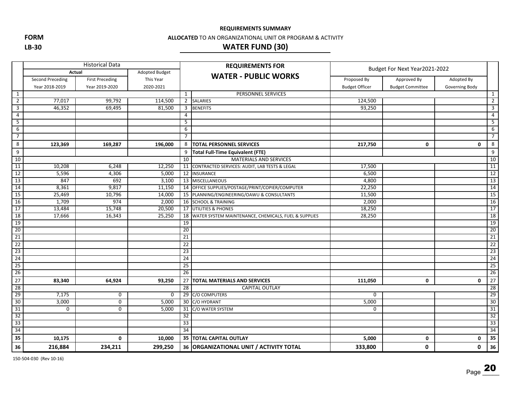**FORM**

**LB‐30**

#### **ALLOCATED** TO AN ORGANIZATIONAL UNIT OR PROGRAM & ACTIVITY

## **WATER FUND (30)**

|                         |                  | <b>Historical Data</b> |                | <b>REQUIREMENTS FOR</b> |                                                      |                               |                         |                |                 |  |
|-------------------------|------------------|------------------------|----------------|-------------------------|------------------------------------------------------|-------------------------------|-------------------------|----------------|-----------------|--|
|                         | Actual           |                        | Adopted Budget |                         | <b>WATER - PUBLIC WORKS</b>                          | Budget For Next Year2021-2022 |                         |                |                 |  |
|                         | Second Preceding | <b>First Preceding</b> | This Year      |                         |                                                      | Proposed By                   | Approved By             | Adopted By     |                 |  |
|                         | Year 2018-2019   | Year 2019-2020         | 2020-2021      |                         |                                                      | <b>Budget Officer</b>         | <b>Budget Committee</b> | Governing Body |                 |  |
| $\mathbf{1}$            |                  |                        |                | 1                       | PERSONNEL SERVICES                                   |                               |                         |                | 1               |  |
| $\overline{2}$          | 77,017           | 99,792                 | 114,500        |                         | 2 SALARIES                                           | 124,500                       |                         |                | $\overline{2}$  |  |
| $\overline{\mathbf{3}}$ | 46,352           | 69,495                 | 81,500         |                         | 3 BENEFITS                                           | 93,250                        |                         |                | 3               |  |
| $\overline{4}$          |                  |                        |                | $\overline{4}$          |                                                      |                               |                         |                | $\overline{4}$  |  |
| $\overline{5}$          |                  |                        |                | 5                       |                                                      |                               |                         |                | 5               |  |
| 6                       |                  |                        |                | 6                       |                                                      |                               |                         |                | 6               |  |
| $\overline{7}$          |                  |                        |                | $\overline{7}$          |                                                      |                               |                         |                | $\overline{7}$  |  |
| 8                       | 123,369          | 169,287                | 196,000        | 8                       | <b>TOTAL PERSONNEL SERVICES</b>                      | 217,750                       | 0                       | 0              | $\bf 8$         |  |
| 9                       |                  |                        |                | 9                       | Total Full-Time Equivalent (FTE)                     |                               |                         |                | 9               |  |
| 10                      |                  |                        |                | 10                      | <b>MATERIALS AND SERVICES</b>                        |                               |                         |                | 10              |  |
| 11                      | 10,208           | 6,248                  | 12,250         |                         | 11 CONTRACTED SERVICES: AUDIT, LAB TESTS & LEGAL     | 17,500                        |                         |                | 11              |  |
| 12                      | 5,596            | 4,306                  | 5,000          |                         | 12 INSURANCE                                         | 6,500                         |                         |                | 12              |  |
| 13                      | 847              | 692                    | 3,100          |                         | 13 MISCELLANEOUS                                     | 4,800                         |                         |                | 13              |  |
| $\overline{14}$         | 8,361            | 9,817                  | 11,150         |                         | 14 OFFICE SUPPLIES/POSTAGE/PRINT/COPIER/COMPUTER     | 22,250                        |                         |                | 14              |  |
| 15                      | 25,469           | 10,796                 | 14,000         |                         | 15 PLANNING/ENGINEERING/OAWU & CONSULTANTS           | 11,500                        |                         |                | 15              |  |
| 16                      | 1,709            | 974                    | 2,000          |                         | 16 SCHOOL & TRAINING                                 | 2,000                         |                         |                | 16              |  |
| 17                      | 13,484           | 15,748                 | 20,500         |                         | 17 UTILITIES & PHONES                                | 18,250                        |                         |                | 17              |  |
| 18                      | 17,666           | 16,343                 | 25,250         | 18                      | WATER SYSTEM MAINTENANCE, CHEMICALS, FUEL & SUPPLIES | 28,250                        |                         |                | 18              |  |
| 19                      |                  |                        |                | 19                      |                                                      |                               |                         |                | 19              |  |
| 20                      |                  |                        |                | 20                      |                                                      |                               |                         |                | 20              |  |
| 21                      |                  |                        |                | 21                      |                                                      |                               |                         |                | 21              |  |
| 22                      |                  |                        |                | 22                      |                                                      |                               |                         |                | 22              |  |
| $\overline{23}$         |                  |                        |                | 23                      |                                                      |                               |                         |                | $\overline{23}$ |  |
| 24                      |                  |                        |                | $\overline{24}$         |                                                      |                               |                         |                | 24              |  |
| $\overline{25}$         |                  |                        |                | $\overline{25}$         |                                                      |                               |                         |                | $\overline{25}$ |  |
| 26                      |                  |                        |                | $\overline{26}$         |                                                      |                               |                         |                | 26              |  |
| 27                      | 83,340           | 64,924                 | 93,250         | 27                      | <b>TOTAL MATERIALS AND SERVICES</b>                  | 111,050                       | $\mathbf 0$             | 0              | 27              |  |
| 28                      |                  |                        |                | 28                      | <b>CAPITAL OUTLAY</b>                                |                               |                         |                | 28              |  |
| 29                      | 7,175            | 0                      | $\Omega$       |                         | 29 C/O COMPUTERS                                     | $\Omega$                      |                         |                | 29              |  |
| 30                      | 3,000            | 0                      | 5,000          |                         | 30 C/O HYDRANT                                       | 5,000                         |                         |                | 30              |  |
| 31                      | 0                | 0                      | 5,000          | 31                      | C/O WATER SYSTEM                                     | 0                             |                         |                | 31              |  |
| 32                      |                  |                        |                | 32                      |                                                      |                               |                         |                | 32              |  |
| 33                      |                  |                        |                | 33                      |                                                      |                               |                         |                | 33              |  |
| 34                      |                  |                        |                | $\overline{34}$         |                                                      |                               |                         |                | 34              |  |
| 35                      | 10,175           | 0                      | 10,000         |                         | <b>35   TOTAL CAPITAL OUTLAY</b>                     | 5,000                         | 0                       | 0              | 35              |  |
| 36                      | 216,884          | 234,211                | 299,250        |                         | 36 ORGANIZATIONAL UNIT / ACTIVITY TOTAL              | 333,800                       | 0                       | 0              | 36              |  |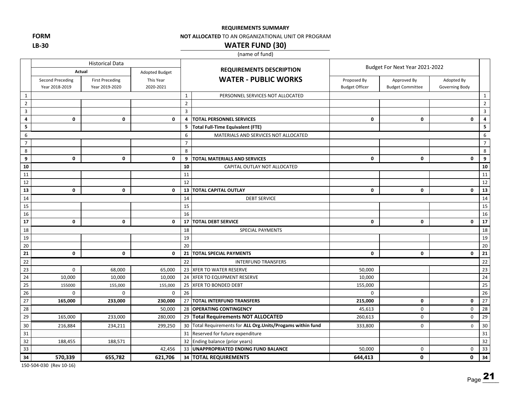**FORM LB‐30**

#### **NOT ALLOCATED** TO AN ORGANIZATIONAL UNIT OR PROGRAM

## **WATER FUND (30)**

(name of fund)

|                 | <b>Historical Data</b>             |                                          |                        |                |                                                           | Budget For Next Year 2021-2022       |                                        |                              |                         |
|-----------------|------------------------------------|------------------------------------------|------------------------|----------------|-----------------------------------------------------------|--------------------------------------|----------------------------------------|------------------------------|-------------------------|
|                 | Actual                             |                                          | Adopted Budget         |                | <b>REQUIREMENTS DESCRIPTION</b>                           |                                      |                                        |                              |                         |
|                 | Second Preceding<br>Year 2018-2019 | <b>First Preceding</b><br>Year 2019-2020 | This Year<br>2020-2021 |                | <b>WATER - PUBLIC WORKS</b>                               | Proposed By<br><b>Budget Officer</b> | Approved By<br><b>Budget Committee</b> | Adopted By<br>Governing Body |                         |
| 1               |                                    |                                          |                        | $\mathbf{1}$   | PERSONNEL SERVICES NOT ALLOCATED                          |                                      |                                        |                              | $\mathbf{1}$            |
| $\overline{2}$  |                                    |                                          |                        | $\overline{2}$ |                                                           |                                      |                                        |                              | $\overline{2}$          |
| $\overline{3}$  |                                    |                                          |                        | 3              |                                                           |                                      |                                        |                              | $\overline{3}$          |
| 4               | 0                                  | 0                                        | $\mathbf 0$            | $\overline{a}$ | <b>TOTAL PERSONNEL SERVICES</b>                           | 0                                    | 0                                      | 0                            | $\overline{\mathbf{4}}$ |
| 5               |                                    |                                          |                        | 5              | <b>Total Full-Time Equivalent (FTE)</b>                   |                                      |                                        |                              | 5                       |
| 6               |                                    |                                          |                        | 6              | MATERIALS AND SERVICES NOT ALLOCATED                      |                                      |                                        |                              | 6                       |
| $\overline{7}$  |                                    |                                          |                        | $\overline{7}$ |                                                           |                                      |                                        |                              | $\overline{7}$          |
| 8               |                                    |                                          |                        | 8              |                                                           |                                      |                                        |                              | 8                       |
| 9               | 0                                  | $\mathbf 0$                              | $\mathbf 0$            | 9              | TOTAL MATERIALS AND SERVICES                              | 0                                    | $\mathbf 0$                            | $\mathbf 0$                  | 9                       |
| 10              |                                    |                                          |                        | 10             | CAPITAL OUTLAY NOT ALLOCATED                              |                                      |                                        |                              | 10                      |
| 11              |                                    |                                          |                        | 11             |                                                           |                                      |                                        |                              | 11                      |
| 12              |                                    |                                          |                        | 12             |                                                           |                                      |                                        |                              | 12                      |
| $\overline{13}$ | 0                                  | 0                                        | $\mathbf 0$            | 13             | <b>TOTAL CAPITAL OUTLAY</b>                               | $\mathbf 0$                          | $\mathbf 0$                            | $\mathbf 0$                  | 13                      |
| 14              |                                    |                                          |                        | 14             | <b>DEBT SERVICE</b>                                       |                                      |                                        |                              | 14                      |
| 15              |                                    |                                          |                        | 15             |                                                           |                                      |                                        |                              | 15                      |
| 16              |                                    |                                          |                        | 16             |                                                           |                                      |                                        |                              | 16                      |
| 17              | 0                                  | 0                                        | 0                      | 17             | <b>TOTAL DEBT SERVICE</b>                                 | 0                                    | $\mathbf 0$                            | $\mathbf 0$                  | 17                      |
| 18              |                                    |                                          |                        | 18             | <b>SPECIAL PAYMENTS</b>                                   |                                      |                                        |                              | 18                      |
| 19              |                                    |                                          |                        | 19             |                                                           |                                      |                                        |                              | 19                      |
| 20              |                                    |                                          |                        | 20             |                                                           |                                      |                                        |                              | 20                      |
| 21              | 0                                  | 0                                        | $\mathbf 0$            | 21             | <b>TOTAL SPECIAL PAYMENTS</b>                             | 0                                    | $\mathbf{0}$                           | $\mathbf 0$                  | 21                      |
| 22              |                                    |                                          |                        | 22             | <b>INTERFUND TRANSFERS</b>                                |                                      |                                        |                              | $22$                    |
| $\overline{23}$ | $\Omega$                           | 68,000                                   | 65,000                 |                | 23 XFER TO WATER RESERVE                                  | 50,000                               |                                        |                              | 23                      |
| 24              | 10,000                             | 10,000                                   | 10,000                 | 24             | XFER TO EQUIPMENT RESERVE                                 | 10,000                               |                                        |                              | 24                      |
| 25              | 155000                             | 155,000                                  | 155,000                | 25             | XFER TO BONDED DEBT                                       | 155,000                              |                                        |                              | $\overline{25}$         |
| $26\,$          | 0                                  | $\mathbf 0$                              | 0                      | 26             |                                                           | 0                                    |                                        |                              | 26                      |
| 27              | 165,000                            | 233,000                                  | 230,000                |                | 27 TOTAL INTERFUND TRANSFERS                              | 215,000                              | $\mathbf 0$                            | $\mathbf 0$                  | 27                      |
| 28              |                                    |                                          | 50,000                 |                | 28 OPERATING CONTINGENCY                                  | 45,613                               | 0                                      | 0                            | $\overline{28}$         |
| 29              | 165,000                            | 233,000                                  | 280,000                |                | 29 Total Requirements NOT ALLOCATED                       | 260,613                              | $\mathbf 0$                            | $\mathbf 0$                  | $\overline{29}$         |
| 30              | 216,884                            | 234,211                                  | 299,250                | 30             | Total Requirements for ALL Org. Units/Progams within fund | 333,800                              | 0                                      | $\mathsf 0$                  | 30                      |
| 31              |                                    |                                          |                        | 31             | Reserved for future expenditure                           |                                      |                                        |                              | 31                      |
| 32              | 188,455                            | 188,571                                  |                        |                | 32 Ending balance (prior years)                           |                                      |                                        |                              | 32                      |
| 33              |                                    |                                          | 42,456                 |                | 33 UNAPPROPRIATED ENDING FUND BALANCE                     | 50,000                               | $\mathbf 0$                            | $\mathbf 0$                  | 33                      |
| 34              | 570,339                            | 655,782                                  | 621,706                |                | 34 TOTAL REQUIREMENTS                                     | 644,413                              | $\mathbf 0$                            | 0                            | 34                      |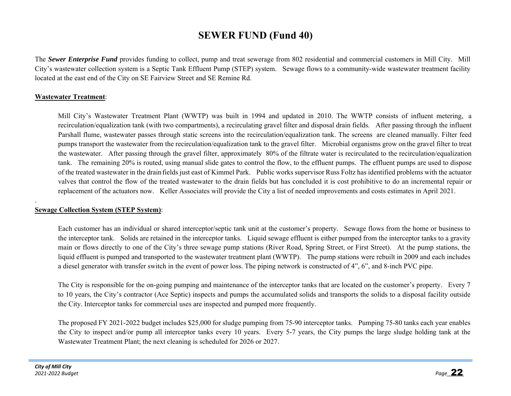## **SEWER FUND (Fund 40)**

The *Sewer Enterprise Fund* provides funding to collect, pump and treat sewerage from 802 residential and commercial customers in Mill City. Mill City's wastewater collection system is a Septic Tank Effluent Pump (STEP) system. Sewage flows to a community-wide wastewater treatment facility located at the east end of the City on SE Fairview Street and SE Remine Rd.

### **Wastewater Treatment**:

Mill City's Wastewater Treatment Plant (WWTP) was built in 1994 and updated in 2010. The WWTP consists of influent metering, a recirculation/equalization tank (with two compartments), a recirculating gravel filter and disposal drain fields. After passing through the influent Parshall flume, wastewater passes through static screens into the recirculation/equalization tank. The screens are cleaned manually. Filter feed pumps transport the wastewater from the recirculation/equalization tank to the gravel filter. Microbial organisms grow on the gravel filter to treat the wastewater. After passing through the gravel filter, approximately 80% of the filtrate water is recirculated to the recirculation/equalization tank. The remaining 20% is routed, using manual slide gates to control the flow, to the effluent pumps. The effluent pumps are used to dispose of the treated wastewater in the drain fields just east of Kimmel Park. Public works supervisor Russ Foltz has identified problems with the actuator valves that control the flow of the treated wastewater to the drain fields but has concluded it is cost prohibitive to do an incremental repair or replacement of the actuators now. Keller Associates will provide the City a list of needed improvements and costs estimates in April 2021.

### **Sewage Collection System (STEP System)**:

Each customer has an individual or shared interceptor/septic tank unit at the customer's property. Sewage flows from the home or business to the interceptor tank. Solids are retained in the interceptor tanks. Liquid sewage effluent is either pumped from the interceptor tanks to a gravity main or flows directly to one of the City's three sewage pump stations (River Road, Spring Street, or First Street). At the pump stations, the liquid effluent is pumped and transported to the wastewater treatment plant (WWTP). The pump stations were rebuilt in 2009 and each includes a diesel generator with transfer switch in the event of power loss. The piping network is constructed of 4", 6", and 8-inch PVC pipe.

The City is responsible for the on-going pumping and maintenance of the interceptor tanks that are located on the customer's property. Every 7 to 10 years, the City's contractor (Ace Septic) inspects and pumps the accumulated solids and transports the solids to a disposal facility outside the City. Interceptor tanks for commercial uses are inspected and pumped more frequently.

The proposed FY 2021-2022 budget includes \$25,000 for sludge pumping from 75-90 interceptor tanks. Pumping 75-80 tanks each year enables the City to inspect and/or pump all interceptor tanks every 10 years. Every 5-7 years, the City pumps the large sludge holding tank at the Wastewater Treatment Plant; the next cleaning is scheduled for 2026 or 2027.

.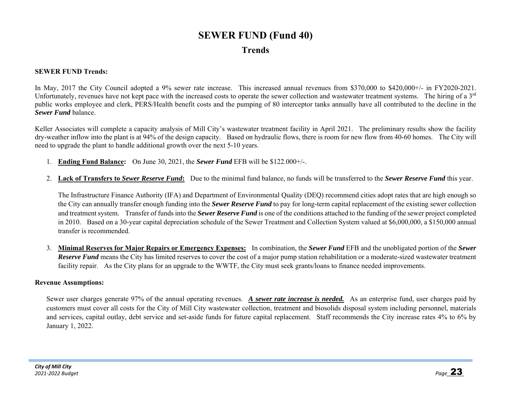# **SEWER FUND (Fund 40) Trends**

#### **SEWER FUND Trends:**

In May, 2017 the City Council adopted a 9% sewer rate increase. This increased annual revenues from \$370,000 to \$420,000+/- in FY2020-2021. Unfortunately, revenues have not kept pace with the increased costs to operate the sewer collection and wastewater treatment systems. The hiring of a  $3<sup>rd</sup>$ public works employee and clerk, PERS/Health benefit costs and the pumping of 80 interceptor tanks annually have all contributed to the decline in the *Sewer Fund* balance.

Keller Associates will complete a capacity analysis of Mill City's wastewater treatment facility in April 2021. The preliminary results show the facility dry-weather inflow into the plant is at 94% of the design capacity. Based on hydraulic flows, there is room for new flow from 40-60 homes. The City will need to upgrade the plant to handle additional growth over the next 5-10 years.

- 1. **Ending Fund Balance:** On June 30, 2021, the *Sewer Fund* EFB will be \$122.000+/-.
- 2. **Lack of Transfers to** *Sewer Reserve Fund***:** Due to the minimal fund balance, no funds will be transferred to the *Sewer Reserve Fund* this year.

The Infrastructure Finance Authority (IFA) and Department of Environmental Quality (DEQ) recommend cities adopt rates that are high enough so the City can annually transfer enough funding into the *Sewer Reserve Fund* to pay for long-term capital replacement of the existing sewer collection and treatment system. Transfer of funds into the *Sewer Reserve Fund* is one of the conditions attached to the funding of the sewer project completed in 2010. Based on a 30-year capital depreciation schedule of the Sewer Treatment and Collection System valued at \$6,000,000, a \$150,000 annual transfer is recommended.

3. **Minimal Reserves for Major Repairs or Emergency Expenses:** In combination, the *Sewer Fund* EFB and the unobligated portion of the *Sewer Reserve Fund* means the City has limited reserves to cover the cost of a major pump station rehabilitation or a moderate-sized wastewater treatment facility repair. As the City plans for an upgrade to the WWTF, the City must seek grants/loans to finance needed improvements.

#### **Revenue Assumptions:**

Sewer user charges generate 97% of the annual operating revenues. *A sewer rate increase is needed.* As an enterprise fund, user charges paid by customers must cover all costs for the City of Mill City wastewater collection, treatment and biosolids disposal system including personnel, materials and services, capital outlay, debt service and set-aside funds for future capital replacement. Staff recommends the City increase rates 4% to 6% by January 1, 2022.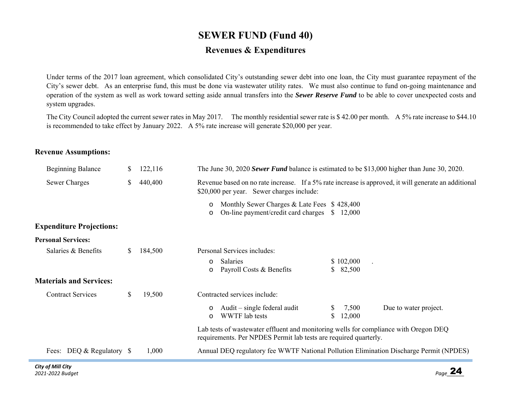# **SEWER FUND (Fund 40) Revenues & Expenditures**

Under terms of the 2017 loan agreement, which consolidated City's outstanding sewer debt into one loan, the City must guarantee repayment of the City's sewer debt. As an enterprise fund, this must be done via wastewater utility rates. We must also continue to fund on-going maintenance and operation of the system as well as work toward setting aside annual transfers into the *Sewer Reserve Fund* to be able to cover unexpected costs and system upgrades.

The City Council adopted the current sewer rates in May 2017. The monthly residential sewer rate is \$ 42.00 per month. A 5% rate increase to \$44.10 is recommended to take effect by January 2022. A 5% rate increase will generate \$20,000 per year.

#### **Revenue Assumptions:**

| <b>Beginning Balance</b>                                               | S. | 122,116 |                    | The June 30, 2020 Sewer Fund balance is estimated to be \$13,000 higher than June 30, 2020.                                                              |                       |                       |
|------------------------------------------------------------------------|----|---------|--------------------|----------------------------------------------------------------------------------------------------------------------------------------------------------|-----------------------|-----------------------|
| <b>Sewer Charges</b>                                                   | \$ | 440,400 |                    | Revenue based on no rate increase. If a 5% rate increase is approved, it will generate an additional<br>\$20,000 per year. Sewer charges include:        |                       |                       |
|                                                                        |    |         | $\circ$<br>$\circ$ | Monthly Sewer Charges & Late Fees \$428,400<br>On-line payment/credit card charges \$12,000                                                              |                       |                       |
| <b>Expenditure Projections:</b>                                        |    |         |                    |                                                                                                                                                          |                       |                       |
| <b>Personal Services:</b>                                              |    |         |                    |                                                                                                                                                          |                       |                       |
| Salaries & Benefits                                                    | S. | 184,500 |                    | Personal Services includes:                                                                                                                              |                       |                       |
|                                                                        |    |         | $\circ$<br>$\circ$ | <b>Salaries</b><br>Payroll Costs & Benefits                                                                                                              | \$102,000<br>\$82,500 |                       |
| <b>Materials and Services:</b>                                         |    |         |                    |                                                                                                                                                          |                       |                       |
| <b>Contract Services</b>                                               | S. | 19,500  |                    | Contracted services include:                                                                                                                             |                       |                       |
|                                                                        |    |         | $\circ$<br>$\circ$ | Audit $-$ single federal audit<br>WWTF lab tests                                                                                                         | 7,500<br>12,000       | Due to water project. |
|                                                                        |    |         |                    | Lab tests of wastewater effluent and monitoring wells for compliance with Oregon DEQ<br>requirements. Per NPDES Permit lab tests are required quarterly. |                       |                       |
| Fees: DEQ & Regulatory \$                                              |    | 1,000   |                    | Annual DEQ regulatory fee WWTF National Pollution Elimination Discharge Permit (NPDES)                                                                   |                       |                       |
| $\mathcal{L}^{(1)}, \ldots, \mathcal{L}^{(n)}$ and $\mathcal{L}^{(n)}$ |    |         |                    |                                                                                                                                                          |                       |                       |

**College**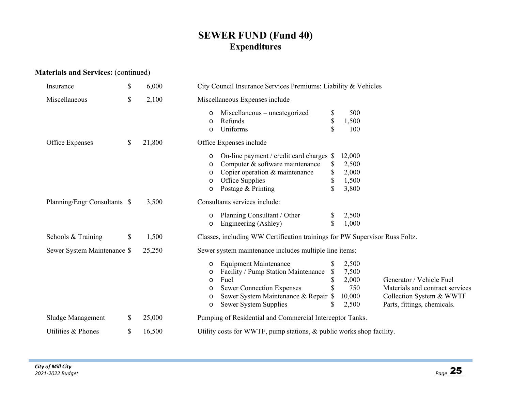## **SEWER FUND (Fund 40) Expenditures**

## **Materials and Services:** (continued)

| Insurance                    | \$<br>6,000  | City Council Insurance Services Premiums: Liability & Vehicles                                                                                                                                                                                                                                                                                                                                                  |  |  |  |  |
|------------------------------|--------------|-----------------------------------------------------------------------------------------------------------------------------------------------------------------------------------------------------------------------------------------------------------------------------------------------------------------------------------------------------------------------------------------------------------------|--|--|--|--|
| Miscellaneous                | \$<br>2,100  | Miscellaneous Expenses include                                                                                                                                                                                                                                                                                                                                                                                  |  |  |  |  |
|                              |              | 500<br>Miscellaneous – uncategorized<br>\$<br>\$<br>1,500<br>Refunds<br>O<br>\$<br>Uniforms<br>100<br>O                                                                                                                                                                                                                                                                                                         |  |  |  |  |
| Office Expenses              | \$<br>21,800 | Office Expenses include                                                                                                                                                                                                                                                                                                                                                                                         |  |  |  |  |
|                              |              | 12,000<br>On-line payment / credit card charges \$<br>O<br>Computer & software maintenance<br>2,500<br>S<br>O<br>\$<br>Copier operation & maintenance<br>2,000<br>O<br>\$<br>1,500<br>Office Supplies<br>O<br>\$<br>3,800<br>Postage & Printing<br>O                                                                                                                                                            |  |  |  |  |
| Planning/Engr Consultants \$ | 3,500        | Consultants services include:                                                                                                                                                                                                                                                                                                                                                                                   |  |  |  |  |
|                              |              | 2,500<br>Planning Consultant / Other<br>O<br>\$<br>1,000<br>Engineering (Ashley)<br>O                                                                                                                                                                                                                                                                                                                           |  |  |  |  |
| Schools & Training           | \$<br>1,500  | Classes, including WW Certification trainings for PW Supervisor Russ Foltz.                                                                                                                                                                                                                                                                                                                                     |  |  |  |  |
| Sewer System Maintenance \$  | 25,250       | Sewer system maintenance includes multiple line items:                                                                                                                                                                                                                                                                                                                                                          |  |  |  |  |
|                              |              | <b>Equipment Maintenance</b><br>2,500<br>O<br>Facility / Pump Station Maintenance<br>7,500<br>\$<br>O<br>\$<br>Fuel<br>2,000<br>Generator / Vehicle Fuel<br>O<br><b>Sewer Connection Expenses</b><br>750<br>Materials and contract services<br>O<br>Sewer System Maintenance & Repair \$<br>10,000<br>Collection System & WWTF<br>O<br>2,500<br>Parts, fittings, chemicals.<br>Sewer System Supplies<br>S.<br>O |  |  |  |  |
| Sludge Management            | \$<br>25,000 | Pumping of Residential and Commercial Interceptor Tanks.                                                                                                                                                                                                                                                                                                                                                        |  |  |  |  |
| Utilities & Phones           | \$<br>16,500 | Utility costs for WWTF, pump stations, & public works shop facility.                                                                                                                                                                                                                                                                                                                                            |  |  |  |  |
|                              |              |                                                                                                                                                                                                                                                                                                                                                                                                                 |  |  |  |  |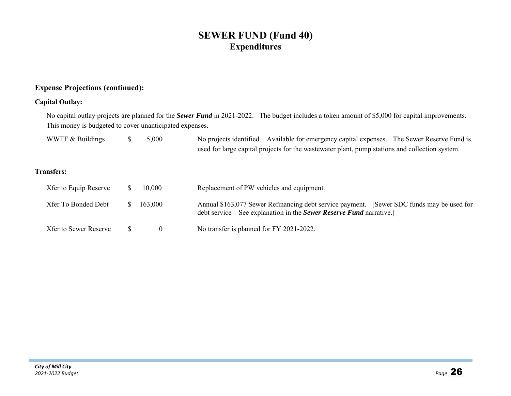## **SEWER FUND (Fund 40) Expenditures**

### **Expense Projections (continued):**

#### **Capital Outlay:**

No capital outlay projects are planned for the *Sewer Fund* in 2021-2022. The budget includes a token amount of \$5,000 for capital improvements. This money is budgeted to cover unanticipated expenses.

| WWTF & Buildings | 5,000 | No projects identified. Available for emergency capital expenses. The Sewer Reserve Fund is    |  |
|------------------|-------|------------------------------------------------------------------------------------------------|--|
|                  |       | used for large capital projects for the wastewater plant, pump stations and collection system. |  |

#### **Transfers:**

| Xfer to Equip Reserve | 10,000  | Replacement of PW vehicles and equipment.                                                                                                                                |
|-----------------------|---------|--------------------------------------------------------------------------------------------------------------------------------------------------------------------------|
| Xfer To Bonded Debt   | 163,000 | Annual \$163,077 Sewer Refinancing debt service payment. [Sewer SDC funds may be used for<br>debt service – See explanation in the <i>Sewer Reserve Fund</i> narrative.] |
| Xfer to Sewer Reserve |         | No transfer is planned for FY 2021-2022.                                                                                                                                 |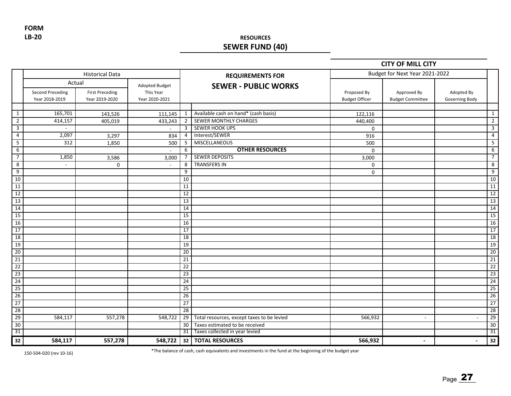**FORM LB‐20**

## **RESOURCES SEWER FUND (40)**

#### **CITY OF MILL CITY**

|                 |                                                     | <b>Historical Data</b>                   |                                               |                 | <b>REQUIREMENTS FOR</b>                    |                                      | Budget for Next Year 2021-2022         |                              |                 |
|-----------------|-----------------------------------------------------|------------------------------------------|-----------------------------------------------|-----------------|--------------------------------------------|--------------------------------------|----------------------------------------|------------------------------|-----------------|
|                 | Actual<br><b>Second Preceding</b><br>Year 2018-2019 | <b>First Preceding</b><br>Year 2019-2020 | Adopted Budget<br>This Year<br>Year 2020-2021 |                 | <b>SEWER - PUBLIC WORKS</b>                | Proposed By<br><b>Budget Officer</b> | Approved By<br><b>Budget Committee</b> | Adopted By<br>Governing Body |                 |
|                 |                                                     |                                          |                                               |                 |                                            |                                      |                                        |                              |                 |
| $\mathbf{1}$    | 165,701                                             | 143,526                                  | 111,145                                       | 1               | Available cash on hand* (cash basis)       | 122,116                              |                                        |                              | $\mathbf{1}$    |
| $\overline{2}$  | 414,157                                             | 405,019                                  | 433,243                                       | $\overline{2}$  | <b>SEWER MONTHLY CHARGES</b>               | 440,400                              |                                        |                              | $\overline{2}$  |
| 3               | $\sim$                                              |                                          |                                               | $\overline{3}$  | SEWER HOOK UPS                             | $\mathbf 0$                          |                                        |                              | 3               |
| $\overline{4}$  | 2,097                                               | 3,297                                    | 834                                           | $\overline{4}$  | Interest/SEWER                             | 916                                  |                                        |                              | $\pmb{4}$       |
| 5               | 312                                                 | 1,850                                    | 500                                           | -5              | <b>MISCELLANEOUS</b>                       | 500                                  |                                        |                              | 5               |
| 6               |                                                     |                                          |                                               | 6               | <b>OTHER RESOURCES</b>                     | $\mathbf 0$                          |                                        |                              | 6               |
| $\overline{7}$  | 1,850                                               | 3,586                                    | 3,000                                         | 7               | <b>SEWER DEPOSITS</b>                      | 3,000                                |                                        |                              | $\overline{7}$  |
| 8               | $\sim$                                              | 0                                        | $\sim$                                        | 8               | <b>TRANSFERS IN</b>                        | $\Omega$                             |                                        |                              | 8               |
| 9               |                                                     |                                          |                                               | 9               |                                            | $\mathbf 0$                          |                                        |                              | 9               |
| 10              |                                                     |                                          |                                               | 10              |                                            |                                      |                                        |                              | 10              |
| 11              |                                                     |                                          |                                               | 11              |                                            |                                      |                                        |                              | 11              |
| 12              |                                                     |                                          |                                               | 12              |                                            |                                      |                                        |                              | 12              |
| 13              |                                                     |                                          |                                               | 13              |                                            |                                      |                                        |                              | 13              |
| 14              |                                                     |                                          |                                               | 14              |                                            |                                      |                                        |                              | $\overline{14}$ |
| 15              |                                                     |                                          |                                               | 15              |                                            |                                      |                                        |                              | $\overline{15}$ |
| 16              |                                                     |                                          |                                               | 16              |                                            |                                      |                                        |                              | 16              |
| 17              |                                                     |                                          |                                               | 17              |                                            |                                      |                                        |                              | 17              |
| 18              |                                                     |                                          |                                               | 18              |                                            |                                      |                                        |                              | 18              |
| 19              |                                                     |                                          |                                               | 19              |                                            |                                      |                                        |                              | 19              |
| 20              |                                                     |                                          |                                               | 20              |                                            |                                      |                                        |                              | 20              |
| $\overline{21}$ |                                                     |                                          |                                               | 21              |                                            |                                      |                                        |                              | 21              |
| 22              |                                                     |                                          |                                               | 22              |                                            |                                      |                                        |                              | 22              |
| 23              |                                                     |                                          |                                               | $\overline{23}$ |                                            |                                      |                                        |                              | 23              |
| 24              |                                                     |                                          |                                               | $\overline{24}$ |                                            |                                      |                                        |                              | $\overline{24}$ |
| 25              |                                                     |                                          |                                               | 25              |                                            |                                      |                                        |                              | $\overline{25}$ |
| $\overline{26}$ |                                                     |                                          |                                               | $\overline{26}$ |                                            |                                      |                                        |                              | $\overline{26}$ |
| 27              |                                                     |                                          |                                               | $\overline{27}$ |                                            |                                      |                                        |                              | 27              |
| 28              |                                                     |                                          |                                               | 28              |                                            |                                      |                                        |                              | 28              |
| 29              | 584,117                                             | 557,278                                  | 548,722                                       | 29              | Total resources, except taxes to be levied | 566,932                              | $\sim$                                 |                              | 29              |
| 30              |                                                     |                                          |                                               | 30              | Taxes estimated to be received             |                                      |                                        |                              | 30              |
| 31              |                                                     |                                          |                                               | 31              | Taxes collected in year levied             |                                      |                                        |                              | 31              |
| 32              | 584,117                                             | 557,278                                  |                                               |                 | 548,722 32 TOTAL RESOURCES                 | 566,932                              | $\overline{\phantom{a}}$               | $\blacksquare$               | 32              |

150‐504‐020 (rev 10‐16)

\*The balance of cash, cash equivalents and investments in the fund at the beginning of the budget year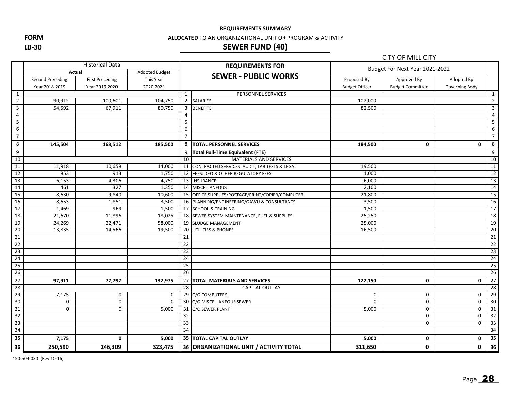**REQUIREMENTS SUMMARY**

**FORM**

**LB‐30**

#### **ALLOCATED** TO AN ORGANIZATIONAL UNIT OR PROGRAM & ACTIVITY

## **SEWER FUND (40)**

|                         |                  |                        |                |                 |                                                  |                       | <b>CITY OF MILL CITY</b>       |                |                 |  |
|-------------------------|------------------|------------------------|----------------|-----------------|--------------------------------------------------|-----------------------|--------------------------------|----------------|-----------------|--|
|                         |                  | <b>Historical Data</b> |                |                 | <b>REQUIREMENTS FOR</b>                          |                       | Budget For Next Year 2021-2022 |                |                 |  |
|                         |                  | Actual                 | Adopted Budget |                 | <b>SEWER - PUBLIC WORKS</b>                      |                       |                                |                |                 |  |
|                         | Second Preceding | <b>First Preceding</b> | This Year      |                 |                                                  | Proposed By           | Approved By                    | Adopted By     |                 |  |
|                         | Year 2018-2019   | Year 2019-2020         | 2020-2021      |                 |                                                  | <b>Budget Officer</b> | <b>Budget Committee</b>        | Governing Body |                 |  |
| 1                       |                  |                        |                | 1               | PERSONNEL SERVICES                               |                       |                                |                | 1               |  |
| $\overline{2}$          | 90,912           | 100,601                | 104,750        | $\overline{2}$  | <b>SALARIES</b>                                  | 102,000               |                                |                | $\overline{2}$  |  |
| $\overline{\mathbf{3}}$ | 54,592           | 67,911                 | 80,750         | 3               | <b>BENEFITS</b>                                  | 82,500                |                                |                | $\mathbf{3}$    |  |
| $\overline{4}$          |                  |                        |                | $\overline{4}$  |                                                  |                       |                                |                | $\overline{4}$  |  |
| $\overline{5}$          |                  |                        |                | 5               |                                                  |                       |                                |                | 5               |  |
| $\overline{6}$          |                  |                        |                | 6               |                                                  |                       |                                |                | 6               |  |
| $\overline{7}$          |                  |                        |                | $\overline{7}$  |                                                  |                       |                                |                | $\overline{7}$  |  |
| $\bf 8$                 | 145,504          | 168,512                | 185,500        | 8               | <b>TOTAL PERSONNEL SERVICES</b>                  | 184,500               | 0                              | 0              | 8               |  |
| 9                       |                  |                        |                | 9               | <b>Total Full-Time Equivalent (FTE)</b>          |                       |                                |                | 9               |  |
| 10                      |                  |                        |                | 10              | <b>MATERIALS AND SERVICES</b>                    |                       |                                |                | 10              |  |
| $\overline{11}$         | 11,918           | 10,658                 | 14,000         | 11              | CONTRACTED SERVICES: AUDIT, LAB TESTS & LEGAL    | 19,500                |                                |                | 11              |  |
| 12                      | 853              | 913                    | 1,750          |                 | 12 FEES: DEQ & OTHER REGULATORY FEES             | 1,000                 |                                |                | 12              |  |
| 13                      | 6,153            | 4,306                  | 4,750          |                 | 13 INSURANCE                                     | 6,000                 |                                |                | 13              |  |
| 14                      | 461              | 327                    | 1,350          |                 | 14 MISCELLANEOUS                                 | 2,100                 |                                |                | $\overline{14}$ |  |
| 15                      | 8,630            | 9,840                  | 10,600         |                 | 15 OFFICE SUPPLIES/POSTAGE/PRINT/COPIER/COMPUTER | 21,800                |                                |                | 15              |  |
| 16                      | 8,653            | 1,851                  | 3,500          |                 | 16 PLANNING/ENGINEERING/OAWU & CONSULTANTS       | 3,500                 |                                |                | 16              |  |
| $\overline{17}$         | 1,469            | 969                    | 1,500          |                 | 17 SCHOOL & TRAINING                             | 1,500                 |                                |                | 17              |  |
| 18                      | 21,670           | 11,896                 | 18,025         |                 | 18 SEWER SYSTEM MAINTENANCE, FUEL & SUPPLIES     | 25,250                |                                |                | 18              |  |
| 19                      | 24,269           | 22,471                 | 58,000         |                 | 19 SLUDGE MANAGEMENT                             | 25,000                |                                |                | 19              |  |
| $\overline{20}$         | 13,835           | 14,566                 | 19,500         | 20              | <b>UTILITIES &amp; PHONES</b>                    | 16,500                |                                |                | 20              |  |
| 21                      |                  |                        |                | 21              |                                                  |                       |                                |                | $\overline{21}$ |  |
| 22                      |                  |                        |                | 22              |                                                  |                       |                                |                | 22              |  |
| 23<br>24                |                  |                        |                | 23              |                                                  |                       |                                |                | 23              |  |
|                         |                  |                        |                | 24              |                                                  |                       |                                |                | 24              |  |
| 25                      |                  |                        |                | 25              |                                                  |                       |                                |                | 25              |  |
| $\overline{26}$         |                  |                        |                | 26              |                                                  |                       |                                |                | 26              |  |
| 27                      | 97,911           | 77,797                 | 132,975        | 27              | <b>TOTAL MATERIALS AND SERVICES</b>              | 122,150               | $\mathbf 0$                    | 0              | 27              |  |
| 28                      |                  |                        |                | 28              | <b>CAPITAL OUTLAY</b>                            |                       |                                |                | 28              |  |
| 29                      | 7,175            | 0                      | 0              |                 | 29 C/O COMPUTERS                                 | 0                     | 0                              | 0              | 29              |  |
| $\overline{30}$         | 0                | $\mathbf 0$            | $\mathbf{0}$   | 30              | C/O MISCELLANEOUS SEWER                          | $\Omega$              | 0                              | 0              | 30              |  |
| 31                      | 0                | 0                      | 5,000          | 31              | C/O SEWER PLANT                                  | 5,000                 | 0                              | 0              | 31              |  |
| $\overline{32}$         |                  |                        |                | 32              |                                                  |                       | $\mathbf 0$                    | $\mathbf 0$    | $\overline{32}$ |  |
| 33                      |                  |                        |                | $\overline{33}$ |                                                  |                       | 0                              | $\mathbf 0$    | 33              |  |
| 34                      |                  |                        |                | 34              |                                                  |                       |                                |                | 34              |  |
| 35                      | 7,175            | 0                      | 5,000          |                 | <b>35   TOTAL CAPITAL OUTLAY</b>                 | 5,000                 | 0                              | 0              | 35              |  |
| 36                      | 250,590          | 246,309                | 323,475        |                 | 36   ORGANIZATIONAL UNIT / ACTIVITY TOTAL        | 311,650               | 0                              | 0              | 36              |  |

150‐504‐030 (Rev 10‐16)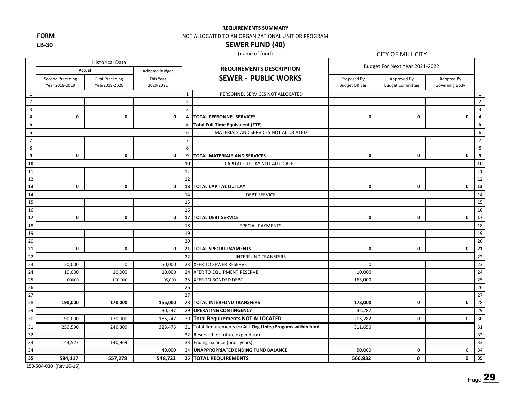**REQUIREMENTS SUMMARY**

**FORM LB‐30**

#### NOT ALLOCATED TO AN ORGANIZATIONAL UNIT OR PROGRAM

#### **SEWER FUND (40)**

#### (name of fund)

|                         |                                           |                                         |                        |                | (name of fund)                                               | CITY OF MILL CITY                    |                                        |                              |                         |
|-------------------------|-------------------------------------------|-----------------------------------------|------------------------|----------------|--------------------------------------------------------------|--------------------------------------|----------------------------------------|------------------------------|-------------------------|
|                         |                                           | <b>Historical Data</b>                  |                        |                |                                                              | Budget For Next Year 2021-2022       |                                        |                              |                         |
|                         | Actual                                    |                                         | Adopted Budget         |                | <b>REQUIREMENTS DESCRIPTION</b>                              |                                      |                                        |                              |                         |
|                         | <b>Second Preceding</b><br>Year 2018-2019 | <b>First Preceding</b><br>Year2019-2020 | This Year<br>2020-2021 |                | <b>SEWER - PUBLIC WORKS</b>                                  | Proposed By<br><b>Budget Officer</b> | Approved By<br><b>Budget Committee</b> | Adopted By<br>Governing Body |                         |
| $\mathbf{1}$            |                                           |                                         |                        | $\mathbf{1}$   | PERSONNEL SERVICES NOT ALLOCATED                             |                                      |                                        |                              | 1                       |
| $\overline{2}$          |                                           |                                         |                        | $\overline{2}$ |                                                              |                                      |                                        |                              | $\overline{2}$          |
| $\mathbf{3}$            |                                           |                                         |                        | $\overline{3}$ |                                                              |                                      |                                        |                              | $\mathbf{3}$            |
| 4                       | $\mathbf 0$                               | $\mathbf 0$                             | 0                      | 4              | <b>TOTAL PERSONNEL SERVICES</b>                              | $\mathbf 0$                          | $\mathbf 0$                            | 0                            | $\pmb{4}$               |
| $\overline{\mathbf{5}}$ |                                           |                                         |                        | 5              | <b>Total Full-Time Equivalent (FTE)</b>                      |                                      |                                        |                              | $\overline{\mathbf{5}}$ |
| 6                       |                                           |                                         |                        | 6              | MATERIALS AND SERVICES NOT ALLOCATED                         |                                      |                                        |                              | 6                       |
| $\overline{7}$          |                                           |                                         |                        | $\overline{7}$ |                                                              |                                      |                                        |                              | $\overline{7}$          |
| 8                       |                                           |                                         |                        | 8              |                                                              |                                      |                                        |                              | $\,8\,$                 |
| 9                       | 0                                         | 0                                       | 0                      | 9              | <b>TOTAL MATERIALS AND SERVICES</b>                          | $\mathbf 0$                          | 0                                      | 0                            | $\boldsymbol{9}$        |
| 10                      |                                           |                                         |                        | 10             | CAPITAL OUTLAY NOT ALLOCATED                                 |                                      |                                        |                              | 10                      |
| 11                      |                                           |                                         |                        | 11             |                                                              |                                      |                                        |                              | 11                      |
| 12                      |                                           |                                         |                        | 12             |                                                              |                                      |                                        |                              | 12                      |
| 13                      | $\mathbf 0$                               | 0                                       | $\mathbf 0$            |                | <b>13   TOTAL CAPITAL OUTLAY</b>                             | $\mathbf 0$                          | $\mathbf{0}$                           | $\mathbf 0$                  | 13                      |
| 14                      |                                           |                                         |                        | 14             | <b>DEBT SERVICE</b>                                          |                                      |                                        |                              | 14                      |
| 15                      |                                           |                                         |                        | 15             |                                                              |                                      |                                        |                              | 15                      |
| 16                      |                                           |                                         |                        | 16             |                                                              |                                      |                                        |                              | 16                      |
| 17                      | 0                                         | $\mathbf 0$                             | 0                      | 17             | <b>TOTAL DEBT SERVICE</b>                                    | 0                                    | $\mathbf{0}$                           | 0                            | $\overline{17}$         |
| 18                      |                                           |                                         |                        | 18             | <b>SPECIAL PAYMENTS</b>                                      |                                      |                                        |                              | 18                      |
| 19                      |                                           |                                         |                        | 19             |                                                              |                                      |                                        |                              | 19                      |
| 20                      |                                           |                                         |                        | 20             |                                                              |                                      |                                        |                              | 20                      |
| $\overline{21}$         | $\mathbf 0$                               | 0                                       | $\mathbf 0$            | 21             | <b>TOTAL SPECIAL PAYMENTS</b>                                | 0                                    | 0                                      | 0                            | $\overline{21}$         |
| 22                      |                                           |                                         |                        | 22             | <b>INTERFUND TRANSFERS</b>                                   |                                      |                                        |                              | 22                      |
| 23                      | 20,000                                    | $\mathbf 0$                             | 50,000                 |                | 23 XFER TO SEWER RESERVE                                     | $\mathbf 0$                          |                                        |                              | 23                      |
| $\overline{24}$         | 10,000                                    | 10,000                                  | 10,000                 |                | 24 XFER TO EQUIPMENT RESERVE                                 | 10,000                               |                                        |                              | 24                      |
| $\overline{25}$         | 160000                                    | 160,000                                 | 95,000                 | 25             | <b>XFER TO BONDED DEBT</b>                                   | 163,000                              |                                        |                              | $\overline{25}$         |
| 26                      |                                           |                                         |                        | 26             |                                                              |                                      |                                        |                              | 26                      |
| 27                      |                                           |                                         |                        | 27             |                                                              |                                      |                                        |                              | 27                      |
| $\overline{28}$         | 190,000                                   | 170,000                                 | 155,000                |                | 28 TOTAL INTERFUND TRANSFERS                                 | 173,000                              | 0                                      | 0                            | 28                      |
| 29                      |                                           |                                         | 30,247                 |                | 29 OPERATING CONTINGENCY                                     | 32,282                               |                                        |                              | 29                      |
| 30                      | 190,000                                   | 170,000                                 | 185,247                |                | 30 Total Requirements NOT ALLOCATED                          | 205,282                              | $\mathbf 0$                            | 0                            | 30                      |
| 31                      | 250,590                                   | 246,309                                 | 323,475                |                | 31 Total Requirements for ALL Org. Units/Progams within fund | 311,650                              |                                        |                              | 31                      |
| $\overline{32}$         |                                           |                                         |                        |                | 32 Reserved for future expenditure                           |                                      |                                        |                              | 32                      |
| 33                      | 143,527                                   | 140,969                                 |                        |                | 33 Ending balance (prior years)                              |                                      |                                        |                              | 33                      |
| 34                      |                                           |                                         | 40,000                 |                | 34 UNAPPROPRIATED ENDING FUND BALANCE                        | 50,000                               | $\mathbf 0$                            | 0                            | 34                      |
| 35                      | 584,117                                   | 557,278                                 | 548,722                |                | 35 TOTAL REQUIREMENTS                                        | 566,932                              | 0                                      | 0                            | 35                      |

150‐504‐030 (Rev 10‐16)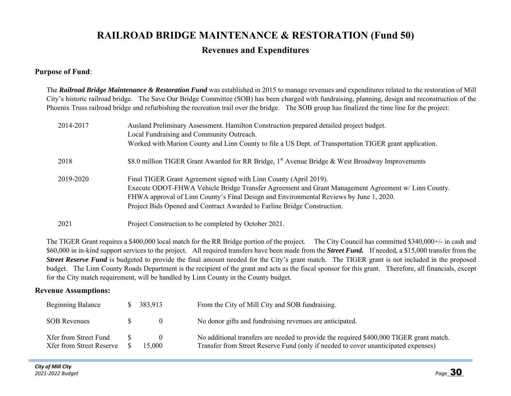# **RAILROAD BRIDGE MAINTENANCE & RESTORATION (Fund 50) Revenues and Expenditures**

#### **Purpose of Fund**:

The *Railroad Bridge Maintenance & Restoration Fund* was established in 2015 to manage revenues and expenditures related to the restoration of Mill City's historic railroad bridge. The Save Our Bridge Committee (SOB) has been charged with fundraising, planning, design and reconstruction of the Phoenix Truss railroad bridge and refurbishing the recreation trail over the bridge. The SOB group has finalized the time line for the project:

| 2014-2017 | Ausland Preliminary Assessment. Hamilton Construction prepared detailed project budget.<br>Local Fundraising and Community Outreach.<br>Worked with Marion County and Linn County to file a US Dept. of Transportation TIGER grant application.                                                                                               |
|-----------|-----------------------------------------------------------------------------------------------------------------------------------------------------------------------------------------------------------------------------------------------------------------------------------------------------------------------------------------------|
| 2018      | \$8.0 million TIGER Grant Awarded for RR Bridge, 1 <sup>st</sup> Avenue Bridge & West Broadway Improvements                                                                                                                                                                                                                                   |
| 2019-2020 | Final TIGER Grant Agreement signed with Linn County (April 2019).<br>Execute ODOT-FHWA Vehicle Bridge Transfer Agreement and Grant Management Agreement w/ Linn County.<br>FHWA approval of Linn County's Final Design and Environmental Reviews by June 1, 2020.<br>Project Bids Opened and Contract Awarded to Farline Bridge Construction. |
| 2021      | Project Construction to be completed by October 2021.                                                                                                                                                                                                                                                                                         |

The TIGER Grant requires a \$400,000 local match for the RR Bridge portion of the project. The City Council has committed \$340,000+/- in cash and \$60,000 in in-kind support services to the project. All required transfers have been made from the *Street Fund.* If needed, a \$15,000 transfer from the *Street Reserve Fund* is budgeted to provide the final amount needed for the City's grant match. The TIGER grant is not included in the proposed budget. The Linn County Roads Department is the recipient of the grant and acts as the fiscal sponsor for this grant. Therefore, all financials, except for the City match requirement, will be handled by Linn County in the County budget.

#### **Revenue Assumptions:**

| <b>Beginning Balance</b>                                 | 383,913 | From the City of Mill City and SOB fundraising.                                                                                                                               |
|----------------------------------------------------------|---------|-------------------------------------------------------------------------------------------------------------------------------------------------------------------------------|
| <b>SOB Revenues</b>                                      |         | No donor gifts and fundraising revenues are anticipated.                                                                                                                      |
| Xfer from Street Fund<br><b>Xfer from Street Reserve</b> | 15,000  | No additional transfers are needed to provide the required \$400,000 TIGER grant match.<br>Transfer from Street Reserve Fund (only if needed to cover unanticipated expenses) |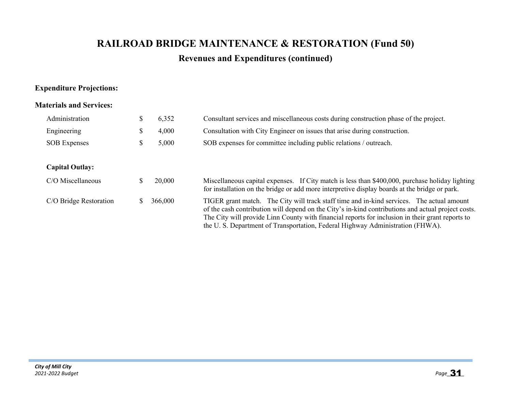# **RAILROAD BRIDGE MAINTENANCE & RESTORATION (Fund 50)**

## **Revenues and Expenditures (continued)**

### **Expenditure Projections:**

#### **Materials and Services:**

| Administration         | D | 6,352   | Consultant services and miscellaneous costs during construction phase of the project.                                                                                                                                                                                                                                                                                                |  |  |  |
|------------------------|---|---------|--------------------------------------------------------------------------------------------------------------------------------------------------------------------------------------------------------------------------------------------------------------------------------------------------------------------------------------------------------------------------------------|--|--|--|
| Engineering            | P | 4,000   | Consultation with City Engineer on issues that arise during construction.                                                                                                                                                                                                                                                                                                            |  |  |  |
| <b>SOB</b> Expenses    | D | 5,000   | SOB expenses for committee including public relations / outreach.                                                                                                                                                                                                                                                                                                                    |  |  |  |
|                        |   |         |                                                                                                                                                                                                                                                                                                                                                                                      |  |  |  |
| <b>Capital Outlay:</b> |   |         |                                                                                                                                                                                                                                                                                                                                                                                      |  |  |  |
| C/O Miscellaneous      |   | 20,000  | Miscellaneous capital expenses. If City match is less than \$400,000, purchase holiday lighting<br>for installation on the bridge or add more interpretive display boards at the bridge or park.                                                                                                                                                                                     |  |  |  |
| C/O Bridge Restoration |   | 366,000 | TIGER grant match. The City will track staff time and in-kind services. The actual amount<br>of the cash contribution will depend on the City's in-kind contributions and actual project costs.<br>The City will provide Linn County with financial reports for inclusion in their grant reports to<br>the U.S. Department of Transportation, Federal Highway Administration (FHWA). |  |  |  |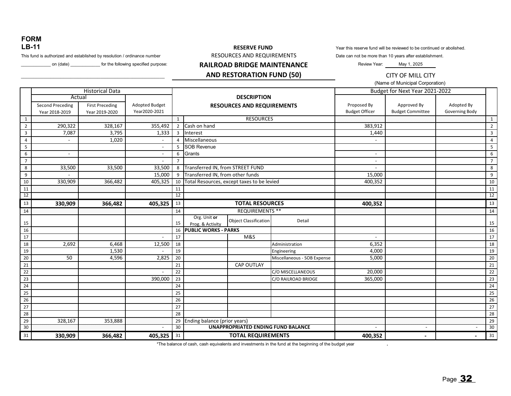#### **FORM LB-11**

This fund is authorized and established by resolution / ordinance number

#### on (date) \_\_\_\_\_\_\_\_\_\_\_\_\_ for the following specified purpose:

#### **RESERVE FUND**  RESOURCES AND REQUIREMENTS **RAILROAD BRIDGE MAINTENANCE AND RESTORATION FUND (50)**

#### Year this reserve fund will be reviewed to be continued or abolished.

Date can not be more than 10 years after establishment.

.

Review Year: May 1, 2025

CITY OF MILL CITY

(Name of Municipal Corporation)

|                 |                                    | <b>Historical Data</b>                   |                                        |                 |                                  |                                            |                             | Budget for Next Year 2021-2022       |                                        |                              |                 |
|-----------------|------------------------------------|------------------------------------------|----------------------------------------|-----------------|----------------------------------|--------------------------------------------|-----------------------------|--------------------------------------|----------------------------------------|------------------------------|-----------------|
|                 |                                    | Actual                                   |                                        |                 | <b>DESCRIPTION</b>               |                                            |                             |                                      |                                        |                              |                 |
|                 | Second Preceding<br>Year 2018-2019 | <b>First Preceding</b><br>Year 2019-2020 | <b>Adopted Budget</b><br>Year2020-2021 |                 |                                  | <b>RESOURCES AND REQUIREMENTS</b>          |                             | Proposed By<br><b>Budget Officer</b> | Approved By<br><b>Budget Committee</b> | Adopted By<br>Governing Body |                 |
| $\mathbf{1}$    |                                    |                                          |                                        | 1               |                                  | <b>RESOURCES</b>                           |                             |                                      |                                        |                              | $\mathbf{1}$    |
| $\overline{2}$  | 290,322                            | 328,167                                  | 355,492                                | $\overline{2}$  | Cash on hand                     |                                            |                             | 383,912                              |                                        |                              | $\overline{2}$  |
| $\overline{3}$  | 7,087                              | 3,795                                    | 1,333                                  | $\overline{3}$  | Interest                         |                                            |                             | 1,440                                |                                        |                              | $\overline{3}$  |
| $\overline{4}$  |                                    | 1,020                                    | $\sim$                                 | $\overline{4}$  | Miscellaneous                    |                                            |                             |                                      |                                        |                              | $\overline{4}$  |
| 5               |                                    |                                          | $\sim$                                 | 5               | <b>SOB Revenue</b>               |                                            |                             |                                      |                                        |                              | 5 <sup>5</sup>  |
| 6               | $\overline{\phantom{a}}$           |                                          | $\sim$                                 | 6               | Grants                           |                                            |                             | $\overline{\phantom{a}}$             |                                        |                              | 6               |
| $\overline{7}$  |                                    |                                          | $\sim$                                 |                 |                                  |                                            |                             |                                      |                                        |                              | $7\overline{ }$ |
| 8               | 33,500                             | 33,500                                   | 33,500                                 | 8               | Transferred IN, from STREET FUND |                                            |                             |                                      |                                        |                              | 8               |
| 9               |                                    |                                          | 15,000                                 | 9               | Transferred IN, from other funds |                                            |                             | 15,000                               |                                        |                              | 9               |
| 10              | 330,909                            | 366,482                                  | 405,325                                | 10              |                                  | Total Resources, except taxes to be levied |                             | 400,352                              |                                        |                              | 10              |
| 11              |                                    |                                          |                                        | 11              |                                  |                                            |                             |                                      |                                        |                              | 11              |
| 12              |                                    |                                          |                                        | 12              |                                  |                                            |                             |                                      |                                        |                              | 12              |
| 13              | 330,909                            | 366,482                                  | 405,325                                | 13              |                                  | <b>TOTAL RESOURCES</b>                     |                             | 400,352                              |                                        |                              | $13\,$          |
| 14              |                                    |                                          |                                        | 14              |                                  | <b>REQUIREMENTS **</b>                     |                             |                                      |                                        |                              | 14              |
| 15              |                                    |                                          |                                        | 15              | Org. Unit or<br>Prog. & Activity | <b>Object Classification</b>               | Detail                      |                                      |                                        |                              | 15              |
| 16              |                                    |                                          |                                        | 16              | <b>PUBLIC WORKS - PARKS</b>      |                                            |                             |                                      |                                        |                              | 16              |
| 17              |                                    |                                          | $\overline{\phantom{a}}$               | 17              |                                  | M&S                                        |                             | $\blacksquare$                       |                                        |                              | 17              |
| 18              | 2,692                              | 6,468                                    | 12,500                                 | 18              |                                  |                                            | Administration              | 6,352                                |                                        |                              | 18              |
| 19              |                                    | 1,530                                    |                                        | 19              |                                  |                                            | Engineering                 | 4,000                                |                                        |                              | 19              |
| 20              | 50                                 | 4,596                                    | 2,825                                  | 20              |                                  |                                            | Miscellaneous - SOB Expense | 5,000                                |                                        |                              | 20              |
| 21              |                                    |                                          |                                        | 21              |                                  | <b>CAP OUTLAY</b>                          |                             |                                      |                                        |                              | 21              |
| 22              |                                    |                                          |                                        | 22              |                                  |                                            | C/O MISCELLANEOUS           | 20,000                               |                                        |                              | 22              |
| $\overline{23}$ |                                    |                                          | 390,000                                | 23              |                                  |                                            | C/O RAILROAD BRIDGE         | 365,000                              |                                        |                              | 23              |
| 24              |                                    |                                          |                                        | 24              |                                  |                                            |                             |                                      |                                        |                              | 24              |
| 25              |                                    |                                          |                                        | 25              |                                  |                                            |                             |                                      |                                        |                              | 25              |
| 26              |                                    |                                          |                                        | 26              |                                  |                                            |                             |                                      |                                        |                              | 26              |
| 27              |                                    |                                          |                                        | 27              |                                  |                                            |                             |                                      |                                        |                              | 27              |
| 28              |                                    |                                          |                                        | 28              |                                  |                                            |                             |                                      |                                        |                              | 28              |
| 29              | 328,167                            | 353,888                                  | $\overline{a}$                         | 29              | Ending balance (prior years)     |                                            |                             |                                      |                                        |                              | 29              |
| $\overline{30}$ |                                    |                                          |                                        | $\overline{30}$ |                                  | <b>UNAPPROPRIATED ENDING FUND BALANCE</b>  |                             | $\overline{\phantom{a}}$             | $\sim$                                 | $\sim$                       | 30              |
| 31              | 330,909                            | 366,482                                  | $405,325$ 31                           |                 |                                  | <b>TOTAL REQUIREMENTS</b>                  |                             | 400,352                              |                                        |                              | 31              |

\*The balance of cash, cash equivalents and investments in the fund at the beginning of the budget year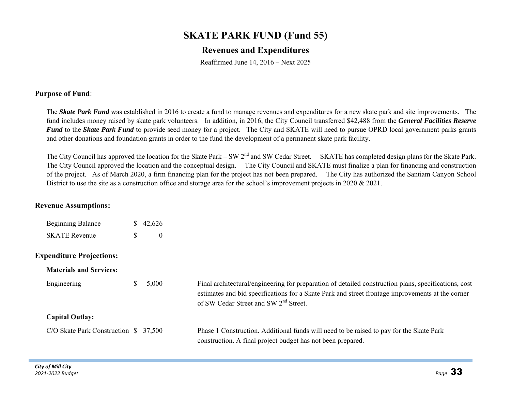## **SKATE PARK FUND (Fund 55)**

## **Revenues and Expenditures**

Reaffirmed June 14, 2016 – Next 2025

#### **Purpose of Fund**:

The *Skate Park Fund* was established in 2016 to create a fund to manage revenues and expenditures for a new skate park and site improvements. The fund includes money raised by skate park volunteers. In addition, in 2016, the City Council transferred \$42,488 from the *General Facilities Reserve Fund* to the *Skate Park Fund* to provide seed money for a project. The City and SKATE will need to pursue OPRD local government parks grants and other donations and foundation grants in order to the fund the development of a permanent skate park facility.

The City Council has approved the location for the Skate Park – SW 2<sup>nd</sup> and SW Cedar Street. SKATE has completed design plans for the Skate Park. The City Council approved the location and the conceptual design. The City Council and SKATE must finalize a plan for financing and construction of the project. As of March 2020, a firm financing plan for the project has not been prepared. The City has authorized the Santiam Canyon School District to use the site as a construction office and storage area for the school's improvement projects in 2020 & 2021.

#### **Revenue Assumptions:**

| <b>Beginning Balance</b> | \$42,626 |
|--------------------------|----------|
| <b>SKATE Revenue</b>     |          |

#### **Expenditure Projections:**

| <b>Materials and Services:</b>        |       |                                                                                                                                                                                                                                                               |
|---------------------------------------|-------|---------------------------------------------------------------------------------------------------------------------------------------------------------------------------------------------------------------------------------------------------------------|
| Engineering                           | 5,000 | Final architectural/engineering for preparation of detailed construction plans, specifications, cost<br>estimates and bid specifications for a Skate Park and street frontage improvements at the corner<br>of SW Cedar Street and SW 2 <sup>nd</sup> Street. |
| <b>Capital Outlay:</b>                |       |                                                                                                                                                                                                                                                               |
| C/O Skate Park Construction $$37,500$ |       | Phase 1 Construction. Additional funds will need to be raised to pay for the Skate Park<br>construction. A final project budget has not been prepared.                                                                                                        |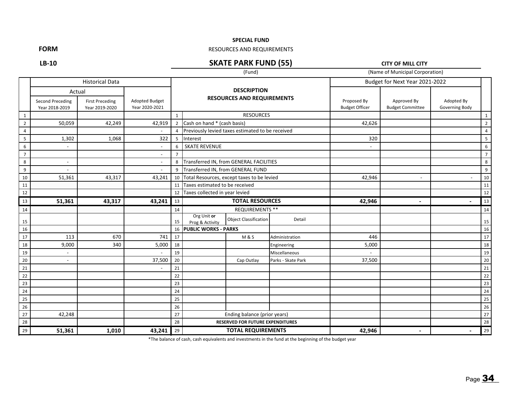#### **SPECIAL FUND**

#### RESOURCES AND REQUIREMENTS

**LB‐10**

**FORM**

#### **SKATE PARK FUND (55)**

**CITY OF MILL CITY**

|                |                                    |                                          |                                         |                |                                   | (Fund)                                           |                    |                                      | (Name of Municipal Corporation)        |                              |                |
|----------------|------------------------------------|------------------------------------------|-----------------------------------------|----------------|-----------------------------------|--------------------------------------------------|--------------------|--------------------------------------|----------------------------------------|------------------------------|----------------|
|                |                                    | <b>Historical Data</b>                   |                                         |                |                                   |                                                  |                    |                                      | Budget for Next Year 2021-2022         |                              |                |
|                | Actual                             |                                          |                                         |                |                                   | <b>DESCRIPTION</b>                               |                    |                                      |                                        |                              |                |
|                | Second Preceding<br>Year 2018-2019 | <b>First Preceding</b><br>Year 2019-2020 | <b>Adopted Budget</b><br>Year 2020-2021 |                |                                   | <b>RESOURCES AND REQUIREMENTS</b>                |                    | Proposed By<br><b>Budget Officer</b> | Approved By<br><b>Budget Committee</b> | Adopted By<br>Governing Body |                |
| 1              |                                    |                                          |                                         | $\mathbf{1}$   |                                   | <b>RESOURCES</b>                                 |                    |                                      |                                        |                              | $\mathbf{1}$   |
| $\overline{2}$ | 50,059                             | 42,249                                   | 42,919                                  |                | 2 Cash on hand * (cash basis)     |                                                  |                    | 42,626                               |                                        |                              | $\overline{2}$ |
| $\overline{4}$ |                                    |                                          |                                         | 4              |                                   | Previously levied taxes estimated to be received |                    |                                      |                                        |                              | $\overline{4}$ |
| 5 <sub>1</sub> | 1,302                              | 1,068                                    | 322                                     |                | 5 Interest                        |                                                  |                    | 320                                  |                                        |                              | 5              |
| 6              |                                    |                                          |                                         | 6              | <b>SKATE REVENUE</b>              |                                                  |                    | $\overline{\phantom{0}}$             |                                        |                              | 6              |
| $\overline{7}$ |                                    |                                          | $\overline{\phantom{a}}$                | $\overline{7}$ |                                   |                                                  |                    |                                      |                                        |                              | $\overline{7}$ |
| 8              | ÷,                                 |                                          |                                         | 8              |                                   | Transferred IN. from GENERAL FACILITIES          |                    |                                      |                                        |                              | 8              |
| 9              |                                    |                                          |                                         | 9              |                                   | Transferred IN, from GENERAL FUND                |                    |                                      |                                        |                              | 9              |
| 10             | 51,361                             | 43,317                                   | 43,241                                  |                |                                   | 10 Total Resources, except taxes to be levied    |                    |                                      | $\overline{\phantom{a}}$               |                              | 10             |
| 11             |                                    |                                          |                                         | 11             | Taxes estimated to be received    |                                                  |                    |                                      |                                        |                              | 11             |
| 12             |                                    |                                          |                                         |                | 12 Taxes collected in year levied |                                                  |                    |                                      |                                        |                              | 12             |
| 13             | 51,361                             | 43,317                                   | 43,241                                  | 13             |                                   | <b>TOTAL RESOURCES</b>                           |                    | 42,946                               | $\overline{\phantom{a}}$               |                              | 13             |
| 14             |                                    |                                          |                                         | 14             |                                   | <b>REQUIREMENTS **</b>                           |                    |                                      |                                        |                              | 14             |
| 15             |                                    |                                          |                                         | 15             | Org Unit or<br>Prog & Activity    | <b>Object Classification</b>                     | Detail             |                                      |                                        |                              | 15             |
| 16             |                                    |                                          |                                         |                | 16 PUBLIC WORKS - PARKS           |                                                  |                    |                                      |                                        |                              | 16             |
| 17             | 113                                | 670                                      | 741                                     | 17             |                                   | <b>M&amp;S</b>                                   | Administration     | 446                                  |                                        |                              | 17             |
| 18             | 9,000                              | 340                                      | 5,000                                   | 18             |                                   |                                                  | Engineering        | 5,000                                |                                        |                              | 18             |
| 19             |                                    |                                          |                                         | 19             |                                   |                                                  | Miscellaneous      |                                      |                                        |                              | 19             |
| 20             |                                    |                                          | 37,500                                  | 20             |                                   | Cap Outlay                                       | Parks - Skate Park | 37,500                               |                                        |                              | 20             |
| 21             |                                    |                                          |                                         | 21             |                                   |                                                  |                    |                                      |                                        |                              | 21             |
| 22             |                                    |                                          |                                         | 22             |                                   |                                                  |                    |                                      |                                        |                              | 22             |
| 23             |                                    |                                          |                                         | 23             |                                   |                                                  |                    |                                      |                                        |                              | 23             |
| 24             |                                    |                                          |                                         | 24             |                                   |                                                  |                    |                                      |                                        |                              | 24             |
| 25             |                                    |                                          |                                         | 25             |                                   |                                                  |                    |                                      |                                        |                              | 25             |
| 26             |                                    |                                          |                                         | 26             |                                   |                                                  |                    |                                      |                                        |                              | 26             |
| 27             | 42,248                             |                                          |                                         | 27             |                                   | Ending balance (prior years)                     |                    |                                      |                                        |                              | 27             |
| 28             |                                    |                                          |                                         | 28             |                                   | <b>RESERVED FOR FUTURE EXPENDITURES</b>          |                    |                                      |                                        |                              | 28             |
| 29             | 51,361                             | 1,010                                    | 43,241                                  | 29             |                                   | <b>TOTAL REQUIREMENTS</b>                        |                    |                                      |                                        |                              | 29             |

\*The balance of cash, cash equivalents and investments in the fund at the beginning of the budget year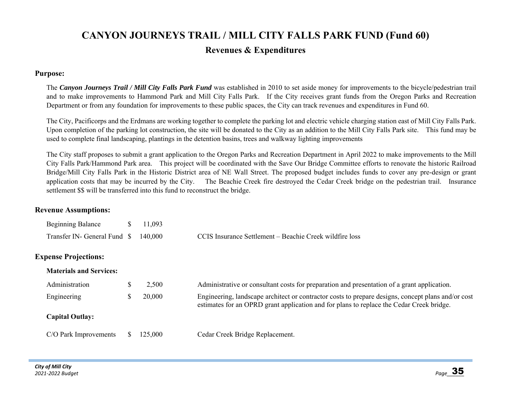# **CANYON JOURNEYS TRAIL / MILL CITY FALLS PARK FUND (Fund 60) Revenues & Expenditures**

#### **Purpose:**

The *Canyon Journeys Trail / Mill City Falls Park Fund* was established in 2010 to set aside money for improvements to the bicycle/pedestrian trail and to make improvements to Hammond Park and Mill City Falls Park. If the City receives grant funds from the Oregon Parks and Recreation Department or from any foundation for improvements to these public spaces, the City can track revenues and expenditures in Fund 60.

The City, Pacificorps and the Erdmans are working together to complete the parking lot and electric vehicle charging station east of Mill City Falls Park. Upon completion of the parking lot construction, the site will be donated to the City as an addition to the Mill City Falls Park site. This fund may be used to complete final landscaping, plantings in the detention basins, trees and walkway lighting improvements

The City staff proposes to submit a grant application to the Oregon Parks and Recreation Department in April 2022 to make improvements to the Mill City Falls Park/Hammond Park area. This project will be coordinated with the Save Our Bridge Committee efforts to renovate the historic Railroad Bridge/Mill City Falls Park in the Historic District area of NE Wall Street. The proposed budget includes funds to cover any pre-design or grant application costs that may be incurred by the City. The Beachie Creek fire destroyed the Cedar Creek bridge on the pedestrian trail. Insurance settlement \$\$ will be transferred into this fund to reconstruct the bridge.

#### **Revenue Assumptions:**

| <b>Beginning Balance</b>             | $\frac{\$}{11,093}$ |                                                         |
|--------------------------------------|---------------------|---------------------------------------------------------|
| Transfer IN- General Fund \$ 140,000 |                     | CCIS Insurance Settlement – Beachie Creek wildfire loss |

#### **Expense Projections:**

| <b>Materials and Services:</b> |         |                                                                                                                                                                                                |
|--------------------------------|---------|------------------------------------------------------------------------------------------------------------------------------------------------------------------------------------------------|
| Administration                 | 2,500   | Administrative or consultant costs for preparation and presentation of a grant application.                                                                                                    |
| Engineering                    | 20,000  | Engineering, landscape architect or contractor costs to prepare designs, concept plans and/or cost<br>estimates for an OPRD grant application and for plans to replace the Cedar Creek bridge. |
| <b>Capital Outlay:</b>         |         |                                                                                                                                                                                                |
| C/O Park Improvements          | 125,000 | Cedar Creek Bridge Replacement.                                                                                                                                                                |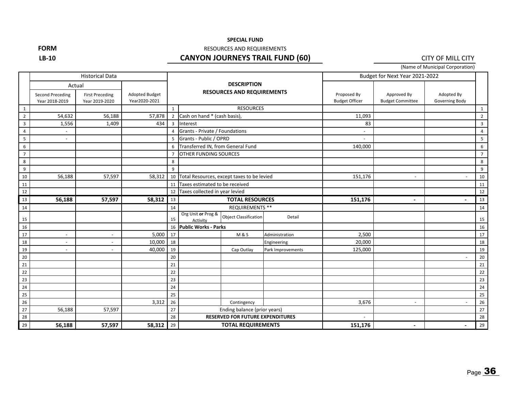#### **SPECIAL FUND**

**FORM**

#### RESOURCES AND REQUIREMENTS

#### **LB‐10**

#### **CANYON JOURNEYS TRAIL FUND (60)**

CITY OF MILL CITY

(Name of Municipal Corporation)

|                |                                           | <b>Historical Data</b>                             |                                        |                |                                   |                                                         |                   | Budget for Next Year 2021-2022       |                                        |                              |                |
|----------------|-------------------------------------------|----------------------------------------------------|----------------------------------------|----------------|-----------------------------------|---------------------------------------------------------|-------------------|--------------------------------------|----------------------------------------|------------------------------|----------------|
|                | <b>Second Preceding</b><br>Year 2018-2019 | Actual<br><b>First Preceding</b><br>Year 2019-2020 | <b>Adopted Budget</b><br>Year2020-2021 |                |                                   | <b>DESCRIPTION</b><br><b>RESOURCES AND REQUIREMENTS</b> |                   | Proposed By<br><b>Budget Officer</b> | Approved By<br><b>Budget Committee</b> | Adopted By<br>Governing Body |                |
| $\mathbf{1}$   |                                           |                                                    |                                        | 1              |                                   | <b>RESOURCES</b>                                        |                   |                                      |                                        |                              | $\mathbf{1}$   |
| $\overline{2}$ | 54,632                                    | 56,188                                             | 57,878                                 | $\overline{2}$ | Cash on hand * (cash basis),      |                                                         |                   | 11,093                               |                                        |                              | $\overline{2}$ |
| $\overline{3}$ | 1,556                                     | 1,409                                              | 434                                    | $\overline{3}$ | Interest                          |                                                         |                   | 83                                   |                                        |                              | $\overline{3}$ |
| 4              |                                           |                                                    |                                        | $\overline{4}$ | Grants - Private / Foundations    |                                                         |                   | $\overline{\phantom{a}}$             |                                        |                              | $\overline{4}$ |
| 5              |                                           |                                                    |                                        | 5              | Grants - Public / OPRD            |                                                         |                   | $\overline{\phantom{a}}$             |                                        |                              | $\overline{5}$ |
| 6              |                                           |                                                    |                                        | 6              | Transferred IN, from General Fund |                                                         |                   | 140,000                              |                                        |                              | 6              |
| $\overline{7}$ |                                           |                                                    |                                        | $\overline{7}$ | OTHER FUNDING SOURCES             |                                                         |                   |                                      |                                        |                              | $\overline{7}$ |
| 8              |                                           |                                                    |                                        | 8              |                                   |                                                         |                   |                                      |                                        |                              | 8              |
| 9              |                                           |                                                    |                                        | 9              |                                   |                                                         |                   |                                      |                                        |                              | 9              |
| 10             | 56,188                                    | 57,597                                             | 58,312                                 | 10             |                                   | Total Resources, except taxes to be levied              |                   |                                      | $\sim$                                 | Ĭ.                           | 10             |
| 11             |                                           |                                                    |                                        | 11             |                                   | Taxes estimated to be received                          |                   |                                      |                                        |                              | 11             |
| 12             |                                           |                                                    |                                        | 12             |                                   | Taxes collected in year levied                          |                   |                                      |                                        |                              | 12             |
| 13             | 56,188                                    | 57,597                                             | 58,312                                 | 13             |                                   | <b>TOTAL RESOURCES</b>                                  |                   | 151,176                              | $\overline{\phantom{a}}$               |                              | 13             |
| 14             |                                           |                                                    |                                        | 14             |                                   | <b>REQUIREMENTS **</b>                                  |                   |                                      |                                        |                              | 14             |
| 15             |                                           |                                                    |                                        | 15             | Org Unit or Prog &<br>Activity    | <b>Object Classification</b>                            | Detail            |                                      |                                        |                              | 15             |
| 16             |                                           |                                                    |                                        | 16             | <b>Public Works - Parks</b>       |                                                         |                   |                                      |                                        |                              | 16             |
| 17             | $\sim$                                    | $\overline{\phantom{a}}$                           | 5,000                                  | 17             |                                   | <b>M&amp;S</b>                                          | Administration    | 2,500                                |                                        |                              | 17             |
| 18             |                                           |                                                    | 10,000                                 | 18             |                                   |                                                         | Engineering       | 20,000                               |                                        |                              | 18             |
| 19             |                                           |                                                    | 40,000                                 | 19             |                                   | Cap Outlay                                              | Park Improvements | 125,000                              |                                        |                              | 19             |
| 20             |                                           |                                                    |                                        | 20             |                                   |                                                         |                   |                                      |                                        |                              | 20             |
| 21             |                                           |                                                    |                                        | 21             |                                   |                                                         |                   |                                      |                                        |                              | 21             |
| 22             |                                           |                                                    |                                        | 22             |                                   |                                                         |                   |                                      |                                        |                              | 22             |
| 23             |                                           |                                                    |                                        | 23             |                                   |                                                         |                   |                                      |                                        |                              | 23             |
| 24             |                                           |                                                    |                                        | 24             |                                   |                                                         |                   |                                      |                                        |                              | 24             |
| 25             |                                           |                                                    |                                        | 25             |                                   |                                                         |                   |                                      |                                        |                              | 25             |
| 26             |                                           |                                                    | 3,312                                  | 26             |                                   | Contingency                                             |                   | 3,676                                |                                        |                              | 26             |
| 27             | 56,188                                    | 57,597                                             |                                        | 27             |                                   | Ending balance (prior years)                            |                   |                                      |                                        |                              | 27             |
| 28             |                                           |                                                    |                                        | 28             |                                   | <b>RESERVED FOR FUTURE EXPENDITURES</b>                 |                   |                                      |                                        |                              | 28             |
| 29             | 56,188                                    | 57,597                                             | 58,312                                 | 29             |                                   | <b>TOTAL REQUIREMENTS</b>                               |                   |                                      | $\blacksquare$                         | $\overline{\phantom{a}}$     | 29             |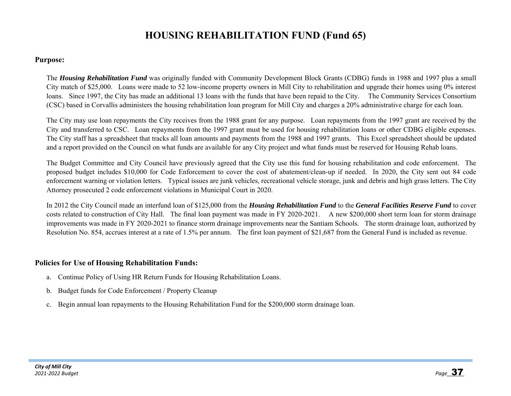## **HOUSING REHABILITATION FUND (Fund 65)**

#### **Purpose:**

The *Housing Rehabilitation Fund* was originally funded with Community Development Block Grants (CDBG) funds in 1988 and 1997 plus a small City match of \$25,000. Loans were made to 52 low-income property owners in Mill City to rehabilitation and upgrade their homes using 0% interest loans. Since 1997, the City has made an additional 13 loans with the funds that have been repaid to the City. The Community Services Consortium (CSC) based in Corvallis administers the housing rehabilitation loan program for Mill City and charges a 20% administrative charge for each loan.

The City may use loan repayments the City receives from the 1988 grant for any purpose. Loan repayments from the 1997 grant are received by the City and transferred to CSC. Loan repayments from the 1997 grant must be used for housing rehabilitation loans or other CDBG eligible expenses. The City staff has a spreadsheet that tracks all loan amounts and payments from the 1988 and 1997 grants. This Excel spreadsheet should be updated and a report provided on the Council on what funds are available for any City project and what funds must be reserved for Housing Rehab loans.

The Budget Committee and City Council have previously agreed that the City use this fund for housing rehabilitation and code enforcement. The proposed budget includes \$10,000 for Code Enforcement to cover the cost of abatement/clean-up if needed. In 2020, the City sent out 84 code enforcement warning or violation letters. Typical issues are junk vehicles, recreational vehicle storage, junk and debris and high grass letters. The City Attorney prosecuted 2 code enforcement violations in Municipal Court in 2020.

In 2012 the City Council made an interfund loan of \$125,000 from the *Housing Rehabilitation Fund* to the *General Facilities Reserve Fund* to cover costs related to construction of City Hall. The final loan payment was made in FY 2020-2021. A new \$200,000 short term loan for storm drainage improvements was made in FY 2020-2021 to finance storm drainage improvements near the Santiam Schools. The storm drainage loan, authorized by Resolution No. 854, accrues interest at a rate of 1.5% per annum. The first loan payment of \$21,687 from the General Fund is included as revenue.

#### **Policies for Use of Housing Rehabilitation Funds:**

- a. Continue Policy of Using HR Return Funds for Housing Rehabilitation Loans.
- b. Budget funds for Code Enforcement / Property Cleanup
- c. Begin annual loan repayments to the Housing Rehabilitation Fund for the \$200,000 storm drainage loan.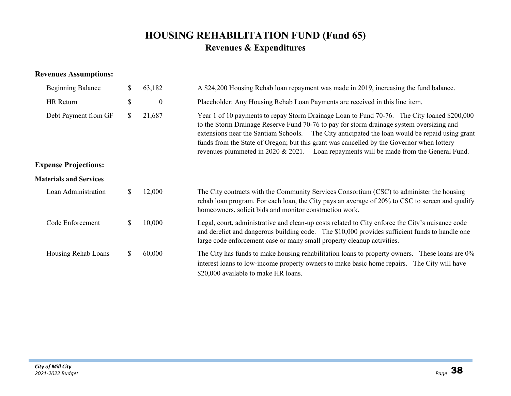# **HOUSING REHABILITATION FUND (Fund 65) Revenues & Expenditures**

### **Revenues Assumptions:**

| <b>Beginning Balance</b>      | \$<br>63,182           | A \$24,200 Housing Rehab loan repayment was made in 2019, increasing the fund balance.                                                                                                                                                                                                                                                                                                                                                                                           |
|-------------------------------|------------------------|----------------------------------------------------------------------------------------------------------------------------------------------------------------------------------------------------------------------------------------------------------------------------------------------------------------------------------------------------------------------------------------------------------------------------------------------------------------------------------|
| HR Return                     | \$<br>$\boldsymbol{0}$ | Placeholder: Any Housing Rehab Loan Payments are received in this line item.                                                                                                                                                                                                                                                                                                                                                                                                     |
| Debt Payment from GF          | \$<br>21,687           | Year 1 of 10 payments to repay Storm Drainage Loan to Fund 70-76. The City loaned \$200,000<br>to the Storm Drainage Reserve Fund 70-76 to pay for storm drainage system oversizing and<br>extensions near the Santiam Schools. The City anticipated the loan would be repaid using grant<br>funds from the State of Oregon; but this grant was cancelled by the Governor when lottery<br>revenues plummeted in 2020 & 2021. Loan repayments will be made from the General Fund. |
| <b>Expense Projections:</b>   |                        |                                                                                                                                                                                                                                                                                                                                                                                                                                                                                  |
| <b>Materials and Services</b> |                        |                                                                                                                                                                                                                                                                                                                                                                                                                                                                                  |
| Loan Administration           | \$<br>12,000           | The City contracts with the Community Services Consortium (CSC) to administer the housing<br>rehab loan program. For each loan, the City pays an average of 20% to CSC to screen and qualify<br>homeowners, solicit bids and monitor construction work.                                                                                                                                                                                                                          |
| Code Enforcement              | \$<br>10,000           | Legal, court, administrative and clean-up costs related to City enforce the City's nuisance code<br>and derelict and dangerous building code. The \$10,000 provides sufficient funds to handle one<br>large code enforcement case or many small property cleanup activities.                                                                                                                                                                                                     |
| Housing Rehab Loans           | \$<br>60,000           | The City has funds to make housing rehabilitation loans to property owners. These loans are 0%<br>interest loans to low-income property owners to make basic home repairs. The City will have<br>\$20,000 available to make HR loans.                                                                                                                                                                                                                                            |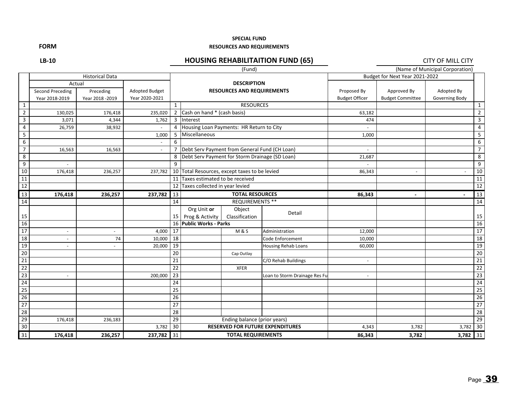#### **SPECIAL FUND**

#### **RESOURCES AND REQUIREMENTS**

**FORM**

**LB‐10**

### **HOUSING REHABILITAITION FUND (65)** CITY OF MILL CITY

|                         |                  |                        |                       |                 |                                                  | (Fund)                            |                                         |                          |                                | (Name of Municipal Corporation) |                 |
|-------------------------|------------------|------------------------|-----------------------|-----------------|--------------------------------------------------|-----------------------------------|-----------------------------------------|--------------------------|--------------------------------|---------------------------------|-----------------|
|                         |                  | <b>Historical Data</b> |                       |                 |                                                  |                                   |                                         |                          | Budget for Next Year 2021-2022 |                                 |                 |
|                         | Actual           |                        |                       |                 |                                                  | <b>DESCRIPTION</b>                |                                         |                          |                                |                                 |                 |
|                         | Second Preceding | Preceding              | <b>Adopted Budget</b> |                 |                                                  | <b>RESOURCES AND REQUIREMENTS</b> |                                         | Proposed By              | Approved By                    | Adopted By                      |                 |
|                         | Year 2018-2019   | Year 2018 - 2019       | Year 2020-2021        |                 |                                                  |                                   |                                         | <b>Budget Officer</b>    | <b>Budget Committee</b>        | Governing Body                  |                 |
| $\mathbf{1}$            |                  |                        |                       | $\mathbf{1}$    |                                                  | <b>RESOURCES</b>                  |                                         |                          |                                |                                 | $\mathbf{1}$    |
| $\overline{2}$          | 130,025          | 176,418                | 235,020               |                 | 2 Cash on hand * (cash basis)                    |                                   |                                         | 63,182                   |                                |                                 | $\overline{2}$  |
| $\overline{3}$          | 3,071            | 4,344                  | 1,762                 |                 | 3 Interest                                       |                                   |                                         | 474                      |                                |                                 | 3               |
| 4                       | 26,759           | 38,932                 |                       |                 | 4 Housing Loan Payments: HR Return to City       |                                   |                                         |                          |                                |                                 | 4               |
| 5                       |                  |                        | 1,000                 | 5               | Miscellaneous                                    |                                   |                                         | 1,000                    |                                |                                 | 5               |
| 6                       |                  |                        |                       | 6               |                                                  |                                   |                                         |                          |                                |                                 | 6               |
| $\overline{7}$          | 16,563           | 16,563                 |                       |                 | 7 Debt Serv Payment from General Fund (CH Loan)  |                                   |                                         |                          |                                |                                 | $\overline{7}$  |
| $\overline{\mathbf{8}}$ |                  |                        |                       |                 | 8 Debt Serv Payment for Storm Drainage (SD Loan) |                                   |                                         | 21,687                   |                                |                                 | 8               |
| 9                       |                  |                        |                       | 9               |                                                  |                                   |                                         |                          |                                |                                 | 9               |
| 10                      | 176,418          | 236,257                | 237,782               | 10 <sup>1</sup> | Total Resources, except taxes to be levied       |                                   |                                         | 86,343                   |                                |                                 | 10              |
| 11                      |                  |                        |                       | 11              |                                                  | Taxes estimated to be received    |                                         |                          |                                |                                 | 11              |
| 12                      |                  |                        |                       | 12              | Taxes collected in year levied                   |                                   |                                         |                          |                                |                                 | 12              |
| 13                      | 176,418          | 236,257                | 237,782               | 13              |                                                  | <b>TOTAL RESOURCES</b>            |                                         |                          |                                |                                 | 13              |
| 14                      |                  |                        |                       | 14              |                                                  | <b>REQUIREMENTS **</b>            |                                         |                          |                                |                                 | 14              |
|                         |                  |                        |                       |                 | Org Unit or                                      | Object                            | Detail                                  |                          |                                |                                 |                 |
| 15                      |                  |                        |                       | 15              | Prog & Activity                                  | Classification                    |                                         |                          |                                |                                 | 15              |
| 16                      |                  |                        |                       | 16              | <b>Public Works - Parks</b>                      |                                   |                                         |                          |                                |                                 | 16              |
| 17                      |                  |                        | 4,000                 | 17              |                                                  | <b>M&amp;S</b>                    | Administration                          | 12,000                   |                                |                                 | 17              |
| 18                      |                  | 74                     | 10,000                | 18              |                                                  |                                   | Code Enforcement                        | 10,000                   |                                |                                 | $\overline{18}$ |
| 19                      |                  |                        | 20,000                | 19              |                                                  |                                   | <b>Housing Rehab Loans</b>              | 60,000                   |                                |                                 | 19              |
| 20                      |                  |                        |                       | $\overline{20}$ |                                                  | Cap Outlay                        |                                         |                          |                                |                                 | 20              |
| 21                      |                  |                        |                       | 21              |                                                  |                                   | C/O Rehab Buildings                     | $\overline{\phantom{a}}$ |                                |                                 | $\overline{21}$ |
| 22                      |                  |                        |                       | 22              |                                                  | <b>XFER</b>                       |                                         |                          |                                |                                 | $\overline{22}$ |
| 23                      |                  |                        | 200,000               | 23              |                                                  |                                   | Loan to Storm Drainage Res Fu           | $\blacksquare$           |                                |                                 | 23              |
| 24                      |                  |                        |                       | 24              |                                                  |                                   |                                         |                          |                                |                                 | $\overline{24}$ |
| $\overline{25}$         |                  |                        |                       | 25              |                                                  |                                   |                                         |                          |                                |                                 | 25              |
| $\overline{26}$         |                  |                        |                       | 26              |                                                  |                                   |                                         |                          |                                |                                 | $\overline{26}$ |
| 27                      |                  |                        |                       | 27              |                                                  |                                   |                                         |                          |                                |                                 | 27              |
| 28                      |                  |                        |                       | 28              |                                                  |                                   |                                         |                          |                                |                                 | 28              |
| 29                      | 176,418          | 236,183                |                       | 29              |                                                  | Ending balance (prior years)      |                                         |                          |                                |                                 | 29              |
| 30                      |                  |                        | 3,782                 | $\overline{30}$ |                                                  |                                   | <b>RESERVED FOR FUTURE EXPENDITURES</b> | 4,343                    | 3,782                          | 3,782                           | 30              |
| 31                      | 176,418          | 236,257                | 237,782               | 31              |                                                  | <b>TOTAL REQUIREMENTS</b>         |                                         |                          | 3,782                          | 3,782                           | 31              |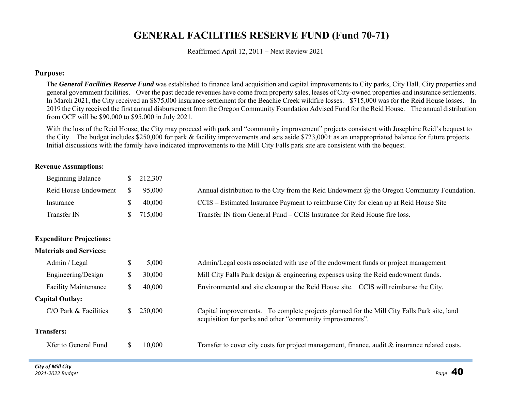# **GENERAL FACILITIES RESERVE FUND (Fund 70-71)**

Reaffirmed April 12, 2011 – Next Review 2021

#### **Purpose:**

The *General Facilities Reserve Fund* was established to finance land acquisition and capital improvements to City parks, City Hall, City properties and general government facilities. Over the past decade revenues have come from property sales, leases of City-owned properties and insurance settlements. In March 2021, the City received an \$875,000 insurance settlement for the Beachie Creek wildfire losses. \$715,000 was for the Reid House losses. In 2019 the City received the first annual disbursement from the Oregon Community Foundation Advised Fund for the Reid House. The annual distribution from OCF will be \$90,000 to \$95,000 in July 2021.

With the loss of the Reid House, the City may proceed with park and "community improvement" projects consistent with Josephine Reid's bequest to the City. The budget includes \$250,000 for park & facility improvements and sets aside \$723,000+ as an unappropriated balance for future projects. Initial discussions with the family have indicated improvements to the Mill City Falls park site are consistent with the bequest.

#### **Revenue Assumptions:**

| <b>Beginning Balance</b> | $\frac{\$}{212,307}$ |                                                                                                |
|--------------------------|----------------------|------------------------------------------------------------------------------------------------|
| Reid House Endowment     | 95,000               | Annual distribution to the City from the Reid Endowment $(a)$ the Oregon Community Foundation. |
| Insurance                | 40,000               | CCIS – Estimated Insurance Payment to reimburse City for clean up at Reid House Site           |
| Transfer IN              | \$715,000            | Transfer IN from General Fund – CCIS Insurance for Reid House fire loss.                       |

#### **Expenditure Projections:**

#### **Materials and Services:**

| Admin / Legal               | S                                                                                                   | 5,000   | Admin/Legal costs associated with use of the endowment funds or project management                                                                      |  |
|-----------------------------|-----------------------------------------------------------------------------------------------------|---------|---------------------------------------------------------------------------------------------------------------------------------------------------------|--|
| Engineering/Design          | Φ                                                                                                   | 30,000  | Mill City Falls Park design & engineering expenses using the Reid endowment funds.                                                                      |  |
| <b>Facility Maintenance</b> | Environmental and site cleanup at the Reid House site. CCIS will reimburse the City.<br>40,000<br>D |         |                                                                                                                                                         |  |
| <b>Capital Outlay:</b>      |                                                                                                     |         |                                                                                                                                                         |  |
| $C/O$ Park $& Facilities$   |                                                                                                     | 250,000 | Capital improvements. To complete projects planned for the Mill City Falls Park site, land<br>acquisition for parks and other "community improvements". |  |
| <b>Transfers:</b>           |                                                                                                     |         |                                                                                                                                                         |  |
| Xfer to General Fund        |                                                                                                     | 10,000  | Transfer to cover city costs for project management, finance, audit $\&$ insurance related costs.                                                       |  |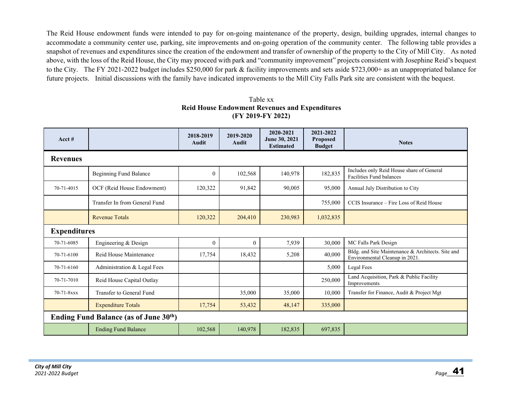The Reid House endowment funds were intended to pay for on-going maintenance of the property, design, building upgrades, internal changes to accommodate a community center use, parking, site improvements and on-going operation of the community center. The following table provides a snapshot of revenues and expenditures since the creation of the endowment and transfer of ownership of the property to the City of Mill City. As noted above, with the loss of the Reid House, the City may proceed with park and "community improvement" projects consistent with Josephine Reid's bequest to the City. The FY 2021-2022 budget includes \$250,000 for park & facility improvements and sets aside \$723,000+ as an unappropriated balance for future projects. Initial discussions with the family have indicated improvements to the Mill City Falls Park site are consistent with the bequest.

Table xx **Reid House Endowment Revenues and Expenditures (FY 2019-FY 2022)** 

| Acct#           |                                       | 2018-2019<br><b>Audit</b> | 2019-2020<br><b>Audit</b> | 2020-2021<br>June 30, 2021<br><b>Estimated</b> | 2021-2022<br><b>Proposed</b><br><b>Budget</b> | <b>Notes</b>                                                                        |  |  |  |  |  |
|-----------------|---------------------------------------|---------------------------|---------------------------|------------------------------------------------|-----------------------------------------------|-------------------------------------------------------------------------------------|--|--|--|--|--|
| <b>Revenues</b> |                                       |                           |                           |                                                |                                               |                                                                                     |  |  |  |  |  |
|                 | <b>Beginning Fund Balance</b>         | $\mathbf{0}$              | 102,568                   | 140,978                                        | 182,835                                       | Includes only Reid House share of General<br><b>Facilities Fund balances</b>        |  |  |  |  |  |
| 70-71-4015      | OCF (Reid House Endowment)            | 120,322                   | 91,842                    | 90.005                                         | 95,000                                        | Annual July Distribution to City                                                    |  |  |  |  |  |
|                 | Transfer In from General Fund         |                           |                           |                                                | 755,000                                       | CCIS Insurance – Fire Loss of Reid House                                            |  |  |  |  |  |
|                 | <b>Revenue Totals</b>                 | 120,322                   | 204,410                   | 230,983                                        | 1,032,835                                     |                                                                                     |  |  |  |  |  |
|                 | <b>Expenditures</b>                   |                           |                           |                                                |                                               |                                                                                     |  |  |  |  |  |
| 70-71-6085      | Engineering & Design                  | $\mathbf{0}$              | $\theta$                  | 7,939                                          | 30,000                                        | MC Falls Park Design                                                                |  |  |  |  |  |
| 70-71-6100      | Reid House Maintenance                | 17,754                    | 18,432                    | 5,208                                          | 40,000                                        | Bldg. and Site Maintenance & Architects. Site and<br>Environmental Cleanup in 2021. |  |  |  |  |  |
| 70-71-6160      | Administration & Legal Fees           |                           |                           |                                                | 5,000                                         | Legal Fees                                                                          |  |  |  |  |  |
| 70-71-7010      | Reid House Capital Outlay             |                           |                           |                                                | 250,000                                       | Land Acquisition, Park & Public Facility<br>Improvements                            |  |  |  |  |  |
| 70-71-8xxx      | Transfer to General Fund              |                           | 35,000                    | 35,000                                         | 10,000                                        | Transfer for Finance, Audit & Project Mgt                                           |  |  |  |  |  |
|                 | <b>Expenditure Totals</b>             | 17,754                    | 53,432                    | 48,147                                         | 335,000                                       |                                                                                     |  |  |  |  |  |
|                 | Ending Fund Balance (as of June 30th) |                           |                           |                                                |                                               |                                                                                     |  |  |  |  |  |
|                 | <b>Ending Fund Balance</b>            | 102,568                   | 140,978                   | 182,835                                        | 697,835                                       |                                                                                     |  |  |  |  |  |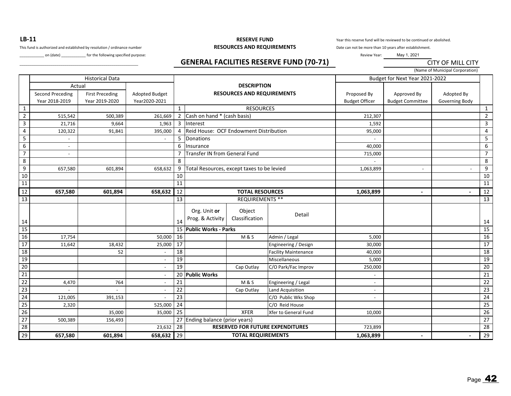**LB‐11**

This fund is authorized and established by resolution / ordinance number **RESOURCES AND REQUIREMENTS** 

\_on (date) \_\_\_\_\_\_\_\_\_\_\_\_\_ for the following specified purpose:

## **RESERVE FUND**

Year this reserve fund will be reviewed to be continued or abolished.

Date can not be more than 10 years after establishment.

Review Year: May 1, 2021

### \_\_\_\_\_\_\_\_\_\_\_\_\_\_\_\_\_\_\_\_\_\_\_\_\_\_\_\_\_\_\_\_\_\_\_\_\_\_\_\_\_\_\_\_\_\_\_\_\_\_\_\_\_\_\_\_\_\_ **GENERAL FACILITIES RESERVE FUND (70‐71)**

(Name of Municipal Corporation)

CITY OF MILL CITY

|                 |                                              | <b>Historical Data</b>                   |                                 |                 |                                            |                                                         |                                         |                                      | Budget for Next Year 2021-2022         | warne of widercipal corporation, |                         |
|-----------------|----------------------------------------------|------------------------------------------|---------------------------------|-----------------|--------------------------------------------|---------------------------------------------------------|-----------------------------------------|--------------------------------------|----------------------------------------|----------------------------------|-------------------------|
|                 | Actual<br>Second Preceding<br>Year 2018-2019 | <b>First Preceding</b><br>Year 2019-2020 | Adopted Budget<br>Year2020-2021 |                 |                                            | <b>DESCRIPTION</b><br><b>RESOURCES AND REQUIREMENTS</b> |                                         | Proposed By<br><b>Budget Officer</b> | Approved By<br><b>Budget Committee</b> | Adopted By<br>Governing Body     |                         |
| $\mathbf{1}$    |                                              |                                          |                                 | $\mathbf{1}$    |                                            | <b>RESOURCES</b>                                        |                                         |                                      |                                        |                                  | $\mathbf{1}$            |
| $\overline{2}$  | 515,542                                      | 500,389                                  | 261,669                         | 2               | Cash on hand * (cash basis)                |                                                         |                                         | 212,307                              |                                        |                                  | $\overline{2}$          |
| $\overline{3}$  | 21,716                                       | 9,664                                    | 1,963                           | $\overline{3}$  | Interest                                   |                                                         |                                         | 1,592                                |                                        |                                  | $\overline{\mathbf{3}}$ |
| 4               | 120,322                                      | 91,841                                   | 395,000                         | $\overline{4}$  | Reid House: OCF Endowment Distribution     |                                                         |                                         | 95,000                               |                                        |                                  | $\overline{4}$          |
| $5\phantom{.0}$ |                                              |                                          |                                 | 5               | Donations                                  |                                                         |                                         |                                      |                                        |                                  | $5\phantom{.0}$         |
| $\,6\,$         |                                              |                                          |                                 | 6               | Insurance                                  |                                                         |                                         | 40,000                               |                                        |                                  | 6                       |
| $\overline{7}$  |                                              |                                          |                                 |                 | Transfer IN from General Fund              |                                                         |                                         | 715,000                              |                                        |                                  | $\overline{7}$          |
| 8               |                                              |                                          |                                 | 8               |                                            |                                                         |                                         |                                      |                                        |                                  | 8                       |
| 9               | 657,580                                      | 601,894                                  | 658,632                         | 9               | Total Resources, except taxes to be levied |                                                         |                                         | 1,063,899                            |                                        |                                  | 9                       |
| 10              |                                              |                                          |                                 | 10              |                                            |                                                         |                                         |                                      |                                        |                                  | 10                      |
| $11\,$          |                                              |                                          |                                 | 11              |                                            |                                                         |                                         |                                      |                                        |                                  | 11                      |
| 12              | 657,580                                      | 601,894                                  | 658,632                         | 12              |                                            | <b>TOTAL RESOURCES</b>                                  |                                         | 1,063,899                            |                                        |                                  | 12                      |
| 13              |                                              |                                          |                                 | 13              |                                            | <b>REQUIREMENTS **</b>                                  |                                         |                                      |                                        |                                  | 13                      |
| 14              |                                              |                                          |                                 | 14              | Org. Unit or<br>Prog. & Activity           | Object<br>Classification                                | Detail                                  |                                      |                                        |                                  | 14                      |
| $15\,$          |                                              |                                          |                                 |                 | 15 Public Works - Parks                    |                                                         |                                         |                                      |                                        |                                  | 15                      |
| $16\,$          | 17,754                                       |                                          | 50,000                          | 16              |                                            | <b>M&amp;S</b>                                          | Admin / Legal                           | 5,000                                |                                        |                                  | 16                      |
| 17              | 11,642                                       | 18,432                                   | 25,000                          | 17              |                                            |                                                         | Engineering / Design                    | 30,000                               |                                        |                                  | 17                      |
| $\overline{18}$ |                                              | 52                                       | $\overline{\phantom{a}}$        | 18              |                                            |                                                         | <b>Facility Maintenance</b>             | 40,000                               |                                        |                                  | $\overline{18}$         |
| 19              |                                              |                                          | $\overline{a}$                  | 19              |                                            |                                                         | Miscellaneous                           | 5,000                                |                                        |                                  | 19                      |
| 20              |                                              |                                          |                                 | 19              |                                            | Cap Outlay                                              | C/O Park/Fac Improv                     | 250,000                              |                                        |                                  | $\overline{20}$         |
| $\overline{21}$ |                                              |                                          |                                 |                 | 20 Public Works                            |                                                         |                                         |                                      |                                        |                                  | 21                      |
| 22              | 4,470                                        | 764                                      | $\blacksquare$                  | 21              |                                            | <b>M&amp;S</b>                                          | Engineering / Legal                     | $\overline{\phantom{a}}$             |                                        |                                  | $\overline{22}$         |
| 23              |                                              |                                          |                                 | 22              |                                            | Cap Outlay                                              | <b>Land Acquisition</b>                 | $\overline{\phantom{a}}$             |                                        |                                  | $\overline{23}$         |
| 24              | 121,005                                      | 391,153                                  |                                 | $\overline{23}$ |                                            |                                                         | C/O Public Wks Shop                     | $\blacksquare$                       |                                        |                                  | 24                      |
| 25              | 2,320                                        |                                          | 525,000                         | $\overline{24}$ |                                            |                                                         | C/O Reid House                          |                                      |                                        |                                  | $\overline{25}$         |
| 26              |                                              | 35,000                                   | 35,000                          | $\overline{25}$ |                                            | <b>XFER</b>                                             | Xfer to General Fund                    | 10,000                               |                                        |                                  | 26                      |
| 27              | 500,389                                      | 156,493                                  |                                 | 27              | Ending balance (prior years)               |                                                         |                                         |                                      |                                        |                                  | 27                      |
| 28              |                                              |                                          | 23,632                          | 28              |                                            |                                                         | <b>RESERVED FOR FUTURE EXPENDITURES</b> | 723,899                              |                                        |                                  | 28                      |
| 29              | 657,580                                      | 601,894                                  | 658,632                         | 29              |                                            | <b>TOTAL REQUIREMENTS</b>                               |                                         |                                      |                                        |                                  | 29                      |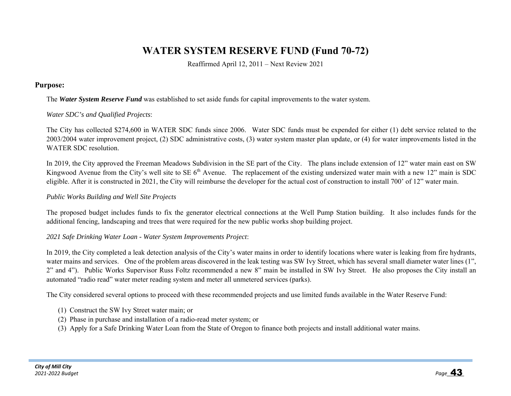# **WATER SYSTEM RESERVE FUND (Fund 70-72)**

Reaffirmed April 12, 2011 – Next Review 2021

#### **Purpose:**

#### The *Water System Reserve Fund* was established to set aside funds for capital improvements to the water system.

#### *Water SDC's and Qualified Projects*:

The City has collected \$274,600 in WATER SDC funds since 2006. Water SDC funds must be expended for either (1) debt service related to the 2003/2004 water improvement project, (2) SDC administrative costs, (3) water system master plan update, or (4) for water improvements listed in the WATER SDC resolution.

In 2019, the City approved the Freeman Meadows Subdivision in the SE part of the City. The plans include extension of 12" water main east on SW Kingwood Avenue from the City's well site to SE 6<sup>th</sup> Avenue. The replacement of the existing undersized water main with a new 12" main is SDC eligible. After it is constructed in 2021, the City will reimburse the developer for the actual cost of construction to install 700' of 12" water main.

#### *Public Works Building and Well Site Projects*

The proposed budget includes funds to fix the generator electrical connections at the Well Pump Station building. It also includes funds for the additional fencing, landscaping and trees that were required for the new public works shop building project.

#### *2021 Safe Drinking Water Loan - Water System Improvements Project*:

In 2019, the City completed a leak detection analysis of the City's water mains in order to identify locations where water is leaking from fire hydrants, water mains and services. One of the problem areas discovered in the leak testing was SW Ivy Street, which has several small diameter water lines (1", 2" and 4"). Public Works Supervisor Russ Foltz recommended a new 8" main be installed in SW Ivy Street. He also proposes the City install an automated "radio read" water meter reading system and meter all unmetered services (parks).

The City considered several options to proceed with these recommended projects and use limited funds available in the Water Reserve Fund:

- (1) Construct the SW Ivy Street water main; or
- (2) Phase in purchase and installation of a radio-read meter system; or
- (3) Apply for a Safe Drinking Water Loan from the State of Oregon to finance both projects and install additional water mains.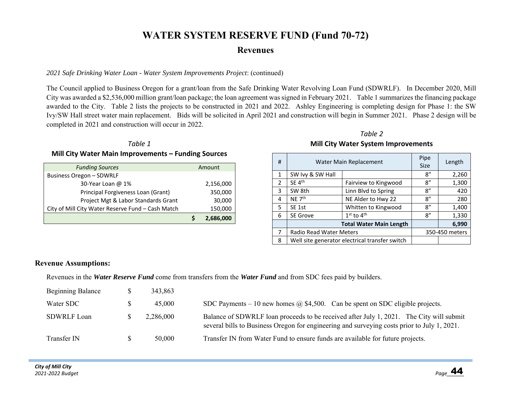## **WATER SYSTEM RESERVE FUND (Fund 70-72)**

### **Revenues**

#### *2021 Safe Drinking Water Loan - Water System Improvements Project*: (continued)

The Council applied to Business Oregon for a grant/loan from the Safe Drinking Water Revolving Loan Fund (SDWRLF). In December 2020, Mill City was awarded a \$2,536,000 million grant/loan package; the loan agreement was signed in February 2021. Table 1 summarizes the financing package awarded to the City. Table 2 lists the projects to be constructed in 2021 and 2022. Ashley Engineering is completing design for Phase 1: the SW Ivy/SW Hall street water main replacement. Bids will be solicited in April 2021 and construction will begin in Summer 2021. Phase 2 design will be completed in 2021 and construction will occur in 2022.

#### *Table 1*

#### **Mill City Water Main Improvements – Funding Sources**

| <b>Funding Sources</b>                            | Amount    |
|---------------------------------------------------|-----------|
| Business Oregon - SDWRLF                          |           |
| 30-Year Loan @ 1%                                 | 2,156,000 |
| Principal Forgiveness Loan (Grant)                | 350,000   |
| Project Mgt & Labor Standards Grant               | 30,000    |
| City of Mill City Water Reserve Fund - Cash Match | 150,000   |
|                                                   | 2,686,000 |

#### *Table 2* **Mill City Water System Improvements**

| # | Water Main Replacement         | Pipe<br><b>Size</b>                            | Length |                |
|---|--------------------------------|------------------------------------------------|--------|----------------|
| 1 | SW Ivy & SW Hall               |                                                | 8''    | 2,260          |
| 2 | $SE$ 4 <sup>th</sup>           | Fairview to Kingwood                           | 8''    | 1,300          |
| 3 | SW 8th                         | Linn Blvd to Spring                            | 8''    | 420            |
| 4 | NE 7 <sup>th</sup>             | NE Alder to Hwy 22                             | 8''    | 280            |
| 5 | SE <sub>1st</sub>              | Whitten to Kingwood                            | 8''    | 1,400          |
| 6 | <b>SE Grove</b>                | $1st$ to $4th$                                 | 8''    | 1,330          |
|   | <b>Total Water Main Length</b> |                                                | 6,990  |                |
| 7 | <b>Radio Read Water Meters</b> |                                                |        | 350-450 meters |
| 8 |                                | Well site generator electrical transfer switch |        |                |

#### **Revenue Assumptions:**

Revenues in the *Water Reserve Fund* come from transfers from the *Water Fund* and from SDC fees paid by builders.

| <b>Beginning Balance</b> | 343,863   |                                                                                                                                                                                        |
|--------------------------|-----------|----------------------------------------------------------------------------------------------------------------------------------------------------------------------------------------|
| Water SDC                | 45,000    | SDC Payments – 10 new homes $\omega$ \$4,500. Can be spent on SDC eligible projects.                                                                                                   |
| <b>SDWRLF Loan</b>       | 2,286,000 | Balance of SDWRLF loan proceeds to be received after July 1, 2021. The City will submit<br>several bills to Business Oregon for engineering and surveying costs prior to July 1, 2021. |
| Transfer IN              | 50,000    | Transfer IN from Water Fund to ensure funds are available for future projects.                                                                                                         |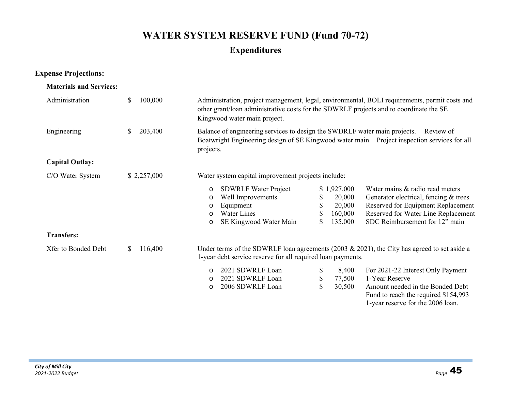# **WATER SYSTEM RESERVE FUND (Fund 70-72) Expenditures**

### **Expense Projections:**

#### **Materials and Services:**

| Administration         | 100,000<br>\$ | Administration, project management, legal, environmental, BOLI requirements, permit costs and<br>other grant/loan administrative costs for the SDWRLF projects and to coordinate the SE<br>Kingwood water main project. |                                                                               |                                                                                                                                                                                         |  |  |  |
|------------------------|---------------|-------------------------------------------------------------------------------------------------------------------------------------------------------------------------------------------------------------------------|-------------------------------------------------------------------------------|-----------------------------------------------------------------------------------------------------------------------------------------------------------------------------------------|--|--|--|
| Engineering            | 203,400<br>\$ | Balance of engineering services to design the SWDRLF water main projects.<br>Review of<br>Boatwright Engineering design of SE Kingwood water main. Project inspection services for all<br>projects.                     |                                                                               |                                                                                                                                                                                         |  |  |  |
| <b>Capital Outlay:</b> |               |                                                                                                                                                                                                                         |                                                                               |                                                                                                                                                                                         |  |  |  |
| C/O Water System       | \$2,257,000   | Water system capital improvement projects include:                                                                                                                                                                      |                                                                               |                                                                                                                                                                                         |  |  |  |
|                        |               | <b>SDWRLF Water Project</b><br>$\circ$<br>Well Improvements<br>$\circ$<br>Equipment<br>O<br>Water Lines<br>$\circ$<br>SE Kingwood Water Main<br>$\circ$                                                                 | \$1,927,000<br>20,000<br>\$<br>\$<br>20,000<br>\$<br>160,000<br>\$<br>135,000 | Water mains & radio read meters<br>Generator electrical, fencing & trees<br>Reserved for Equipment Replacement<br>Reserved for Water Line Replacement<br>SDC Reimbursement for 12" main |  |  |  |
| <b>Transfers:</b>      |               |                                                                                                                                                                                                                         |                                                                               |                                                                                                                                                                                         |  |  |  |
| Xfer to Bonded Debt    | 116,400<br>S. | 1-year debt service reserve for all required loan payments.                                                                                                                                                             |                                                                               | Under terms of the SDWRLF loan agreements (2003 & 2021), the City has agreed to set aside a                                                                                             |  |  |  |
|                        |               | 2021 SDWRLF Loan<br>$\circ$<br>2021 SDWRLF Loan<br>$\circ$<br>2006 SDWRLF Loan<br>$\circ$                                                                                                                               | \$<br>8,400<br>\$<br>77,500<br>\$<br>30,500                                   | For 2021-22 Interest Only Payment<br>1-Year Reserve<br>Amount needed in the Bonded Debt<br>Fund to reach the required \$154,993<br>1-year reserve for the 2006 loan.                    |  |  |  |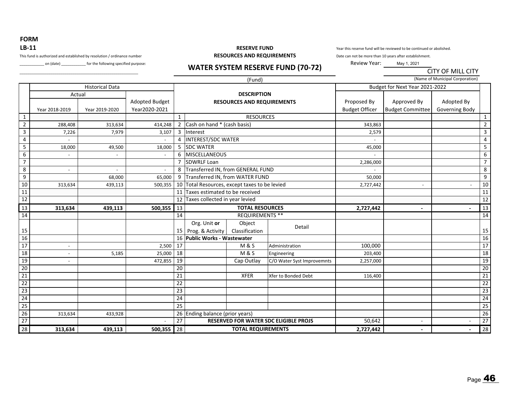**FORM LB‐11**

This fund is authorized and established by resolution / ordinance number **RESOURCES AND REQUIREMENTS**

\_\_\_\_\_\_\_\_\_\_\_\_\_\_\_\_\_\_\_\_\_\_\_\_\_\_\_\_\_\_\_\_\_\_\_\_\_\_\_\_\_\_\_\_\_\_\_\_\_\_\_\_\_\_\_\_\_\_

\_\_\_\_\_\_\_\_\_\_\_\_ on (date) \_\_\_\_\_\_\_\_\_\_\_\_ for the following specified purpose: **WATER SYSTEM RESERVE FUND (70‐72)**

# **RESERVE FUND**

Year this reserve fund will be reviewed to be continued or abolished.

CITY OF MILL CITY

Date can not be more than 10 years after establishment.

Review Year: May 1, 2021

|                 |                |                        |                |                |                                            | (Fund)                            |                                       |                       |                                | (Name of Municipal Corporation) |                 |
|-----------------|----------------|------------------------|----------------|----------------|--------------------------------------------|-----------------------------------|---------------------------------------|-----------------------|--------------------------------|---------------------------------|-----------------|
|                 |                | <b>Historical Data</b> |                |                |                                            |                                   |                                       |                       | Budget for Next Year 2021-2022 |                                 |                 |
|                 | Actual         |                        |                |                | <b>DESCRIPTION</b>                         |                                   |                                       |                       |                                |                                 |                 |
|                 |                |                        | Adopted Budget |                |                                            | <b>RESOURCES AND REQUIREMENTS</b> |                                       | Proposed By           | Approved By                    | Adopted By                      |                 |
|                 | Year 2018-2019 | Year 2019-2020         | Year2020-2021  |                |                                            |                                   |                                       | <b>Budget Officer</b> | <b>Budget Committee</b>        | Governing Body                  |                 |
| $\mathbf{1}$    |                |                        |                | $\mathbf{1}$   |                                            | <b>RESOURCES</b>                  |                                       |                       |                                |                                 | $\mathbf{1}$    |
| $\overline{2}$  | 288,408        | 313,634                | 414,248        | $\overline{2}$ | Cash on hand * (cash basis)                |                                   |                                       | 343,863               |                                |                                 | $\overline{2}$  |
| $\overline{3}$  | 7,226          | 7,979                  | 3,107          | 3              | Interest                                   |                                   |                                       | 2,579                 |                                |                                 | $\overline{3}$  |
| $\sqrt{4}$      |                |                        |                | 4              | <b>INTEREST/SDC WATER</b>                  |                                   |                                       |                       |                                |                                 | 4               |
| 5               | 18,000         | 49,500                 | 18,000         | 5              | <b>SDC WATER</b>                           |                                   |                                       | 45,000                |                                |                                 | 5               |
| 6               |                |                        |                | 6              | <b>MISCELLANEOUS</b>                       |                                   |                                       |                       |                                |                                 | 6               |
| $\overline{7}$  |                |                        |                | 7              | <b>SDWRLF Loan</b>                         |                                   |                                       | 2,286,000             |                                |                                 | $\overline{7}$  |
| 8               | $\overline{a}$ |                        |                | 8              | Transferred IN, from GENERAL FUND          |                                   |                                       |                       |                                |                                 | 8               |
| 9               |                | 68,000                 | 65,000         | 9              | Transferred IN, from WATER FUND            |                                   |                                       | 50,000                |                                |                                 | 9               |
| 10              | 313,634        | 439,113                | 500,355        | 10             | Total Resources, except taxes to be levied |                                   |                                       | 2,727,442             | $\overline{\phantom{a}}$       |                                 | 10              |
| 11              |                |                        |                | 11             | Taxes estimated to be received             |                                   |                                       |                       |                                |                                 | 11              |
| 12              |                |                        |                | 12             | Taxes collected in year levied             |                                   |                                       |                       |                                |                                 | 12              |
| 13              | 313,634        | 439,113                | 500,355        | 13             | <b>TOTAL RESOURCES</b>                     |                                   |                                       | 2,727,442             | $\blacksquare$                 |                                 | 13              |
| 14              |                |                        |                | 14             |                                            | <b>REQUIREMENTS **</b>            |                                       |                       |                                |                                 | 14              |
|                 |                |                        |                |                | Org. Unit or                               | Object                            |                                       |                       |                                |                                 |                 |
| 15              |                |                        |                |                | 15 Prog. & Activity                        | Classification                    | Detail                                |                       |                                |                                 | 15              |
| 16              |                |                        |                | 16             | <b>Public Works - Wastewater</b>           |                                   |                                       |                       |                                |                                 | 16              |
| 17              |                |                        | 2,500          | 17             |                                            | <b>M&amp;S</b>                    | Administration                        | 100,000               |                                |                                 | 17              |
| 18              |                | 5,185                  | 25,000         | 18             |                                            | <b>M&amp;S</b>                    | Engineering                           | 203,400               |                                |                                 | 18              |
| 19              |                |                        | 472,855        | 19             |                                            | Cap Outlay                        | C/O Water Syst Improvemnts            | 2,257,000             |                                |                                 | $\overline{19}$ |
| $\overline{20}$ |                |                        |                | 20             |                                            |                                   |                                       |                       |                                |                                 | $\overline{20}$ |
| 21              |                |                        |                | 21             |                                            | <b>XFER</b>                       | Xfer to Bonded Debt                   | 116,400               |                                |                                 | $\overline{21}$ |
| $\overline{22}$ |                |                        |                | 22             |                                            |                                   |                                       |                       |                                |                                 | $\overline{22}$ |
| 23              |                |                        |                | 23             |                                            |                                   |                                       |                       |                                |                                 | $\overline{23}$ |
| 24              |                |                        |                | 24             |                                            |                                   |                                       |                       |                                |                                 | $\overline{24}$ |
| $\overline{25}$ |                |                        |                | 25             |                                            |                                   |                                       |                       |                                |                                 | $\overline{25}$ |
| 26              | 313,634        | 433,928                |                | 26             | Ending balance (prior years)               |                                   |                                       |                       |                                |                                 | $\overline{26}$ |
| 27              |                |                        |                | 27             |                                            |                                   | RESERVED FOR WATER SDC ELIGIBLE PROJS | 50,642                | $\overline{\phantom{a}}$       |                                 | 27              |
| 28              | 313,634        | 439,113                | 500,355        | 28             |                                            | <b>TOTAL REQUIREMENTS</b>         |                                       | 2,727,442             | $\overline{\phantom{a}}$       | $\blacksquare$                  | 28              |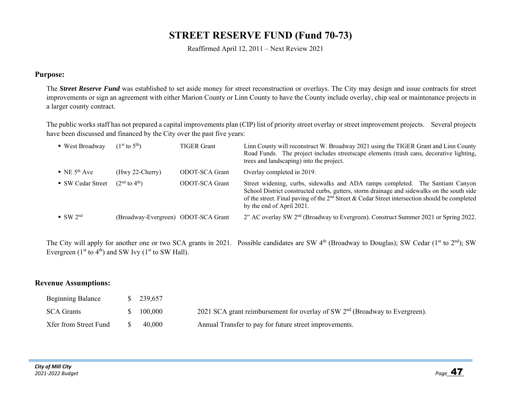# **STREET RESERVE FUND (Fund 70-73)**

Reaffirmed April 12, 2011 – Next Review 2021

#### **Purpose:**

The *Street Reserve Fund* was established to set aside money for street reconstruction or overlays. The City may design and issue contracts for street improvements or sign an agreement with either Marion County or Linn County to have the County include overlay, chip seal or maintenance projects in a larger county contract.

The public works staff has not prepared a capital improvements plan (CIP) list of priority street overlay or street improvement projects. Several projects have been discussed and financed by the City over the past five years:

| $\blacksquare$ West Broadway          | $(1^{st}$ to $5^{th})$              | <b>TIGER Grant</b> | Linn County will reconstruct W. Broadway 2021 using the TIGER Grant and Linn County<br>Road Funds. The project includes streetscape elements (trash cans, decorative lighting,<br>trees and landscaping) into the project.                                                                                  |
|---------------------------------------|-------------------------------------|--------------------|-------------------------------------------------------------------------------------------------------------------------------------------------------------------------------------------------------------------------------------------------------------------------------------------------------------|
| $\blacksquare$ NE 5 <sup>th</sup> Ave | $(Hwy 22-Cherry)$                   | ODOT-SCA Grant     | Overlay completed in 2019.                                                                                                                                                                                                                                                                                  |
| ■ SW Cedar Street                     | $(2^{nd}$ to $4^{th})$              | ODOT-SCA Grant     | Street widening, curbs, sidewalks and ADA ramps completed. The Santiam Canyon<br>School District constructed curbs, gutters, storm drainage and sidewalks on the south side<br>of the street. Final paving of the $2nd$ Street & Cedar Street intersection should be completed<br>by the end of April 2021. |
| $\bullet$ SW 2 <sup>nd</sup>          | (Broadway-Evergreen) ODOT-SCA Grant |                    | 2" AC overlay SW 2 <sup>nd</sup> (Broadway to Evergreen). Construct Summer 2021 or Spring 2022.                                                                                                                                                                                                             |
|                                       |                                     |                    |                                                                                                                                                                                                                                                                                                             |

The City will apply for another one or two SCA grants in 2021. Possible candidates are SW 4<sup>th</sup> (Broadway to Douglas); SW Cedar (1<sup>st</sup> to 2<sup>nd</sup>); SW Evergreen ( $1<sup>st</sup>$  to  $4<sup>th</sup>$ ) and SW Ivy ( $1<sup>st</sup>$  to SW Hall).

#### **Revenue Assumptions:**

| <b>Beginning Balance</b> | 239,657 |                                                                               |
|--------------------------|---------|-------------------------------------------------------------------------------|
| <b>SCA Grants</b>        | 100,000 | 2021 SCA grant reimbursement for overlay of SW $2nd$ (Broadway to Evergreen). |
| Xfer from Street Fund    | 40,000  | Annual Transfer to pay for future street improvements.                        |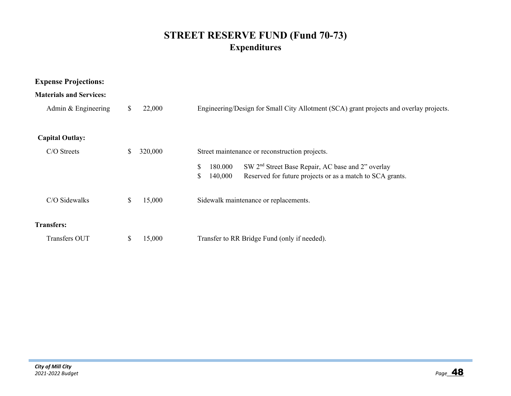# **STREET RESERVE FUND (Fund 70-73) Expenditures**

| <b>Expense Projections:</b>    |    |         |                                                                                        |  |  |  |  |  |
|--------------------------------|----|---------|----------------------------------------------------------------------------------------|--|--|--|--|--|
| <b>Materials and Services:</b> |    |         |                                                                                        |  |  |  |  |  |
| Admin & Engineering            | S. | 22,000  | Engineering/Design for Small City Allotment (SCA) grant projects and overlay projects. |  |  |  |  |  |
| <b>Capital Outlay:</b>         |    |         |                                                                                        |  |  |  |  |  |
| $C/O$ Streets                  |    | 320,000 | Street maintenance or reconstruction projects.                                         |  |  |  |  |  |
|                                |    |         | SW 2 <sup>nd</sup> Street Base Repair, AC base and 2" overlay<br>\$<br>180.000         |  |  |  |  |  |
|                                |    |         | Reserved for future projects or as a match to SCA grants.<br>\$<br>140,000             |  |  |  |  |  |
| C/O Sidewalks                  | \$ | 15,000  | Sidewalk maintenance or replacements.                                                  |  |  |  |  |  |
| <b>Transfers:</b>              |    |         |                                                                                        |  |  |  |  |  |
| Transfers OUT                  |    | 15,000  | Transfer to RR Bridge Fund (only if needed).                                           |  |  |  |  |  |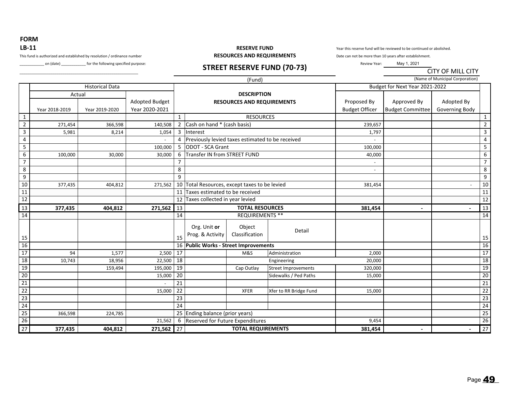**FORM** 

# **LB‐11**

\_\_\_\_\_\_\_\_\_\_\_\_\_\_\_\_\_\_\_\_\_\_\_\_\_\_\_\_\_\_\_\_\_\_\_\_\_\_\_\_\_\_\_\_\_\_\_\_\_\_\_\_\_\_\_\_\_\_

\_\_\_\_\_\_\_\_\_\_\_\_ on (date) \_\_\_\_\_\_\_\_\_\_\_\_ for the following specified purpose: **STREET RESERVE FUND (70‐73)**

#### **RESERVE FUND**This fund is authorized and established by resolution / ordinance number **RESOURCES AND REQUIREMENTS**

Year this reserve fund will be reviewed to be continued or abolished.

Date can not be more than 10 years after establishment.

Review Year: May 1, 2021

CITY OF MILL CITY

|                 |                |                        |                       |                |                                                  | (Fund)                            |                            |                                |                          | (Name of Municipal Corporation) |                 |
|-----------------|----------------|------------------------|-----------------------|----------------|--------------------------------------------------|-----------------------------------|----------------------------|--------------------------------|--------------------------|---------------------------------|-----------------|
|                 |                | <b>Historical Data</b> |                       |                |                                                  |                                   |                            | Budget for Next Year 2021-2022 |                          |                                 |                 |
|                 | Actual         |                        |                       |                |                                                  | <b>DESCRIPTION</b>                |                            |                                |                          |                                 |                 |
|                 |                |                        | <b>Adopted Budget</b> |                |                                                  | <b>RESOURCES AND REQUIREMENTS</b> |                            | Proposed By                    | Approved By              | Adopted By                      |                 |
|                 | Year 2018-2019 | Year 2019-2020         | Year 2020-2021        |                |                                                  |                                   |                            | <b>Budget Officer</b>          | <b>Budget Committee</b>  | Governing Body                  |                 |
| $\mathbf{1}$    |                |                        |                       | $\mathbf{1}$   |                                                  | <b>RESOURCES</b>                  |                            |                                |                          |                                 | $\mathbf{1}$    |
| $\overline{2}$  | 271,454        | 366,598                | 140,508               | 2              | Cash on hand * (cash basis)                      |                                   |                            | 239,657                        |                          |                                 | $\overline{2}$  |
| $\mathbf{3}$    | 5,981          | 8,214                  | 1,054                 | 3              | Interest                                         |                                   |                            | 1,797                          |                          |                                 | 3               |
| $\overline{4}$  |                |                        |                       | 4              | Previously levied taxes estimated to be received |                                   |                            |                                |                          |                                 | $\sqrt{4}$      |
| 5               |                |                        | 100,000               | 5              | ODOT - SCA Grant                                 |                                   |                            | 100,000                        |                          |                                 | 5               |
| 6               | 100,000        | 30,000                 | 30,000                | 6              | Transfer IN from STREET FUND                     |                                   |                            | 40,000                         |                          |                                 | 6               |
| $\overline{7}$  |                |                        |                       | $\overline{7}$ |                                                  |                                   |                            |                                |                          |                                 | $\overline{7}$  |
| $\,$ 8 $\,$     |                |                        |                       | 8              |                                                  |                                   |                            |                                |                          |                                 | $\,8\,$         |
| 9               |                |                        |                       | 9              |                                                  |                                   |                            |                                |                          |                                 | 9               |
| 10              | 377,435        | 404,812                | 271,562               | 10             | Total Resources, except taxes to be levied       |                                   |                            | 381,454                        |                          |                                 | 10              |
| 11              |                |                        |                       | 11             | Taxes estimated to be received                   |                                   |                            |                                |                          |                                 | 11              |
| 12              |                |                        |                       | 12             | Taxes collected in year levied                   |                                   |                            |                                |                          |                                 | 12              |
| 13              | 377,435        | 404,812                | 271,562               | 13             |                                                  | <b>TOTAL RESOURCES</b>            |                            | 381,454                        | $\overline{\phantom{a}}$ |                                 | $\overline{13}$ |
| 14              |                |                        |                       | 14             |                                                  | <b>REQUIREMENTS **</b>            |                            |                                |                          |                                 | 14              |
|                 |                |                        |                       |                | Org. Unit or                                     | Object                            |                            |                                |                          |                                 |                 |
|                 |                |                        |                       |                |                                                  | Classification                    | Detail                     |                                |                          |                                 |                 |
| 15              |                |                        |                       | 15             | Prog. & Activity                                 |                                   |                            |                                |                          |                                 | 15              |
| 16              |                |                        |                       |                | 16 Public Works - Street Improvements            |                                   |                            |                                |                          |                                 | 16              |
| 17              | 94             | 1,577                  | 2,500                 | 17             |                                                  | M&S                               | Administration             | 2,000                          |                          |                                 | 17              |
| 18              | 10,743         | 18,956                 | 22,500                | 18             |                                                  |                                   | Engineering                | 20,000                         |                          |                                 | $\overline{18}$ |
| 19              |                | 159,494                | 195,000               | 19             |                                                  | Cap Outlay                        | <b>Street Improvements</b> | 320,000                        |                          |                                 | 19              |
| $\overline{20}$ |                |                        | 15,000                | 20             |                                                  |                                   | Sidewalks / Ped Paths      | 15,000                         |                          |                                 | $\overline{20}$ |
| $\overline{21}$ |                |                        |                       | 21             |                                                  |                                   |                            |                                |                          |                                 | $\overline{21}$ |
| $\overline{22}$ |                |                        | 15,000                | 22             |                                                  | <b>XFER</b>                       | Xfer to RR Bridge Fund     | 15,000                         |                          |                                 | $\overline{22}$ |
| 23              |                |                        |                       | 23             |                                                  |                                   |                            |                                |                          |                                 | $\overline{23}$ |
| 24              |                |                        |                       | 24             |                                                  |                                   |                            |                                |                          |                                 | $\overline{24}$ |
| $\overline{25}$ | 366,598        | 224,785                |                       |                | 25 Ending balance (prior years)                  |                                   |                            |                                |                          |                                 | $\overline{25}$ |
| 26              |                |                        | 21,562                | 6              | Reserved for Future Expenditures                 |                                   |                            | 9,454                          |                          |                                 | 26              |
| $\overline{27}$ | 377,435        | 404,812                | 271,562 27            |                |                                                  | <b>TOTAL REQUIREMENTS</b>         |                            | 381,454                        |                          |                                 | $\overline{27}$ |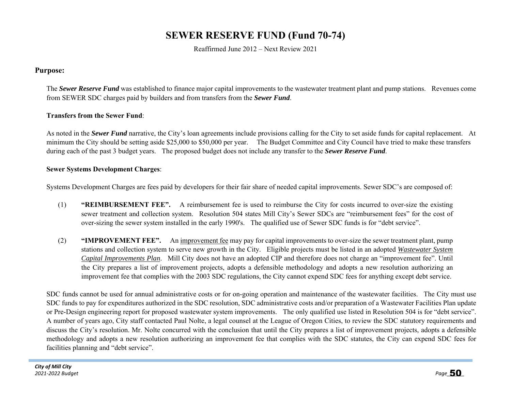# **SEWER RESERVE FUND (Fund 70-74)**

Reaffirmed June 2012 – Next Review 2021

#### **Purpose:**

The *Sewer Reserve Fund* was established to finance major capital improvements to the wastewater treatment plant and pump stations. Revenues come from SEWER SDC charges paid by builders and from transfers from the *Sewer Fund*.

#### **Transfers from the Sewer Fund**:

As noted in the *Sewer Fund* narrative, the City's loan agreements include provisions calling for the City to set aside funds for capital replacement. At minimum the City should be setting aside \$25,000 to \$50,000 per year. The Budget Committee and City Council have tried to make these transfers during each of the past 3 budget years. The proposed budget does not include any transfer to the *Sewer Reserve Fund*.

#### **Sewer Systems Development Charges**:

Systems Development Charges are fees paid by developers for their fair share of needed capital improvements. Sewer SDC's are composed of:

- (1) **"REIMBURSEMENT FEE".** A reimbursement fee is used to reimburse the City for costs incurred to over-size the existing sewer treatment and collection system. Resolution 504 states Mill City's Sewer SDCs are "reimbursement fees" for the cost of over-sizing the sewer system installed in the early 1990's. The qualified use of Sewer SDC funds is for "debt service".
- (2) **"IMPROVEMENT FEE".** An improvement fee may pay for capital improvements to over-size the sewer treatment plant, pump stations and collection system to serve new growth in the City. Eligible projects must be listed in an adopted *Wastewater System Capital Improvements Plan*. Mill City does not have an adopted CIP and therefore does not charge an "improvement fee". Until the City prepares a list of improvement projects, adopts a defensible methodology and adopts a new resolution authorizing an improvement fee that complies with the 2003 SDC regulations, the City cannot expend SDC fees for anything except debt service.

SDC funds cannot be used for annual administrative costs or for on-going operation and maintenance of the wastewater facilities. The City must use SDC funds to pay for expenditures authorized in the SDC resolution, SDC administrative costs and/or preparation of a Wastewater Facilities Plan update or Pre-Design engineering report for proposed wastewater system improvements. The only qualified use listed in Resolution 504 is for "debt service". A number of years ago, City staff contacted Paul Nolte, a legal counsel at the League of Oregon Cities, to review the SDC statutory requirements and discuss the City's resolution. Mr. Nolte concurred with the conclusion that until the City prepares a list of improvement projects, adopts a defensible methodology and adopts a new resolution authorizing an improvement fee that complies with the SDC statutes, the City can expend SDC fees for facilities planning and "debt service".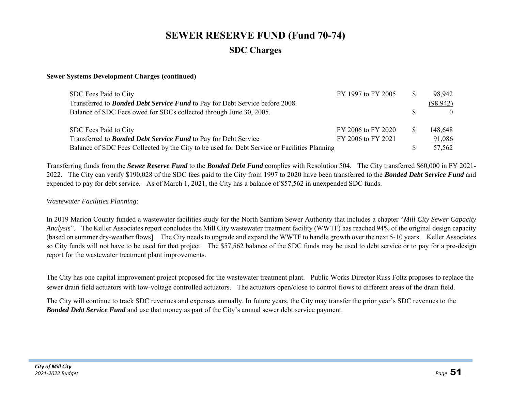# **SEWER RESERVE FUND (Fund 70-74) SDC Charges**

#### **Sewer Systems Development Charges (continued)**

| SDC Fees Paid to City                                                                        | FY 1997 to FY 2005 | 98,942   |
|----------------------------------------------------------------------------------------------|--------------------|----------|
| Transferred to <b>Bonded Debt Service Fund</b> to Pay for Debt Service before 2008.          |                    | (98.942) |
| Balance of SDC Fees owed for SDCs collected through June 30, 2005.                           |                    |          |
| SDC Fees Paid to City                                                                        | FY 2006 to FY 2020 | 148,648  |
| Transferred to <b>Bonded Debt Service Fund</b> to Pay for Debt Service                       | FY 2006 to FY 2021 | 91,086   |
| Balance of SDC Fees Collected by the City to be used for Debt Service or Facilities Planning |                    | 57,562   |

Transferring funds from the *Sewer Reserve Fund* to the *Bonded Debt Fund* complies with Resolution 504. The City transferred \$60,000 in FY 2021- 2022. The City can verify \$190,028 of the SDC fees paid to the City from 1997 to 2020 have been transferred to the *Bonded Debt Service Fund* and expended to pay for debt service. As of March 1, 2021, the City has a balance of \$57,562 in unexpended SDC funds.

#### *Wastewater Facilities Planning:*

In 2019 Marion County funded a wastewater facilities study for the North Santiam Sewer Authority that includes a chapter "*Mill City Sewer Capacity Analysi*s". The Keller Associates report concludes the Mill City wastewater treatment facility (WWTF) has reached 94% of the original design capacity (based on summer dry-weather flows]. The City needs to upgrade and expand the WWTF to handle growth over the next 5-10 years. Keller Associates so City funds will not have to be used for that project. The \$57,562 balance of the SDC funds may be used to debt service or to pay for a pre-design report for the wastewater treatment plant improvements.

The City has one capital improvement project proposed for the wastewater treatment plant. Public Works Director Russ Foltz proposes to replace the sewer drain field actuators with low-voltage controlled actuators. The actuators open/close to control flows to different areas of the drain field.

The City will continue to track SDC revenues and expenses annually. In future years, the City may transfer the prior year's SDC revenues to the *Bonded Debt Service Fund* and use that money as part of the City's annual sewer debt service payment.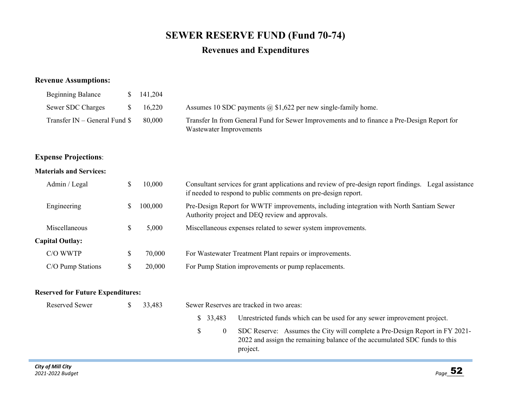# **SEWER RESERVE FUND (Fund 70-74)**

## **Revenues and Expenditures**

### **Revenue Assumptions:**

| <b>Beginning Balance</b>        |              | $\frac{141,204}{2}$ |                                                                                                                        |
|---------------------------------|--------------|---------------------|------------------------------------------------------------------------------------------------------------------------|
| Sewer SDC Charges               | $\mathbf{x}$ | 16,220              | Assumes 10 SDC payments $\omega$ \$1,622 per new single-family home.                                                   |
| Transfer $IN - General$ Fund \$ |              | 80.000              | Transfer In from General Fund for Sewer Improvements and to finance a Pre-Design Report for<br>Wastewater Improvements |

## **Expense Projections**:

#### **Materials and Services:**

| Admin / Legal          |   | 10,000  | Consultant services for grant applications and review of pre-design report findings. Legal assistance<br>if needed to respond to public comments on pre-design report. |  |  |  |
|------------------------|---|---------|------------------------------------------------------------------------------------------------------------------------------------------------------------------------|--|--|--|
| Engineering            |   | 100,000 | Pre-Design Report for WWTF improvements, including integration with North Santiam Sewer<br>Authority project and DEQ review and approvals.                             |  |  |  |
| Miscellaneous          | Ж | 5,000   | Miscellaneous expenses related to sewer system improvements.                                                                                                           |  |  |  |
| <b>Capital Outlay:</b> |   |         |                                                                                                                                                                        |  |  |  |
| C/O WWTP               |   | 70,000  | For Wastewater Treatment Plant repairs or improvements.                                                                                                                |  |  |  |
| C/O Pump Stations      |   | 20,000  | For Pump Station improvements or pump replacements.                                                                                                                    |  |  |  |

#### **Reserved for Future Expenditures:**

| Reserved Sewer | 33.483 |    | Sewer Reserves are tracked in two areas: |                                                                                                                                                                       |  |  |  |  |
|----------------|--------|----|------------------------------------------|-----------------------------------------------------------------------------------------------------------------------------------------------------------------------|--|--|--|--|
|                |        |    | \$ 33.483                                | Unrestricted funds which can be used for any sewer improvement project.                                                                                               |  |  |  |  |
|                |        | S. |                                          | SDC Reserve: Assumes the City will complete a Pre-Design Report in FY 2021-<br>2022 and assign the remaining balance of the accumulated SDC funds to this<br>project. |  |  |  |  |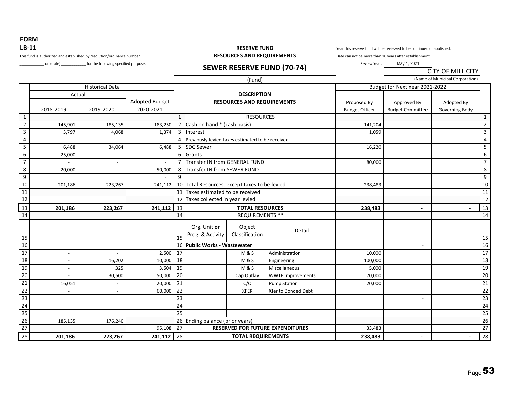**FORM** 

## **LB‐11**

\_\_\_\_\_\_\_\_\_\_\_\_\_\_\_\_\_\_\_\_\_\_\_\_\_\_\_\_\_\_\_\_\_\_\_\_\_\_\_\_\_\_\_\_\_\_\_\_\_\_\_\_\_\_\_\_\_\_

Let (date) \_\_\_\_\_\_\_\_\_\_\_\_ for the following specified purpose: **SEWER RESERVE FUND (70-74)** 

#### **RESERVE FUND**This fund is authorized and established by resolution/ordinance number **RESOURCES AND REQUIREMENTS**

Year this reserve fund will be reviewed to be continued or abolished.

Date can not be more than 10 years after establishment.

Review Year: May 1, 2021

CITY OF MILL CITY

|                 |                          |                          |                             |                 |                                                  | (Fund)                                                  |                          |                                      |                                        | (Name of Municipal Corporation) |                 |
|-----------------|--------------------------|--------------------------|-----------------------------|-----------------|--------------------------------------------------|---------------------------------------------------------|--------------------------|--------------------------------------|----------------------------------------|---------------------------------|-----------------|
|                 |                          | <b>Historical Data</b>   |                             |                 |                                                  |                                                         |                          | Budget for Next Year 2021-2022       |                                        |                                 |                 |
|                 | Actual<br>2018-2019      | 2019-2020                | Adopted Budget<br>2020-2021 |                 |                                                  | <b>DESCRIPTION</b><br><b>RESOURCES AND REQUIREMENTS</b> |                          | Proposed By<br><b>Budget Officer</b> | Approved By<br><b>Budget Committee</b> | Adopted By<br>Governing Body    |                 |
| $\mathbf{1}$    |                          |                          |                             | $\mathbf{1}$    |                                                  | <b>RESOURCES</b>                                        |                          |                                      |                                        |                                 | $\mathbf{1}$    |
| $\overline{2}$  | 145,901                  | 185,135                  | 183,250                     |                 | 2 Cash on hand * (cash basis)                    |                                                         |                          | 141,204                              |                                        |                                 | $\overline{2}$  |
| ن               | 3,797                    | 4,068                    | 1,374                       | 3               | Interest                                         |                                                         |                          | 1,059                                |                                        |                                 | 3               |
| 4               |                          |                          |                             | 4               | Previously levied taxes estimated to be received |                                                         |                          |                                      |                                        |                                 | 4               |
| 5               | 6,488                    | 34,064                   | 6,488                       | 5               | <b>SDC Sewer</b>                                 |                                                         |                          | 16,220                               |                                        |                                 | 5               |
| $\overline{6}$  | 25,000                   |                          |                             | 6               | Grants                                           |                                                         |                          |                                      |                                        |                                 | $\overline{6}$  |
| $\overline{7}$  |                          | $\overline{\phantom{a}}$ | $\overline{\phantom{a}}$    | 7               | Transfer IN from GENERAL FUND                    |                                                         |                          | 80,000                               |                                        |                                 | $\overline{7}$  |
| 8               | 20,000                   | $\overline{\phantom{a}}$ | 50,000                      | 8               | Transfer IN from SEWER FUND                      |                                                         |                          |                                      |                                        |                                 | 8               |
| $\overline{9}$  |                          |                          |                             | 9               |                                                  |                                                         |                          |                                      |                                        |                                 | $\overline{9}$  |
| 10              | 201,186                  | 223,267                  | 241,112                     | 10 <sub>l</sub> | Total Resources, except taxes to be levied       |                                                         |                          | 238,483                              | $\overline{\phantom{a}}$               |                                 | 10              |
| $\overline{11}$ |                          |                          |                             | 11              | Taxes estimated to be received                   |                                                         |                          |                                      |                                        |                                 | 11              |
| 12              |                          |                          |                             | 12              | Taxes collected in year levied                   |                                                         |                          |                                      |                                        |                                 | 12              |
| 13              | 201,186                  | 223,267                  | 241,112                     | 13              |                                                  | <b>TOTAL RESOURCES</b>                                  |                          | 238,483                              | $\overline{\phantom{a}}$               |                                 | 13              |
| 14              |                          |                          |                             | 14              | <b>REQUIREMENTS **</b>                           |                                                         |                          |                                      |                                        |                                 | 14              |
| 15              |                          |                          |                             | 15              | Org. Unit or<br>Prog. & Activity                 | Object<br>Classification                                | Detail                   |                                      |                                        |                                 | 15              |
| 16              |                          |                          |                             |                 | 16 Public Works - Wastewater                     |                                                         |                          |                                      | $\overline{\phantom{a}}$               |                                 | 16              |
| $\overline{17}$ | $\overline{\phantom{a}}$ | $\overline{\phantom{a}}$ | 2,500                       | 17              |                                                  | <b>M&amp;S</b>                                          | Administration           | 10,000                               |                                        |                                 | $\overline{17}$ |
| 18              | $\overline{\phantom{a}}$ | 16,202                   | 10,000                      | 18              |                                                  | <b>M&amp;S</b>                                          | Engineering              | 100,000                              |                                        |                                 | $\overline{18}$ |
| 19              |                          | 325                      | 3,504                       | 19              |                                                  | <b>M&amp;S</b>                                          | <b>Miscellaneous</b>     | 5,000                                |                                        |                                 | 19              |
| 20              |                          | 30,500                   | 50,000                      | 20              |                                                  | Cap Outlay                                              | <b>WWTF Improvements</b> | 70,000                               |                                        |                                 | $\overline{20}$ |
| $\overline{21}$ | 16,051                   |                          | 20,000                      | 21              |                                                  | C/O                                                     | <b>Pump Station</b>      | 20,000                               |                                        |                                 | $\overline{21}$ |
| $\overline{22}$ |                          |                          | 60,000                      | 22              |                                                  | <b>XFER</b>                                             | Xfer to Bonded Debt      |                                      |                                        |                                 | $\overline{22}$ |
| 23              |                          |                          |                             | 23              |                                                  |                                                         |                          |                                      |                                        |                                 | $\overline{23}$ |
| 24              |                          |                          |                             | 24              |                                                  |                                                         |                          |                                      |                                        |                                 | 24              |
| $\overline{25}$ |                          |                          |                             | 25              |                                                  |                                                         |                          |                                      |                                        |                                 | $\overline{25}$ |
| 26              | 185,135                  | 176,240                  |                             |                 | 26 Ending balance (prior years)                  |                                                         |                          |                                      |                                        |                                 | 26              |
| 27              |                          |                          | 95,108                      | $\overline{27}$ | <b>RESERVED FOR FUTURE EXPENDITURES</b>          |                                                         | 33,483                   |                                      |                                        | 27                              |                 |
| 28              | 201,186                  | 223,267                  | $241,112$ 28                |                 | <b>TOTAL REQUIREMENTS</b>                        |                                                         |                          | 238,483                              |                                        |                                 | $\overline{28}$ |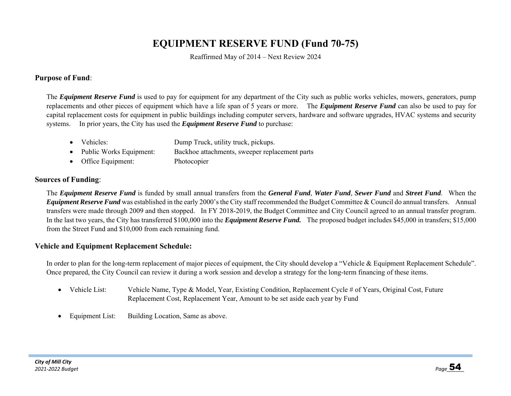# **EQUIPMENT RESERVE FUND (Fund 70-75)**

Reaffirmed May of 2014 – Next Review 2024

#### **Purpose of Fund**:

The *Equipment Reserve Fund* is used to pay for equipment for any department of the City such as public works vehicles, mowers, generators, pump replacements and other pieces of equipment which have a life span of 5 years or more. The *Equipment Reserve Fund* can also be used to pay for capital replacement costs for equipment in public buildings including computer servers, hardware and software upgrades, HVAC systems and security systems. In prior years, the City has used the *Equipment Reserve Fund* to purchase:

- Vehicles: Dump Truck, utility truck, pickups. 0 Public Works Equipment: Backhoe attachments, sweeper replacement parts • Office Equipment: Photocopier
- **Sources of Funding**:

 The *Equipment Reserve Fund* is funded by small annual transfers from the *General Fund*, *Water Fund*, *Sewer Fund* and *Street Fund*. When the *Equipment Reserve Fund* was established in the early 2000's the City staff recommended the Budget Committee & Council do annual transfers. Annual transfers were made through 2009 and then stopped. In FY 2018-2019, the Budget Committee and City Council agreed to an annual transfer program. In the last two years, the City has transferred \$100,000 into the *Equipment Reserve Fund.* The proposed budget includes \$45,000 in transfers; \$15,000 from the Street Fund and \$10,000 from each remaining fund.

#### **Vehicle and Equipment Replacement Schedule:**

In order to plan for the long-term replacement of major pieces of equipment, the City should develop a "Vehicle & Equipment Replacement Schedule". Once prepared, the City Council can review it during a work session and develop a strategy for the long-term financing of these items.

- $\bullet$  Vehicle List: Vehicle Name, Type & Model, Year, Existing Condition, Replacement Cycle # of Years, Original Cost, Future Replacement Cost, Replacement Year, Amount to be set aside each year by Fund
- $\bullet$ Equipment List: Building Location, Same as above.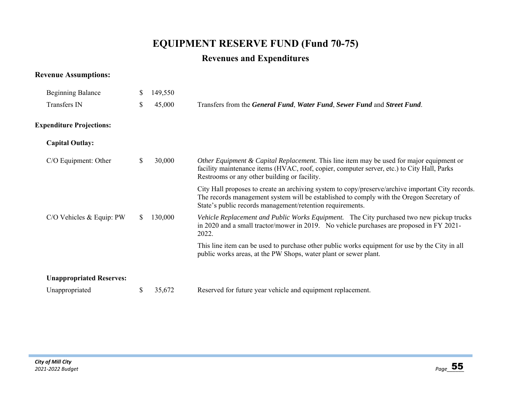# **EQUIPMENT RESERVE FUND (Fund 70-75)**

# **Revenues and Expenditures**

## **Revenue Assumptions:**

| <b>Beginning Balance</b>        | S. | 149,550 |                                                                                                                                                                                                                                                            |
|---------------------------------|----|---------|------------------------------------------------------------------------------------------------------------------------------------------------------------------------------------------------------------------------------------------------------------|
| Transfers IN                    | \$ | 45,000  | Transfers from the General Fund, Water Fund, Sewer Fund and Street Fund.                                                                                                                                                                                   |
| <b>Expenditure Projections:</b> |    |         |                                                                                                                                                                                                                                                            |
| <b>Capital Outlay:</b>          |    |         |                                                                                                                                                                                                                                                            |
| C/O Equipment: Other            | \$ | 30,000  | Other Equipment & Capital Replacement. This line item may be used for major equipment or<br>facility maintenance items (HVAC, roof, copier, computer server, etc.) to City Hall, Parks<br>Restrooms or any other building or facility.                     |
|                                 |    |         | City Hall proposes to create an archiving system to copy/preserve/archive important City records.<br>The records management system will be established to comply with the Oregon Secretary of<br>State's public records management/retention requirements. |
| C/O Vehicles & Equip: PW        | S. | 130,000 | Vehicle Replacement and Public Works Equipment. The City purchased two new pickup trucks<br>in 2020 and a small tractor/mower in 2019. No vehicle purchases are proposed in FY 2021-<br>2022.                                                              |
|                                 |    |         | This line item can be used to purchase other public works equipment for use by the City in all<br>public works areas, at the PW Shops, water plant or sewer plant.                                                                                         |
| <b>Unappropriated Reserves:</b> |    |         |                                                                                                                                                                                                                                                            |
| Unappropriated                  | S  | 35,672  | Reserved for future year vehicle and equipment replacement.                                                                                                                                                                                                |
|                                 |    |         |                                                                                                                                                                                                                                                            |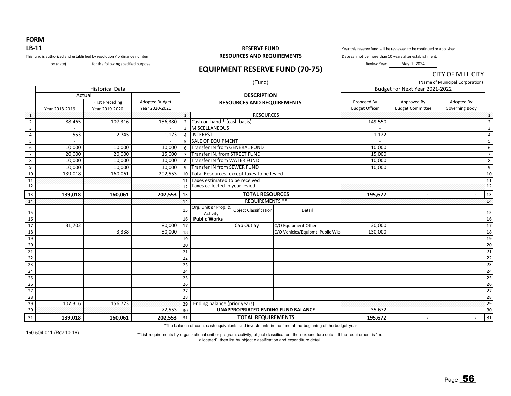## **FORM LB‐11**

#### This fund is authorized and established by resolution / ordinance number

on (date) \_\_\_\_\_\_\_\_\_\_\_\_ for the following specified purpose:

#### **RESERVE FUND RESOURCES AND REQUIREMENTS**

Year this reserve fund will be reviewed to be continued or abolished.

Date can not be more than 10 years after establishment.

Review Year: May 1, 2024

## **EQUIPMENT RESERVE FUND (70‐75)**

|                         |                |                                                    |                                         |                |                                                         |                                    |                                  |                                      |                                        | <b>CITY OF MILL CITY</b>        |                       |
|-------------------------|----------------|----------------------------------------------------|-----------------------------------------|----------------|---------------------------------------------------------|------------------------------------|----------------------------------|--------------------------------------|----------------------------------------|---------------------------------|-----------------------|
|                         |                |                                                    |                                         |                |                                                         | (Fund)                             |                                  |                                      |                                        | (Name of Municipal Corporation) |                       |
|                         |                | <b>Historical Data</b>                             |                                         |                |                                                         |                                    |                                  | Budget for Next Year 2021-2022       |                                        |                                 |                       |
|                         | Year 2018-2019 | Actual<br><b>First Preceding</b><br>Year 2019-2020 | <b>Adopted Budget</b><br>Year 2020-2021 |                | <b>DESCRIPTION</b><br><b>RESOURCES AND REQUIREMENTS</b> |                                    |                                  | Proposed By<br><b>Budget Officer</b> | Approved By<br><b>Budget Committee</b> | Adopted By<br>Governing Body    |                       |
| $\mathbf{1}$            |                |                                                    |                                         | $\mathbf{1}$   |                                                         | <b>RESOURCES</b>                   |                                  |                                      |                                        |                                 | $\mathbf{1}$          |
| $\overline{2}$          | 88,465         | 107,316                                            | 156,380                                 | 2              | Cash on hand * (cash basis)                             |                                    |                                  | 149,550                              |                                        |                                 | $\overline{2}$        |
| $\overline{\mathbf{3}}$ |                |                                                    |                                         | $\overline{3}$ | <b>MISCELLANEOUS</b>                                    |                                    |                                  |                                      |                                        |                                 | $\overline{3}$        |
| $\overline{4}$          | 553            | 2,745                                              | 1,173                                   | $\overline{4}$ | <b>INTEREST</b>                                         |                                    |                                  | 1,122                                |                                        |                                 | $\overline{4}$        |
| 5                       |                |                                                    |                                         | 5              | <b>SALE OF EQUIPMENT</b>                                |                                    |                                  |                                      |                                        |                                 | 5                     |
| 6                       | 10,000         | 10,000                                             | 10,000                                  | 6              | <b>Transfer IN from GENERAL FUND</b>                    |                                    |                                  | 10,000                               |                                        |                                 | 6                     |
| $\overline{7}$          | 20,000         | 20,000                                             | 15,000                                  |                | Transfer IN, from STREET FUND                           |                                    |                                  | 15,000                               |                                        |                                 | $\overline{7}$        |
| 8                       | 10,000         | 10,000                                             | 10,000                                  | 8              | <b>Transfer IN from WATER FUND</b>                      |                                    |                                  | 10,000<br>10,000                     |                                        |                                 | 8                     |
| 9                       | 10,000         | 10,000                                             | 10,000                                  | 9              |                                                         | <b>Transfer IN from SEWER FUND</b> |                                  |                                      |                                        |                                 | 9                     |
| 10                      | 139,018        | 160,061                                            | 202,553                                 | 10             | Total Resources, except taxes to be levied              |                                    |                                  |                                      |                                        | $\overline{\phantom{a}}$        | 10                    |
| 11                      |                |                                                    |                                         | 11             | Taxes estimated to be received                          |                                    |                                  |                                      |                                        |                                 | 11                    |
| 12                      |                |                                                    |                                         | 12             | Taxes collected in year levied                          |                                    |                                  |                                      |                                        | 12                              |                       |
| 13                      | 139,018        | 160,061                                            | 202,553                                 | 13             | <b>TOTAL RESOURCES</b>                                  |                                    | 195,672                          | $\blacksquare$                       | $\blacksquare$                         | 13                              |                       |
| 14                      |                |                                                    |                                         | 14             | <b>REQUIREMENTS **</b>                                  |                                    |                                  |                                      |                                        | 14                              |                       |
| 15                      |                |                                                    |                                         | 15             | Org. Unit or Prog. &<br>Activity                        | <b>Object Classification</b>       | Detail                           |                                      |                                        |                                 | 15                    |
| 16                      |                |                                                    |                                         | 16             | <b>Public Works</b>                                     |                                    |                                  |                                      |                                        |                                 | 16                    |
| 17                      | 31,702         |                                                    | 80,000                                  | 17             |                                                         | Cap Outlay                         | C/O Equipment:Other              | 30,000                               |                                        |                                 | 17                    |
| 18                      |                | 3,338                                              | 50,000                                  | 18             |                                                         |                                    | C/O Vehicles/Equipmt: Public Wks | 130,000                              |                                        |                                 | 18                    |
| 19                      |                |                                                    |                                         | 19             |                                                         |                                    |                                  |                                      |                                        |                                 | 19                    |
| 20                      |                |                                                    |                                         | 20             |                                                         |                                    |                                  |                                      |                                        |                                 | 2c                    |
| 21                      |                |                                                    |                                         | 21             |                                                         |                                    |                                  |                                      |                                        |                                 | 21                    |
| 22                      |                |                                                    |                                         | 22             |                                                         |                                    |                                  |                                      |                                        |                                 | 22                    |
| 23                      |                |                                                    |                                         | 23             |                                                         |                                    |                                  |                                      |                                        |                                 | 23                    |
| 24                      |                |                                                    |                                         | 24             |                                                         |                                    |                                  |                                      |                                        |                                 | 24                    |
| 25                      |                |                                                    |                                         | 25             |                                                         |                                    |                                  |                                      |                                        |                                 | 25                    |
| 26                      |                |                                                    |                                         | 26             |                                                         |                                    |                                  |                                      |                                        |                                 | 26                    |
| 27                      |                |                                                    |                                         | 27             |                                                         |                                    |                                  |                                      |                                        |                                 | 27                    |
| 28                      |                |                                                    |                                         | 28             |                                                         |                                    |                                  |                                      |                                        |                                 | 28                    |
| 29                      | 107,316        | 156,723                                            |                                         | 29             | Ending balance (prior years)                            |                                    |                                  |                                      |                                        |                                 | 29                    |
| 30                      |                |                                                    | 72,553                                  | 30             | <b>UNAPPROPRIATED ENDING FUND BALANCE</b>               |                                    |                                  | 35,672                               |                                        |                                 | 30                    |
| 31                      | 139,018        | 160,061                                            | 202,553                                 | 31             |                                                         | <b>TOTAL REQUIREMENTS</b>          |                                  | 195,672                              |                                        | $\blacksquare$                  | $\vert$ <sub>31</sub> |

\*The balance of cash, cash equivalents and investments in the fund at the beginning of the budget year

150-504-011 (Rev 10-16)

\*\*List requirements by organizational unit or program, activity, object classification, then expenditure detail. If the requirement is "not allocated", then list by object classification and expenditure detail.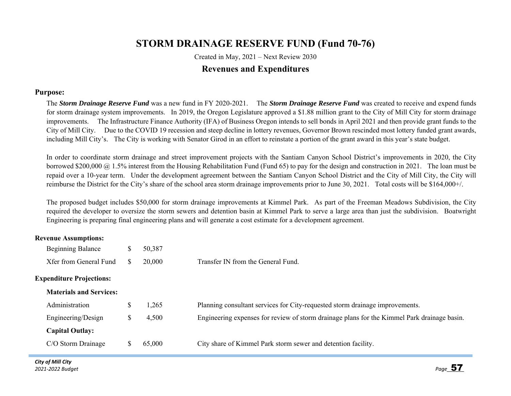# **STORM DRAINAGE RESERVE FUND (Fund 70-76)**

Created in May, 2021 – Next Review 2030 **Revenues and Expenditures** 

#### **Purpose:**

The *Storm Drainage Reserve Fund* was a new fund in FY 2020-2021. The *Storm Drainage Reserve Fund* was created to receive and expend funds for storm drainage system improvements. In 2019, the Oregon Legislature approved a \$1.88 million grant to the City of Mill City for storm drainage improvements. The Infrastructure Finance Authority (IFA) of Business Oregon intends to sell bonds in April 2021 and then provide grant funds to the City of Mill City. Due to the COVID 19 recession and steep decline in lottery revenues, Governor Brown rescinded most lottery funded grant awards, including Mill City's. The City is working with Senator Girod in an effort to reinstate a portion of the grant award in this year's state budget.

In order to coordinate storm drainage and street improvement projects with the Santiam Canyon School District's improvements in 2020, the City borrowed \$200,000 @ 1.5% interest from the Housing Rehabilitation Fund (Fund 65) to pay for the design and construction in 2021. The loan must be repaid over a 10-year term. Under the development agreement between the Santiam Canyon School District and the City of Mill City, the City will reimburse the District for the City's share of the school area storm drainage improvements prior to June 30, 2021. Total costs will be \$164,000+/.

The proposed budget includes \$50,000 for storm drainage improvements at Kimmel Park. As part of the Freeman Meadows Subdivision, the City required the developer to oversize the storm sewers and detention basin at Kimmel Park to serve a large area than just the subdivision. Boatwright Engineering is preparing final engineering plans and will generate a cost estimate for a development agreement.

#### **Revenue Assumptions:**

| Beginning Balance               |   | 50,387 |                                                                                             |
|---------------------------------|---|--------|---------------------------------------------------------------------------------------------|
| Xfer from General Fund          | S | 20,000 | Transfer IN from the General Fund.                                                          |
| <b>Expenditure Projections:</b> |   |        |                                                                                             |
| <b>Materials and Services:</b>  |   |        |                                                                                             |
| Administration                  | S | 1,265  | Planning consultant services for City-requested storm drainage improvements.                |
| Engineering/Design              | S | 4,500  | Engineering expenses for review of storm drainage plans for the Kimmel Park drainage basin. |
| <b>Capital Outlay:</b>          |   |        |                                                                                             |
| C/O Storm Drainage              |   | 65,000 | City share of Kimmel Park storm sewer and detention facility.                               |
|                                 |   |        |                                                                                             |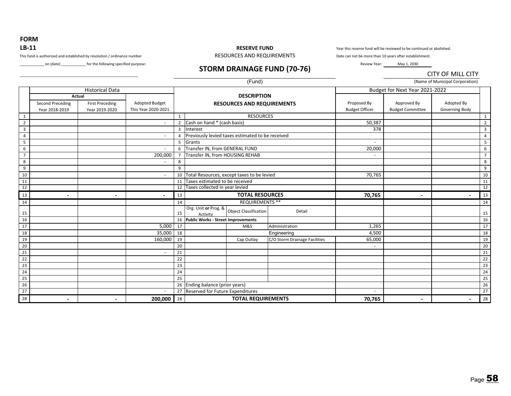**FORM LB‐11**

#### **RESERVE FUND**

Year this reserve fund will be reviewed to be continued or abolished.

Date can not be more than 10 years after establishment. Review Year: May 1, 2030

This fund is authorized and established by resolution / ordinance number RESOURCES AND REQUIREMENTS

\_\_\_\_\_\_\_\_\_\_\_\_\_\_\_\_\_\_\_\_\_\_\_\_\_\_\_\_\_\_\_\_\_\_\_\_\_\_\_\_\_\_\_\_\_\_\_\_\_\_\_\_\_\_\_\_\_\_

Lien (date) \_\_\_\_\_\_\_\_\_\_\_\_\_ for the following specified purpose: **STORM DRAINAGE FUND (70-76)** 

CITY OF MILL CITY

|                         |                  |                        |                          |                    |                                                       | (Fund)           |                               |                                      |                                        | (Name of Municipal Corporation) |                         |
|-------------------------|------------------|------------------------|--------------------------|--------------------|-------------------------------------------------------|------------------|-------------------------------|--------------------------------------|----------------------------------------|---------------------------------|-------------------------|
|                         |                  | <b>Historical Data</b> |                          |                    |                                                       |                  |                               | Budget for Next Year 2021-2022       |                                        |                                 |                         |
|                         | Actual           |                        |                          | <b>DESCRIPTION</b> |                                                       |                  |                               |                                      |                                        |                                 |                         |
|                         | Second Preceding | <b>First Preceding</b> | <b>Adopted Budget</b>    |                    | <b>RESOURCES AND REQUIREMENTS</b>                     |                  |                               | Proposed By<br><b>Budget Officer</b> | Approved By<br><b>Budget Committee</b> | Adopted By                      |                         |
|                         | Year 2018-2019   | Year 2019-2020         | This Year 2020-2021      |                    |                                                       |                  |                               |                                      |                                        | Governing Body                  |                         |
| 1                       |                  |                        |                          | 1                  |                                                       | <b>RESOURCES</b> |                               |                                      |                                        |                                 | 1                       |
| $\overline{2}$          |                  |                        |                          | $\overline{2}$     | Cash on hand * (cash basis)                           |                  |                               | 50,387                               |                                        |                                 | $\overline{2}$          |
| $\overline{\mathbf{3}}$ |                  |                        |                          | $\overline{3}$     | Interest                                              |                  |                               | 378                                  |                                        |                                 | $\overline{\mathbf{3}}$ |
| $\overline{4}$          |                  |                        |                          | $\overline{a}$     | Previously levied taxes estimated to be received      |                  |                               |                                      |                                        |                                 | $\overline{4}$          |
| 5                       |                  |                        |                          | 5                  | Grants                                                |                  |                               | $\overline{\phantom{a}}$             |                                        |                                 | 5                       |
| 6                       |                  |                        | $\blacksquare$           | 6                  | Transfer IN, from GENERAL FUND                        |                  |                               | 20,000                               |                                        |                                 | 6                       |
| $\overline{7}$          |                  |                        | 200,000                  | $\overline{7}$     | Transfer IN, from HOUSING REHAB                       |                  |                               |                                      |                                        |                                 | $\overline{7}$          |
| 8                       |                  |                        |                          | 8                  |                                                       |                  |                               |                                      |                                        |                                 | 8                       |
| 9                       |                  |                        |                          | 9                  |                                                       |                  |                               |                                      |                                        |                                 | 9                       |
| 10                      |                  |                        | $\overline{\phantom{a}}$ | 10                 | Total Resources, except taxes to be levied            |                  |                               | 70,765                               |                                        |                                 | 10                      |
| 11                      |                  |                        |                          | 11                 | Taxes estimated to be received                        |                  |                               |                                      |                                        |                                 | 11                      |
| $\overline{12}$         |                  |                        |                          | 12                 | Taxes collected in year levied                        |                  |                               |                                      |                                        |                                 | 12                      |
| 13                      |                  |                        |                          | 13                 | <b>TOTAL RESOURCES</b>                                |                  |                               | 70,765                               | $\blacksquare$                         |                                 | 13                      |
| 14                      |                  |                        |                          | 14                 |                                                       |                  | <b>REQUIREMENTS **</b>        |                                      |                                        |                                 | 14                      |
|                         |                  |                        |                          |                    | Org. Unit or Prog. &<br><b>Object Classification</b>  |                  | Detail                        |                                      |                                        |                                 |                         |
| 15<br>16                |                  |                        |                          | 15<br>16           | Activity<br><b>Public Works - Street Improvements</b> |                  |                               |                                      |                                        |                                 | 15<br>16                |
| 17                      |                  |                        | 5,000                    | 17                 | M&S                                                   |                  | Administration                | 1,265                                |                                        |                                 | 17                      |
| 18                      |                  |                        | 35,000                   | 18                 |                                                       |                  | Engineering                   | 4,500                                |                                        |                                 | 18                      |
| 19                      |                  |                        | 160,000                  | 19                 | Cap Outlay                                            |                  | C/O Storm Drainage Facilities | 65,000                               |                                        |                                 | 19                      |
| 20                      |                  |                        |                          | 20                 |                                                       |                  |                               |                                      |                                        |                                 | 20                      |
| 21                      |                  |                        | $\overline{\phantom{a}}$ | 21                 |                                                       |                  |                               |                                      |                                        |                                 | 21                      |
| 22                      |                  |                        |                          | 22                 |                                                       |                  |                               |                                      |                                        |                                 | 22                      |
| 23                      |                  |                        |                          | 23                 |                                                       |                  |                               |                                      |                                        |                                 | 23                      |
|                         |                  |                        |                          | 24                 |                                                       |                  |                               |                                      |                                        |                                 |                         |
| 24                      |                  |                        |                          | 25                 |                                                       |                  |                               |                                      |                                        |                                 | 24                      |
| 25<br>26                |                  |                        |                          | 26                 |                                                       |                  |                               |                                      |                                        |                                 | 25<br>26                |
| 27                      |                  |                        | $\sim$                   | 27                 | Ending balance (prior years)                          |                  |                               |                                      |                                        |                                 | $\overline{27}$         |
|                         |                  |                        |                          |                    | Reserved for Future Expenditures                      |                  |                               |                                      |                                        |                                 |                         |
| 28                      |                  |                        | 200,000                  | 28                 | <b>TOTAL REQUIREMENTS</b>                             |                  |                               | 70,765                               | $\overline{\phantom{0}}$               |                                 | 28                      |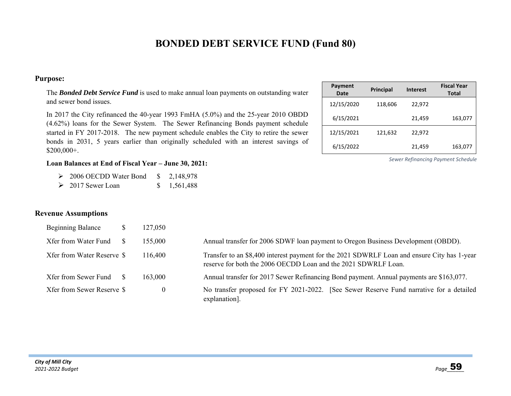### **BONDED DEBT SERVICE FUND (Fund 80)**

#### **Purpose:**

The *Bonded Debt Service Fund* is used to make annual loan payments on outstanding water and sewer bond issues.

In 2017 the City refinanced the 40-year 1993 FmHA (5.0%) and the 25-year 2010 OBDD (4.62%) loans for the Sewer System. The Sewer Refinancing Bonds payment schedule started in FY 2017-2018. The new payment schedule enables the City to retire the sewer bonds in 2031, 5 years earlier than originally scheduled with an interest savings of \$200,000+.

#### **Loan Balances at End of Fiscal Year – June 30, 2021:**

- $\geq 2006$  OECDD Water Bond  $\qquad \quad \text{\$} \quad 2,148,978$
- 2017 Sewer Loan \$ 1,561,488

#### **Revenue Assumptions**

| <b>Beginning Balance</b>   | 127,050  |                                                                                                                                                               |  |  |  |  |
|----------------------------|----------|---------------------------------------------------------------------------------------------------------------------------------------------------------------|--|--|--|--|
| Xfer from Water Fund       | 155,000  | Annual transfer for 2006 SDWF loan payment to Oregon Business Development (OBDD).                                                                             |  |  |  |  |
| Xfer from Water Reserve \$ | 116,400  | Transfer to an \$8,400 interest payment for the 2021 SDWRLF Loan and ensure City has 1-year<br>reserve for both the 2006 OECDD Loan and the 2021 SDWRLF Loan. |  |  |  |  |
| Xfer from Sewer Fund       | 163,000  | Annual transfer for 2017 Sewer Refinancing Bond payment. Annual payments are \$163,077.                                                                       |  |  |  |  |
| Xfer from Sewer Reserve \$ | $\theta$ | No transfer proposed for FY 2021-2022. [See Sewer Reserve Fund narrative for a detailed<br>explanation].                                                      |  |  |  |  |

| Payment<br>Date | <b>Principal</b> | <b>Interest</b> | <b>Fiscal Year</b><br><b>Total</b> |
|-----------------|------------------|-----------------|------------------------------------|
| 12/15/2020      | 118,606          | 22,972          |                                    |
| 6/15/2021       |                  | 21,459          | 163,077                            |
| 12/15/2021      | 121,632          | 22,972          |                                    |
| 6/15/2022       |                  | 21,459          | 163,077                            |

*Sewer Refinancing Payment Schedule*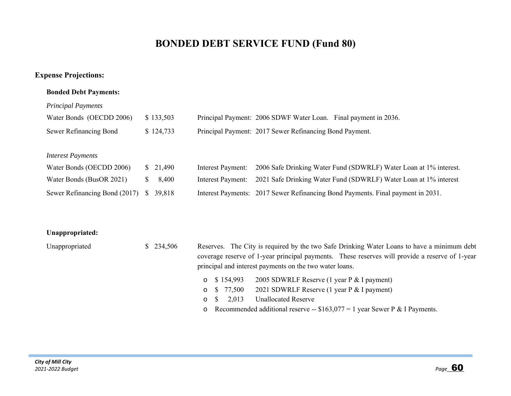## **BONDED DEBT SERVICE FUND (Fund 80)**

### **Expense Projections:**

#### **Bonded Debt Payments:**

#### *Principal Payments*

| Water Bonds (OECDD 2006)      | \$133,503              |                   | Principal Payment: 2006 SDWF Water Loan. Final payment in 2036.                 |
|-------------------------------|------------------------|-------------------|---------------------------------------------------------------------------------|
| Sewer Refinancing Bond        | \$124,733              |                   | Principal Payment: 2017 Sewer Refinancing Bond Payment.                         |
|                               |                        |                   |                                                                                 |
| <b>Interest Payments</b>      |                        |                   |                                                                                 |
| Water Bonds (OECDD 2006)      | \$21,490               | Interest Payment: | 2006 Safe Drinking Water Fund (SDWRLF) Water Loan at 1% interest.               |
| Water Bonds (BusOR 2021)      | 8,400<br>S.            | Interest Payment: | 2021 Safe Drinking Water Fund (SDWRLF) Water Loan at 1% interest                |
| Sewer Refinancing Bond (2017) | <sup>S</sup><br>39.818 |                   | Interest Payments: 2017 Sewer Refinancing Bond Payments. Final payment in 2031. |

#### **Unappropriated:**

| Unappropriated | \$234,506 | Reserves. The City is required by the two Safe Drinking Water Loans to have a minimum debt     |
|----------------|-----------|------------------------------------------------------------------------------------------------|
|                |           | coverage reserve of 1-year principal payments. These reserves will provide a reserve of 1-year |
|                |           | principal and interest payments on the two water loans.                                        |
|                |           | 2005 SDWRLF Reserve (1 year P & I payment)<br>$\circ$ \$154.993                                |
|                |           | 2021 SDWRLF Reserve (1 year P & I payment)<br>o \$ 77,500                                      |
|                |           | <b>Unallocated Reserve</b><br>2.013<br>$\circ$ S                                               |
|                |           | o Recommended additional reserve -- $$163,077 = 1$ year Sewer P & I Payments.                  |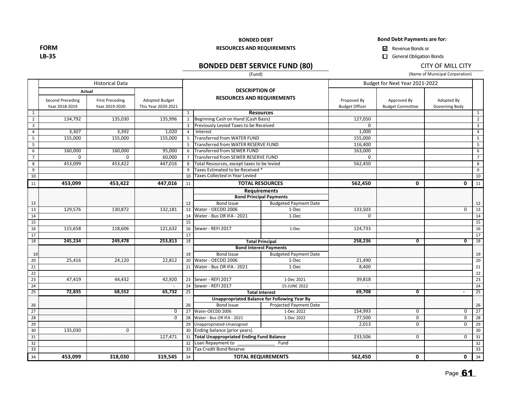**Bond Debt Payments are for:**

**BONDED DEBT RESOURCES AND REQUIREMENTS**

**LB‐35**

**FORM**

### **BONDED DEBT SERVICE FUND (80)**

(Fund)

General Obligation Bonds

#### CITY OF MILL CITY

(Name of Municipal Corporation)

|                         | <b>Historical Data</b>                    |                                                    |                                              |                                                                                                                                                                                                                                                                                                                                                                                                                                                                                                                                                                                                                                                                                                                                                                                                                                                                                                                                                                                                                                                                                                                                                                                                                                                                                                                                                                                                                                                                      |                                |      | Budget for Next Year 2021-2022       |                                        |                              |                         |  |
|-------------------------|-------------------------------------------|----------------------------------------------------|----------------------------------------------|----------------------------------------------------------------------------------------------------------------------------------------------------------------------------------------------------------------------------------------------------------------------------------------------------------------------------------------------------------------------------------------------------------------------------------------------------------------------------------------------------------------------------------------------------------------------------------------------------------------------------------------------------------------------------------------------------------------------------------------------------------------------------------------------------------------------------------------------------------------------------------------------------------------------------------------------------------------------------------------------------------------------------------------------------------------------------------------------------------------------------------------------------------------------------------------------------------------------------------------------------------------------------------------------------------------------------------------------------------------------------------------------------------------------------------------------------------------------|--------------------------------|------|--------------------------------------|----------------------------------------|------------------------------|-------------------------|--|
|                         | <b>Second Preceding</b><br>Year 2018-2019 | Actual<br><b>First Preceding</b><br>Year 2019-2020 | <b>Adopted Budget</b><br>This Year 2020-2021 |                                                                                                                                                                                                                                                                                                                                                                                                                                                                                                                                                                                                                                                                                                                                                                                                                                                                                                                                                                                                                                                                                                                                                                                                                                                                                                                                                                                                                                                                      |                                |      | Proposed By<br><b>Budget Officer</b> | Approved By<br><b>Budget Committee</b> | Adopted By<br>Governing Body |                         |  |
| 1                       |                                           |                                                    |                                              | $\mathbf{1}$                                                                                                                                                                                                                                                                                                                                                                                                                                                                                                                                                                                                                                                                                                                                                                                                                                                                                                                                                                                                                                                                                                                                                                                                                                                                                                                                                                                                                                                         |                                |      |                                      |                                        |                              | $\mathbf{1}$            |  |
| $\overline{2}$          | 134,792                                   | 135,030                                            | 135,996                                      |                                                                                                                                                                                                                                                                                                                                                                                                                                                                                                                                                                                                                                                                                                                                                                                                                                                                                                                                                                                                                                                                                                                                                                                                                                                                                                                                                                                                                                                                      |                                |      | 127,050                              |                                        |                              | $\overline{2}$          |  |
| $\overline{\mathbf{3}}$ |                                           |                                                    |                                              |                                                                                                                                                                                                                                                                                                                                                                                                                                                                                                                                                                                                                                                                                                                                                                                                                                                                                                                                                                                                                                                                                                                                                                                                                                                                                                                                                                                                                                                                      |                                |      | $\Omega$                             |                                        |                              | $\overline{\mathbf{3}}$ |  |
| $\overline{4}$          | 3,307                                     | 3,392                                              | 1,020                                        |                                                                                                                                                                                                                                                                                                                                                                                                                                                                                                                                                                                                                                                                                                                                                                                                                                                                                                                                                                                                                                                                                                                                                                                                                                                                                                                                                                                                                                                                      |                                |      | 1,000                                |                                        |                              | $\overline{4}$          |  |
| 5                       | 155,000                                   | 155,000                                            | 155,000                                      |                                                                                                                                                                                                                                                                                                                                                                                                                                                                                                                                                                                                                                                                                                                                                                                                                                                                                                                                                                                                                                                                                                                                                                                                                                                                                                                                                                                                                                                                      |                                |      | 155,000                              |                                        |                              | 5                       |  |
| 5                       |                                           |                                                    |                                              |                                                                                                                                                                                                                                                                                                                                                                                                                                                                                                                                                                                                                                                                                                                                                                                                                                                                                                                                                                                                                                                                                                                                                                                                                                                                                                                                                                                                                                                                      |                                |      | 116,400                              |                                        |                              | $\overline{5}$          |  |
| 6                       | 160,000                                   | 160,000                                            | 95,000                                       |                                                                                                                                                                                                                                                                                                                                                                                                                                                                                                                                                                                                                                                                                                                                                                                                                                                                                                                                                                                                                                                                                                                                                                                                                                                                                                                                                                                                                                                                      |                                |      | 163,000                              |                                        |                              | 6                       |  |
| $\overline{7}$          | $\mathbf 0$                               | $\mathbf 0$                                        | 60,000                                       |                                                                                                                                                                                                                                                                                                                                                                                                                                                                                                                                                                                                                                                                                                                                                                                                                                                                                                                                                                                                                                                                                                                                                                                                                                                                                                                                                                                                                                                                      |                                |      | $\mathbf 0$                          |                                        |                              | 7 <sup>7</sup>          |  |
| 8                       | 453,099                                   | 453,422                                            | 447,016                                      |                                                                                                                                                                                                                                                                                                                                                                                                                                                                                                                                                                                                                                                                                                                                                                                                                                                                                                                                                                                                                                                                                                                                                                                                                                                                                                                                                                                                                                                                      |                                |      | 562,450                              |                                        |                              | 8                       |  |
| 9                       |                                           |                                                    |                                              |                                                                                                                                                                                                                                                                                                                                                                                                                                                                                                                                                                                                                                                                                                                                                                                                                                                                                                                                                                                                                                                                                                                                                                                                                                                                                                                                                                                                                                                                      |                                |      |                                      |                                        |                              | $\overline{9}$          |  |
| 10                      |                                           |                                                    |                                              |                                                                                                                                                                                                                                                                                                                                                                                                                                                                                                                                                                                                                                                                                                                                                                                                                                                                                                                                                                                                                                                                                                                                                                                                                                                                                                                                                                                                                                                                      |                                |      |                                      |                                        |                              | 10                      |  |
| 11                      | 453,099                                   | 453,422                                            | 447,016                                      | 11                                                                                                                                                                                                                                                                                                                                                                                                                                                                                                                                                                                                                                                                                                                                                                                                                                                                                                                                                                                                                                                                                                                                                                                                                                                                                                                                                                                                                                                                   |                                |      | 562,450                              | 0                                      | 0                            | 11                      |  |
|                         |                                           |                                                    |                                              | <b>DESCRIPTION OF</b><br><b>RESOURCES AND REQUIREMENTS</b><br><b>Resources</b><br>2 Beginning Cash on Hand (Cash Basis)<br><b>Previously Levied Taxes to be Received</b><br>3<br>Interest<br>$\overline{4}$<br>Transferred from WATER FUND<br>5<br>Transferred from WATER RESERVE FUND<br>5<br><b>Transferred from SEWER FUND</b><br>6<br>Transferred from SEWER RESERVE FUND<br>$\overline{7}$<br>Total Resources, except taxes to be levied<br>8<br>Taxes Estimated to be Received *<br>9<br>Taxes Collected in Year Levied<br>10<br><b>TOTAL RESOURCES</b><br><b>Requirements</b><br><b>Bond Principal Payments</b><br><b>Budgeted Payment Date</b><br><b>Bond Issue</b><br>12<br>Water - OECDD 2006<br>1-Dec<br>13<br>Water - Bus OR IFA - 2021<br>1-Dec<br>14<br>15<br>Sewer - REFI 2017<br>1-Dec<br>16<br>17<br>18<br><b>Total Principal</b><br><b>Bond Interest Payments</b><br><b>Bond Issue</b><br><b>Budgeted Payment Date</b><br>19<br>20 Water - OECDD 2006<br>1-Dec<br>Water - Bus OR IFA - 2021<br>$1-Dec$<br>21<br>23 Sewer - REFI 2017<br>1-Dec 2021<br>Sewer - REFI 2017<br>15-JUNE 2022<br>24<br>25<br><b>Total Interest</b><br>Unappropriated Balance for Following Year By<br><b>Bond Issue</b><br>Projected Payment Date<br>26<br>Water-OECDD 2006<br>1-Dec 2022<br>27<br>Water - Bus OR IFA - 2021<br>1-Dec 2022<br>28<br>Unappropriated-Unassigned<br>29<br>Ending balance (prior years)<br>30<br>31 Total Unappropriated Ending Fund Balance |                                |      |                                      |                                        |                              |                         |  |
| 12                      |                                           |                                                    |                                              |                                                                                                                                                                                                                                                                                                                                                                                                                                                                                                                                                                                                                                                                                                                                                                                                                                                                                                                                                                                                                                                                                                                                                                                                                                                                                                                                                                                                                                                                      |                                |      |                                      |                                        |                              | 12                      |  |
| 13                      | 129,576                                   | 130,872                                            | 132,181                                      |                                                                                                                                                                                                                                                                                                                                                                                                                                                                                                                                                                                                                                                                                                                                                                                                                                                                                                                                                                                                                                                                                                                                                                                                                                                                                                                                                                                                                                                                      |                                |      | 133,503                              |                                        | 0                            | 13                      |  |
| 14                      |                                           |                                                    |                                              |                                                                                                                                                                                                                                                                                                                                                                                                                                                                                                                                                                                                                                                                                                                                                                                                                                                                                                                                                                                                                                                                                                                                                                                                                                                                                                                                                                                                                                                                      |                                |      | $\Omega$                             |                                        |                              | 14                      |  |
| 15                      |                                           |                                                    |                                              |                                                                                                                                                                                                                                                                                                                                                                                                                                                                                                                                                                                                                                                                                                                                                                                                                                                                                                                                                                                                                                                                                                                                                                                                                                                                                                                                                                                                                                                                      |                                |      |                                      |                                        |                              | 15                      |  |
| 16                      | 115,658                                   | 118,606                                            | 121,632                                      |                                                                                                                                                                                                                                                                                                                                                                                                                                                                                                                                                                                                                                                                                                                                                                                                                                                                                                                                                                                                                                                                                                                                                                                                                                                                                                                                                                                                                                                                      |                                |      | 124,733                              |                                        |                              | 16                      |  |
| 17                      |                                           |                                                    |                                              |                                                                                                                                                                                                                                                                                                                                                                                                                                                                                                                                                                                                                                                                                                                                                                                                                                                                                                                                                                                                                                                                                                                                                                                                                                                                                                                                                                                                                                                                      |                                |      |                                      |                                        |                              | 17                      |  |
| 18                      | 245,234                                   | 249,478                                            | 253,813                                      |                                                                                                                                                                                                                                                                                                                                                                                                                                                                                                                                                                                                                                                                                                                                                                                                                                                                                                                                                                                                                                                                                                                                                                                                                                                                                                                                                                                                                                                                      |                                |      | 258,236                              | $\overline{\mathfrak{o}}$              | $\overline{\mathbf{0}}$      | 18                      |  |
|                         |                                           |                                                    |                                              |                                                                                                                                                                                                                                                                                                                                                                                                                                                                                                                                                                                                                                                                                                                                                                                                                                                                                                                                                                                                                                                                                                                                                                                                                                                                                                                                                                                                                                                                      |                                |      |                                      |                                        |                              |                         |  |
| 19                      |                                           |                                                    |                                              |                                                                                                                                                                                                                                                                                                                                                                                                                                                                                                                                                                                                                                                                                                                                                                                                                                                                                                                                                                                                                                                                                                                                                                                                                                                                                                                                                                                                                                                                      |                                |      |                                      |                                        |                              | 19                      |  |
| 20                      | 25,416                                    | 24,120                                             | 22,812                                       |                                                                                                                                                                                                                                                                                                                                                                                                                                                                                                                                                                                                                                                                                                                                                                                                                                                                                                                                                                                                                                                                                                                                                                                                                                                                                                                                                                                                                                                                      |                                |      | 21,490                               |                                        |                              | 20                      |  |
| 21                      |                                           |                                                    |                                              |                                                                                                                                                                                                                                                                                                                                                                                                                                                                                                                                                                                                                                                                                                                                                                                                                                                                                                                                                                                                                                                                                                                                                                                                                                                                                                                                                                                                                                                                      |                                |      | 8,400                                |                                        |                              | 21                      |  |
| 22                      |                                           |                                                    |                                              |                                                                                                                                                                                                                                                                                                                                                                                                                                                                                                                                                                                                                                                                                                                                                                                                                                                                                                                                                                                                                                                                                                                                                                                                                                                                                                                                                                                                                                                                      |                                |      |                                      |                                        |                              | $22\,$                  |  |
| 23                      | 47,419                                    | 44,432                                             | 42,920                                       |                                                                                                                                                                                                                                                                                                                                                                                                                                                                                                                                                                                                                                                                                                                                                                                                                                                                                                                                                                                                                                                                                                                                                                                                                                                                                                                                                                                                                                                                      |                                |      | 39,818                               |                                        |                              | 23                      |  |
| 24                      |                                           |                                                    |                                              |                                                                                                                                                                                                                                                                                                                                                                                                                                                                                                                                                                                                                                                                                                                                                                                                                                                                                                                                                                                                                                                                                                                                                                                                                                                                                                                                                                                                                                                                      |                                |      |                                      |                                        |                              | $\overline{24}$         |  |
| 25                      | 72,835                                    | 68,552                                             | 65,732                                       |                                                                                                                                                                                                                                                                                                                                                                                                                                                                                                                                                                                                                                                                                                                                                                                                                                                                                                                                                                                                                                                                                                                                                                                                                                                                                                                                                                                                                                                                      |                                |      | 69,708                               | $\overline{\mathfrak{o}}$              |                              | 25                      |  |
|                         |                                           |                                                    |                                              |                                                                                                                                                                                                                                                                                                                                                                                                                                                                                                                                                                                                                                                                                                                                                                                                                                                                                                                                                                                                                                                                                                                                                                                                                                                                                                                                                                                                                                                                      |                                |      |                                      |                                        |                              |                         |  |
| 26                      |                                           |                                                    |                                              |                                                                                                                                                                                                                                                                                                                                                                                                                                                                                                                                                                                                                                                                                                                                                                                                                                                                                                                                                                                                                                                                                                                                                                                                                                                                                                                                                                                                                                                                      |                                |      |                                      |                                        |                              | 26                      |  |
| 27                      |                                           |                                                    | $\mathbf 0$                                  |                                                                                                                                                                                                                                                                                                                                                                                                                                                                                                                                                                                                                                                                                                                                                                                                                                                                                                                                                                                                                                                                                                                                                                                                                                                                                                                                                                                                                                                                      |                                |      | 154,993                              | 0                                      | 0                            | $\overline{27}$         |  |
| 28                      |                                           |                                                    | 0                                            |                                                                                                                                                                                                                                                                                                                                                                                                                                                                                                                                                                                                                                                                                                                                                                                                                                                                                                                                                                                                                                                                                                                                                                                                                                                                                                                                                                                                                                                                      |                                |      | 77,500                               | $\overline{0}$                         | $\overline{0}$               | $\overline{28}$         |  |
| $\overline{29}$         |                                           |                                                    |                                              |                                                                                                                                                                                                                                                                                                                                                                                                                                                                                                                                                                                                                                                                                                                                                                                                                                                                                                                                                                                                                                                                                                                                                                                                                                                                                                                                                                                                                                                                      |                                |      | 2,013                                | 0                                      | 0                            | $\overline{29}$         |  |
| 30                      | 135,030                                   | $\mathbf 0$                                        |                                              |                                                                                                                                                                                                                                                                                                                                                                                                                                                                                                                                                                                                                                                                                                                                                                                                                                                                                                                                                                                                                                                                                                                                                                                                                                                                                                                                                                                                                                                                      |                                |      |                                      |                                        |                              | 30                      |  |
| 31                      |                                           |                                                    | 127,471                                      |                                                                                                                                                                                                                                                                                                                                                                                                                                                                                                                                                                                                                                                                                                                                                                                                                                                                                                                                                                                                                                                                                                                                                                                                                                                                                                                                                                                                                                                                      |                                |      | 233,506                              | $\mathbf 0$                            | $\mathbf{0}$                 | 31                      |  |
| 32                      |                                           |                                                    |                                              | 32                                                                                                                                                                                                                                                                                                                                                                                                                                                                                                                                                                                                                                                                                                                                                                                                                                                                                                                                                                                                                                                                                                                                                                                                                                                                                                                                                                                                                                                                   | Loan Repayment to              | Fund |                                      |                                        |                              | 32                      |  |
| 33                      |                                           |                                                    |                                              | 33                                                                                                                                                                                                                                                                                                                                                                                                                                                                                                                                                                                                                                                                                                                                                                                                                                                                                                                                                                                                                                                                                                                                                                                                                                                                                                                                                                                                                                                                   | <b>Tax Credit Bond Reserve</b> |      |                                      |                                        |                              | 33                      |  |
| 34                      | 453,099                                   | 318,030                                            | 319,545                                      | 34                                                                                                                                                                                                                                                                                                                                                                                                                                                                                                                                                                                                                                                                                                                                                                                                                                                                                                                                                                                                                                                                                                                                                                                                                                                                                                                                                                                                                                                                   | <b>TOTAL REQUIREMENTS</b>      |      | 562,450                              | 0                                      | 0                            | 34                      |  |